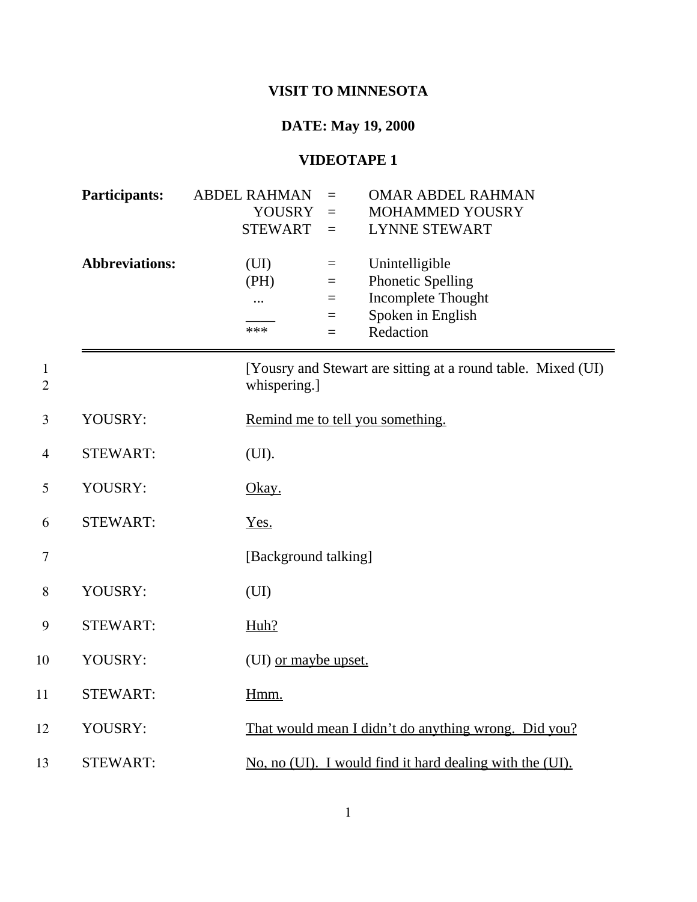## **VISIT TO MINNESOTA**

## **DATE: May 19, 2000**

## **VIDEOTAPE 1**

|                     | <b>Participants:</b>  | <b>ABDEL RAHMAN</b><br><b>YOUSRY</b><br><b>STEWART</b> | $=$<br>$=$<br>$=$                    | <b>OMAR ABDEL RAHMAN</b><br><b>MOHAMMED YOUSRY</b><br><b>LYNNE STEWART</b>                         |
|---------------------|-----------------------|--------------------------------------------------------|--------------------------------------|----------------------------------------------------------------------------------------------------|
|                     | <b>Abbreviations:</b> | (UI)<br>(PH)<br>$\cdots$<br>***                        | $=$<br>$\equiv$<br>$=$<br>$=$<br>$=$ | Unintelligible<br><b>Phonetic Spelling</b><br>Incomplete Thought<br>Spoken in English<br>Redaction |
| 1<br>$\overline{2}$ |                       | whispering.]                                           |                                      | [Yousry and Stewart are sitting at a round table. Mixed (UI)                                       |
| 3                   | YOUSRY:               |                                                        |                                      | Remind me to tell you something.                                                                   |
| $\overline{4}$      | <b>STEWART:</b>       | (UI).                                                  |                                      |                                                                                                    |
| 5                   | YOUSRY:               | Okay.                                                  |                                      |                                                                                                    |
| 6                   | <b>STEWART:</b>       | Yes.                                                   |                                      |                                                                                                    |
| 7                   |                       | [Background talking]                                   |                                      |                                                                                                    |
| 8                   | YOUSRY:               | (UI)                                                   |                                      |                                                                                                    |
| 9                   | <b>STEWART:</b>       | Huh?                                                   |                                      |                                                                                                    |
| 10                  | YOUSRY:               | (UI) or maybe upset.                                   |                                      |                                                                                                    |
| 11                  | <b>STEWART:</b>       | Hmm.                                                   |                                      |                                                                                                    |
| 12                  | YOUSRY:               |                                                        |                                      | That would mean I didn't do anything wrong. Did you?                                               |
| 13                  | <b>STEWART:</b>       |                                                        |                                      | No, no (UI). I would find it hard dealing with the (UI).                                           |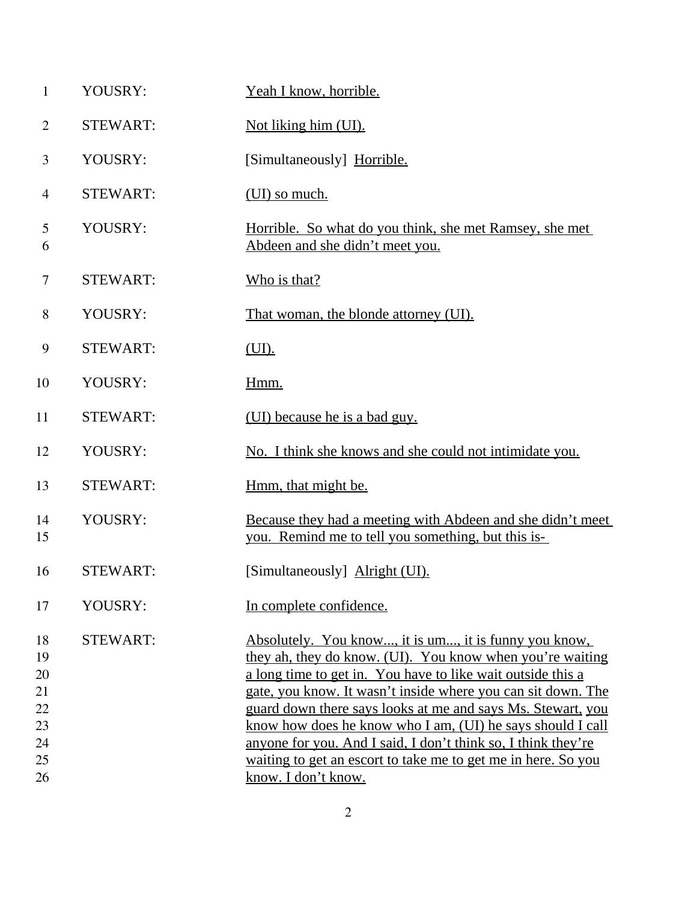| $\mathbf{1}$                                 | YOUSRY:         | Yeah I know, horrible.                                                                                                                                                                                                                                                                                                                                                                                                                                                                                           |
|----------------------------------------------|-----------------|------------------------------------------------------------------------------------------------------------------------------------------------------------------------------------------------------------------------------------------------------------------------------------------------------------------------------------------------------------------------------------------------------------------------------------------------------------------------------------------------------------------|
| $\overline{2}$                               | <b>STEWART:</b> | Not liking him (UI).                                                                                                                                                                                                                                                                                                                                                                                                                                                                                             |
| 3                                            | YOUSRY:         | [Simultaneously] Horrible.                                                                                                                                                                                                                                                                                                                                                                                                                                                                                       |
| 4                                            | <b>STEWART:</b> | (UI) so much.                                                                                                                                                                                                                                                                                                                                                                                                                                                                                                    |
| 5<br>6                                       | YOUSRY:         | <u>Horrible. So what do you think, she met Ramsey, she met</u><br>Abdeen and she didn't meet you.                                                                                                                                                                                                                                                                                                                                                                                                                |
| 7                                            | <b>STEWART:</b> | Who is that?                                                                                                                                                                                                                                                                                                                                                                                                                                                                                                     |
| 8                                            | YOUSRY:         | That woman, the blonde attorney (UI).                                                                                                                                                                                                                                                                                                                                                                                                                                                                            |
| 9                                            | <b>STEWART:</b> | (UI).                                                                                                                                                                                                                                                                                                                                                                                                                                                                                                            |
| 10                                           | YOUSRY:         | Hmm.                                                                                                                                                                                                                                                                                                                                                                                                                                                                                                             |
| 11                                           | <b>STEWART:</b> | (UI) because he is a bad guy.                                                                                                                                                                                                                                                                                                                                                                                                                                                                                    |
| 12                                           | YOUSRY:         | No. I think she knows and she could not intimidate you.                                                                                                                                                                                                                                                                                                                                                                                                                                                          |
| 13                                           | <b>STEWART:</b> | Hmm, that might be.                                                                                                                                                                                                                                                                                                                                                                                                                                                                                              |
| 14<br>15                                     | YOUSRY:         | Because they had a meeting with Abdeen and she didn't meet<br>you. Remind me to tell you something, but this is-                                                                                                                                                                                                                                                                                                                                                                                                 |
| 16                                           | <b>STEWART:</b> | [Simultaneously] Alright (UI).                                                                                                                                                                                                                                                                                                                                                                                                                                                                                   |
| 17                                           | YOUSRY:         | In complete confidence.                                                                                                                                                                                                                                                                                                                                                                                                                                                                                          |
| 18<br>19<br>20<br>21<br>22<br>23<br>24<br>25 | <b>STEWART:</b> | Absolutely. You know, it is um, it is funny you know,<br>they ah, they do know. (UI). You know when you're waiting<br>a long time to get in. You have to like wait outside this a<br>gate, you know. It wasn't inside where you can sit down. The<br>guard down there says looks at me and says Ms. Stewart, you<br>know how does he know who I am, (UI) he says should I call<br>anyone for you. And I said, I don't think so, I think they're<br>waiting to get an escort to take me to get me in here. So you |
| 26                                           |                 | know. I don't know.                                                                                                                                                                                                                                                                                                                                                                                                                                                                                              |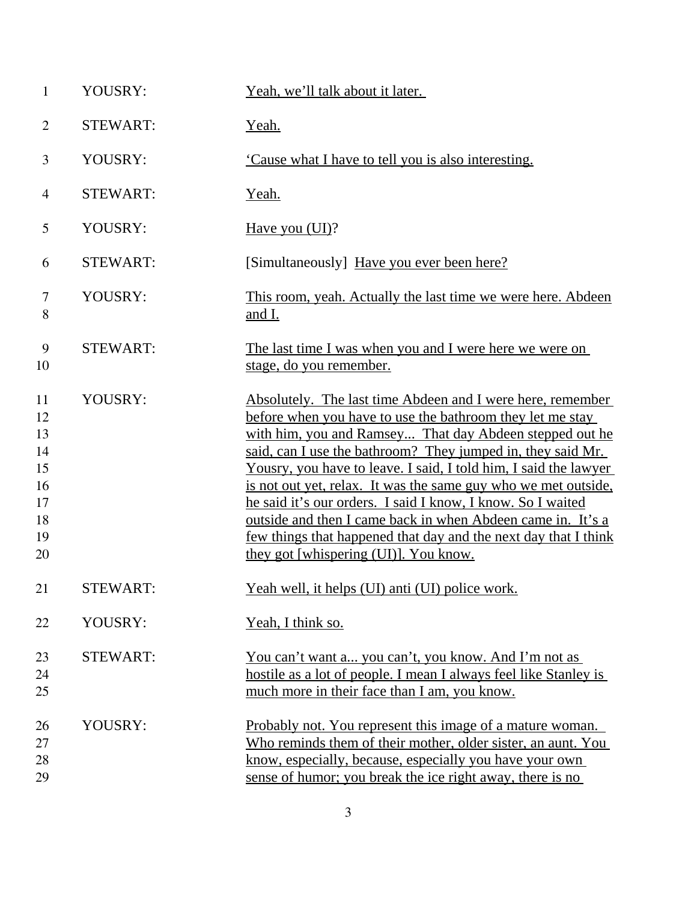| $\mathbf{1}$                                             | YOUSRY:         | Yeah, we'll talk about it later.                                                                                                                                                                                                                                                                                                                                                                                                                                                                                                                                                                                                  |
|----------------------------------------------------------|-----------------|-----------------------------------------------------------------------------------------------------------------------------------------------------------------------------------------------------------------------------------------------------------------------------------------------------------------------------------------------------------------------------------------------------------------------------------------------------------------------------------------------------------------------------------------------------------------------------------------------------------------------------------|
| $\overline{2}$                                           | <b>STEWART:</b> | Yeah.                                                                                                                                                                                                                                                                                                                                                                                                                                                                                                                                                                                                                             |
| 3                                                        | YOUSRY:         | Cause what I have to tell you is also interesting.                                                                                                                                                                                                                                                                                                                                                                                                                                                                                                                                                                                |
| $\overline{4}$                                           | <b>STEWART:</b> | Yeah.                                                                                                                                                                                                                                                                                                                                                                                                                                                                                                                                                                                                                             |
| 5                                                        | YOUSRY:         | Have you (UI)?                                                                                                                                                                                                                                                                                                                                                                                                                                                                                                                                                                                                                    |
| 6                                                        | <b>STEWART:</b> | [Simultaneously] Have you ever been here?                                                                                                                                                                                                                                                                                                                                                                                                                                                                                                                                                                                         |
| $\tau$<br>8                                              | YOUSRY:         | This room, yeah. Actually the last time we were here. Abdeen<br>and I.                                                                                                                                                                                                                                                                                                                                                                                                                                                                                                                                                            |
| 9<br>10                                                  | <b>STEWART:</b> | The last time I was when you and I were here we were on<br>stage, do you remember.                                                                                                                                                                                                                                                                                                                                                                                                                                                                                                                                                |
| 11<br>12<br>13<br>14<br>15<br>16<br>17<br>18<br>19<br>20 | YOUSRY:         | Absolutely. The last time Abdeen and I were here, remember<br>before when you have to use the bathroom they let me stay<br>with him, you and Ramsey That day Abdeen stepped out he<br>said, can I use the bathroom? They jumped in, they said Mr.<br>Yousry, you have to leave. I said, I told him, I said the lawyer<br>is not out yet, relax. It was the same guy who we met outside,<br>he said it's our orders. I said I know, I know. So I waited<br>outside and then I came back in when Abdeen came in. It's a<br>few things that happened that day and the next day that I think<br>they got [whispering (UI)]. You know. |
| 21                                                       | <b>STEWART:</b> | <u>Yeah well, it helps (UI) anti (UI) police work.</u>                                                                                                                                                                                                                                                                                                                                                                                                                                                                                                                                                                            |
| 22                                                       | YOUSRY:         | Yeah, I think so.                                                                                                                                                                                                                                                                                                                                                                                                                                                                                                                                                                                                                 |
| 23<br>24<br>25                                           | <b>STEWART:</b> | You can't want a you can't, you know. And I'm not as<br>hostile as a lot of people. I mean I always feel like Stanley is<br>much more in their face than I am, you know.                                                                                                                                                                                                                                                                                                                                                                                                                                                          |
| 26<br>27<br>28<br>29                                     | YOUSRY:         | Probably not. You represent this image of a mature woman.<br>Who reminds them of their mother, older sister, an aunt. You<br>know, especially, because, especially you have your own<br>sense of humor; you break the ice right away, there is no                                                                                                                                                                                                                                                                                                                                                                                 |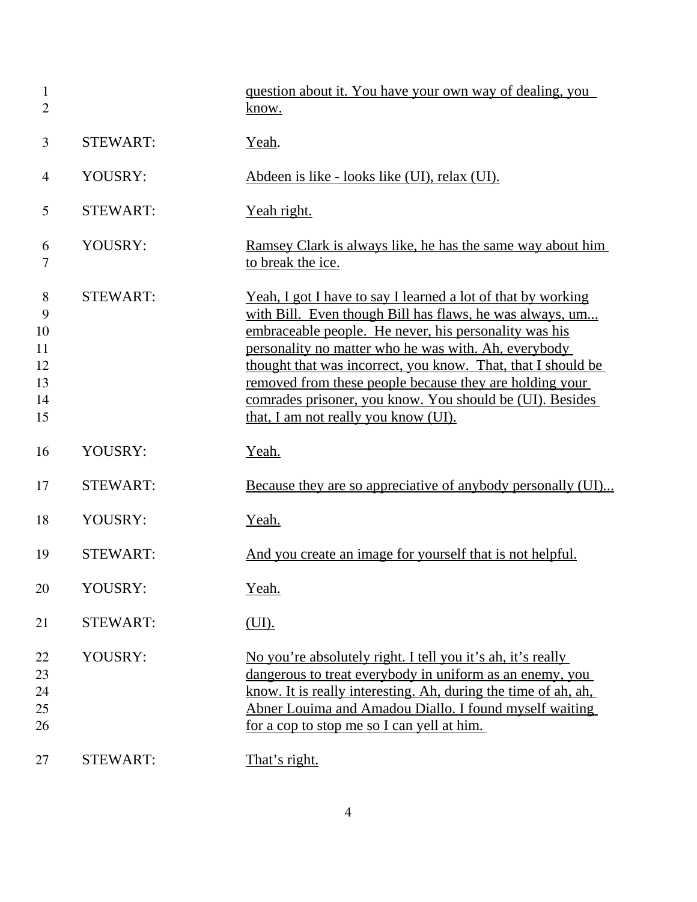| $\mathbf{1}$<br>$\overline{2}$             |                 | question about it. You have your own way of dealing, you<br>know.                                                                                                                                                                                                                                                                                                                                                                                                        |
|--------------------------------------------|-----------------|--------------------------------------------------------------------------------------------------------------------------------------------------------------------------------------------------------------------------------------------------------------------------------------------------------------------------------------------------------------------------------------------------------------------------------------------------------------------------|
| 3                                          | <b>STEWART:</b> | Yeah.                                                                                                                                                                                                                                                                                                                                                                                                                                                                    |
| $\overline{4}$                             | YOUSRY:         | Abdeen is like - looks like (UI), relax (UI).                                                                                                                                                                                                                                                                                                                                                                                                                            |
| 5                                          | <b>STEWART:</b> | <u>Yeah right.</u>                                                                                                                                                                                                                                                                                                                                                                                                                                                       |
| 6<br>7                                     | YOUSRY:         | <u>Ramsey Clark is always like, he has the same way about him</u><br>to break the ice.                                                                                                                                                                                                                                                                                                                                                                                   |
| 8<br>9<br>10<br>11<br>12<br>13<br>14<br>15 | <b>STEWART:</b> | Yeah, I got I have to say I learned a lot of that by working<br>with Bill. Even though Bill has flaws, he was always, um<br>embraceable people. He never, his personality was his<br>personality no matter who he was with. Ah, everybody<br>thought that was incorrect, you know. That, that I should be<br>removed from these people because they are holding your<br>comrades prisoner, you know. You should be (UI). Besides<br>that, I am not really you know (UI). |
| 16                                         | YOUSRY:         | Yeah.                                                                                                                                                                                                                                                                                                                                                                                                                                                                    |
| 17                                         | <b>STEWART:</b> | Because they are so appreciative of anybody personally (UI)                                                                                                                                                                                                                                                                                                                                                                                                              |
| 18                                         | YOUSRY:         | Yeah.                                                                                                                                                                                                                                                                                                                                                                                                                                                                    |
| 19                                         | <b>STEWART:</b> | And you create an image for yourself that is not helpful.                                                                                                                                                                                                                                                                                                                                                                                                                |
| 20                                         | YOUSRY:         | Yeah.                                                                                                                                                                                                                                                                                                                                                                                                                                                                    |
| 21                                         | <b>STEWART:</b> | (UI).                                                                                                                                                                                                                                                                                                                                                                                                                                                                    |
| 22<br>23<br>24<br>25<br>26                 | YOUSRY:         | No you're absolutely right. I tell you it's ah, it's really<br>dangerous to treat everybody in uniform as an enemy, you<br>know. It is really interesting. Ah, during the time of ah, ah,<br>Abner Louima and Amadou Diallo. I found myself waiting<br>for a cop to stop me so I can yell at him.                                                                                                                                                                        |
| 27                                         | <b>STEWART:</b> | That's right.                                                                                                                                                                                                                                                                                                                                                                                                                                                            |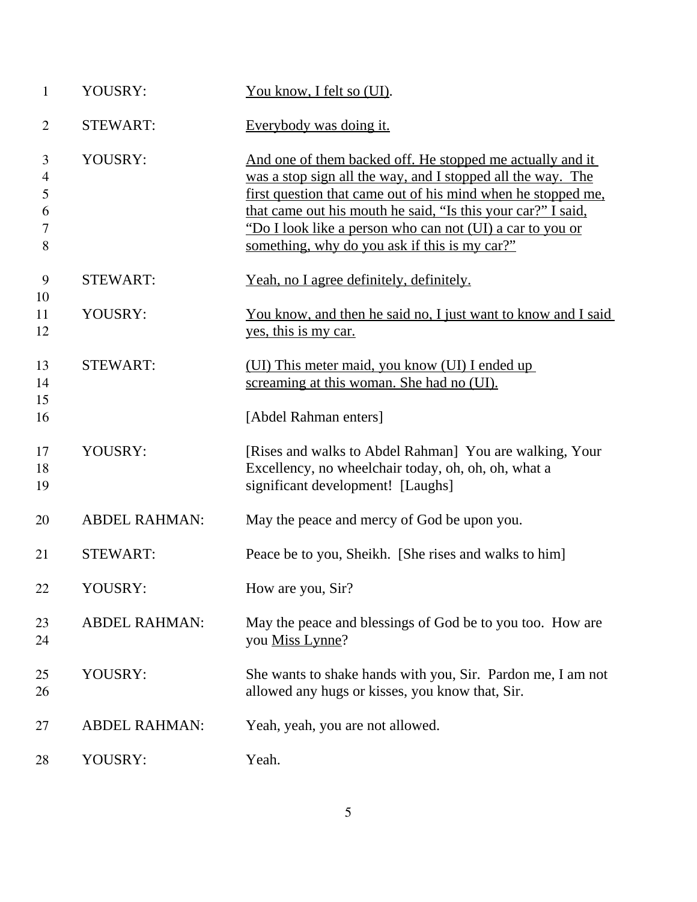| $\mathbf{1}$                            | YOUSRY:              | You know, I felt so (UI).                                                                                                                                                                                                                                                                                                                                              |
|-----------------------------------------|----------------------|------------------------------------------------------------------------------------------------------------------------------------------------------------------------------------------------------------------------------------------------------------------------------------------------------------------------------------------------------------------------|
| $\overline{2}$                          | <b>STEWART:</b>      | Everybody was doing it.                                                                                                                                                                                                                                                                                                                                                |
| 3<br>$\overline{4}$<br>5<br>6<br>7<br>8 | YOUSRY:              | And one of them backed off. He stopped me actually and it<br>was a stop sign all the way, and I stopped all the way. The<br>first question that came out of his mind when he stopped me,<br>that came out his mouth he said, "Is this your car?" I said,<br>"Do I look like a person who can not (UI) a car to you or<br>something, why do you ask if this is my car?" |
| 9                                       | <b>STEWART:</b>      | Yeah, no I agree definitely, definitely.                                                                                                                                                                                                                                                                                                                               |
| 10<br>11<br>12                          | YOUSRY:              | <u>You know, and then he said no, I just want to know and I said</u><br>yes, this is my car.                                                                                                                                                                                                                                                                           |
| 13<br>14                                | <b>STEWART:</b>      | (UI) This meter maid, you know (UI) I ended up<br>screaming at this woman. She had no (UI).                                                                                                                                                                                                                                                                            |
| 15<br>16                                |                      | [Abdel Rahman enters]                                                                                                                                                                                                                                                                                                                                                  |
| 17<br>18<br>19                          | YOUSRY:              | [Rises and walks to Abdel Rahman] You are walking, Your<br>Excellency, no wheelchair today, oh, oh, oh, what a<br>significant development! [Laughs]                                                                                                                                                                                                                    |
| 20                                      | <b>ABDEL RAHMAN:</b> | May the peace and mercy of God be upon you.                                                                                                                                                                                                                                                                                                                            |
| 21                                      | <b>STEWART:</b>      | Peace be to you, Sheikh. [She rises and walks to him]                                                                                                                                                                                                                                                                                                                  |
| 22                                      | YOUSRY:              | How are you, Sir?                                                                                                                                                                                                                                                                                                                                                      |
| 23<br>24                                | <b>ABDEL RAHMAN:</b> | May the peace and blessings of God be to you too. How are<br>you Miss Lynne?                                                                                                                                                                                                                                                                                           |
| 25<br>26                                | YOUSRY:              | She wants to shake hands with you, Sir. Pardon me, I am not<br>allowed any hugs or kisses, you know that, Sir.                                                                                                                                                                                                                                                         |
| 27                                      | <b>ABDEL RAHMAN:</b> | Yeah, yeah, you are not allowed.                                                                                                                                                                                                                                                                                                                                       |
| 28                                      | YOUSRY:              | Yeah.                                                                                                                                                                                                                                                                                                                                                                  |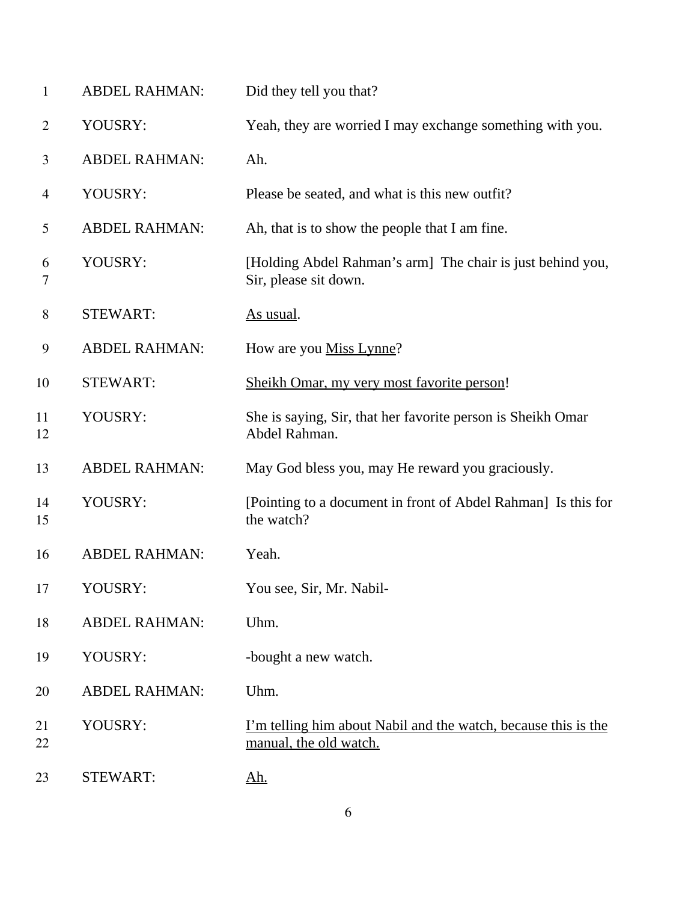| $\mathbf{1}$   | <b>ABDEL RAHMAN:</b> | Did they tell you that?                                                                         |
|----------------|----------------------|-------------------------------------------------------------------------------------------------|
| $\overline{c}$ | YOUSRY:              | Yeah, they are worried I may exchange something with you.                                       |
| 3              | <b>ABDEL RAHMAN:</b> | Ah.                                                                                             |
| 4              | YOUSRY:              | Please be seated, and what is this new outfit?                                                  |
| 5              | <b>ABDEL RAHMAN:</b> | Ah, that is to show the people that I am fine.                                                  |
| 6<br>7         | YOUSRY:              | [Holding Abdel Rahman's arm] The chair is just behind you,<br>Sir, please sit down.             |
| $8\,$          | <b>STEWART:</b>      | As usual.                                                                                       |
| 9              | <b>ABDEL RAHMAN:</b> | How are you Miss Lynne?                                                                         |
| 10             | <b>STEWART:</b>      | Sheikh Omar, my very most favorite person!                                                      |
| 11<br>12       | YOUSRY:              | She is saying, Sir, that her favorite person is Sheikh Omar<br>Abdel Rahman.                    |
| 13             | <b>ABDEL RAHMAN:</b> | May God bless you, may He reward you graciously.                                                |
| 14<br>15       | YOUSRY:              | [Pointing to a document in front of Abdel Rahman] Is this for<br>the watch?                     |
| 16             | <b>ABDEL RAHMAN:</b> | Yeah.                                                                                           |
| 17             | YOUSRY:              | You see, Sir, Mr. Nabil-                                                                        |
| 18             | <b>ABDEL RAHMAN:</b> | Uhm.                                                                                            |
| 19             | YOUSRY:              | -bought a new watch.                                                                            |
| 20             | <b>ABDEL RAHMAN:</b> | Uhm.                                                                                            |
| 21<br>22       | YOUSRY:              | <u>I'm telling him about Nabil and the watch, because this is the</u><br>manual, the old watch. |
| 23             | <b>STEWART:</b>      | <u>Ah.</u>                                                                                      |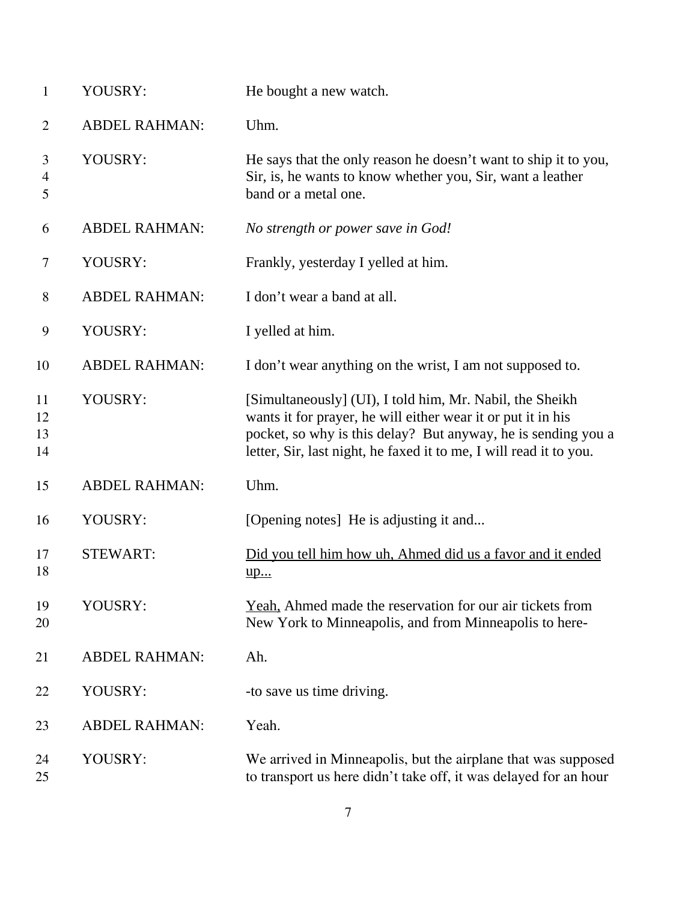| 1                    | YOUSRY:              | He bought a new watch.                                                                                                                                                                                                                                          |
|----------------------|----------------------|-----------------------------------------------------------------------------------------------------------------------------------------------------------------------------------------------------------------------------------------------------------------|
| $\overline{2}$       | <b>ABDEL RAHMAN:</b> | Uhm.                                                                                                                                                                                                                                                            |
| 3<br>4<br>5          | YOUSRY:              | He says that the only reason he doesn't want to ship it to you,<br>Sir, is, he wants to know whether you, Sir, want a leather<br>band or a metal one.                                                                                                           |
| 6                    | <b>ABDEL RAHMAN:</b> | No strength or power save in God!                                                                                                                                                                                                                               |
| 7                    | YOUSRY:              | Frankly, yesterday I yelled at him.                                                                                                                                                                                                                             |
| 8                    | <b>ABDEL RAHMAN:</b> | I don't wear a band at all.                                                                                                                                                                                                                                     |
| $\boldsymbol{9}$     | YOUSRY:              | I yelled at him.                                                                                                                                                                                                                                                |
| 10                   | <b>ABDEL RAHMAN:</b> | I don't wear anything on the wrist, I am not supposed to.                                                                                                                                                                                                       |
| 11<br>12<br>13<br>14 | YOUSRY:              | [Simultaneously] (UI), I told him, Mr. Nabil, the Sheikh<br>wants it for prayer, he will either wear it or put it in his<br>pocket, so why is this delay? But anyway, he is sending you a<br>letter, Sir, last night, he faxed it to me, I will read it to you. |
| 15                   | <b>ABDEL RAHMAN:</b> | Uhm.                                                                                                                                                                                                                                                            |
| 16                   | YOUSRY:              | [Opening notes] He is adjusting it and                                                                                                                                                                                                                          |
| 17<br>18             | <b>STEWART:</b>      | Did you tell him how uh, Ahmed did us a favor and it ended<br><u>up</u>                                                                                                                                                                                         |
| 19<br>20             | YOUSRY:              | Yeah, Ahmed made the reservation for our air tickets from<br>New York to Minneapolis, and from Minneapolis to here-                                                                                                                                             |
| 21                   | <b>ABDEL RAHMAN:</b> | Ah.                                                                                                                                                                                                                                                             |
| 22                   | YOUSRY:              | -to save us time driving.                                                                                                                                                                                                                                       |
| 23                   | <b>ABDEL RAHMAN:</b> | Yeah.                                                                                                                                                                                                                                                           |
| 24<br>25             | YOUSRY:              | We arrived in Minneapolis, but the airplane that was supposed<br>to transport us here didn't take off, it was delayed for an hour                                                                                                                               |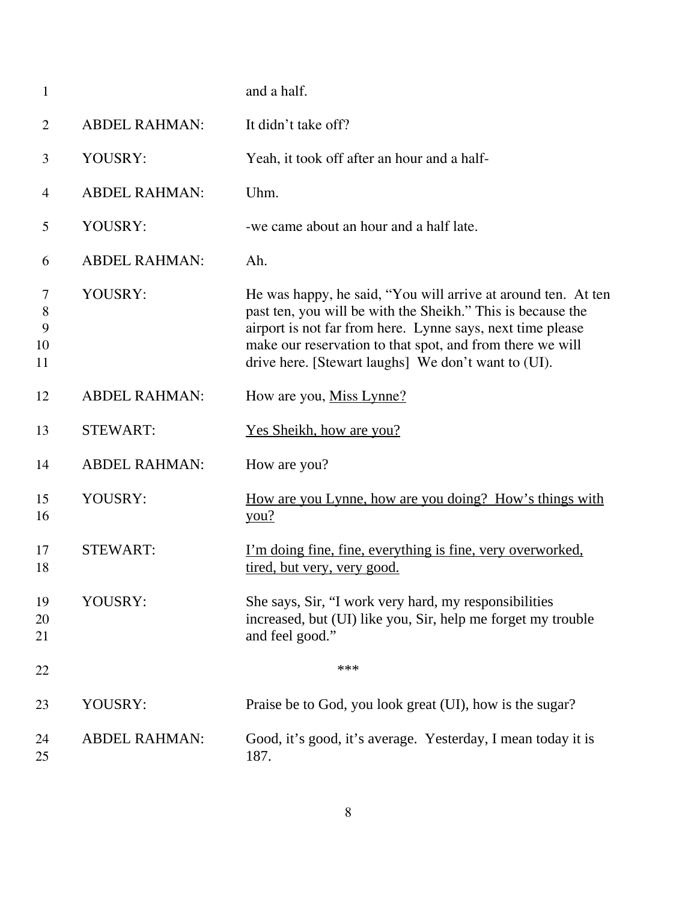| $\mathbf{1}$            |                      | and a half.                                                                                                                                                                                                                                                                                                    |
|-------------------------|----------------------|----------------------------------------------------------------------------------------------------------------------------------------------------------------------------------------------------------------------------------------------------------------------------------------------------------------|
| $\overline{2}$          | <b>ABDEL RAHMAN:</b> | It didn't take off?                                                                                                                                                                                                                                                                                            |
| 3                       | YOUSRY:              | Yeah, it took off after an hour and a half-                                                                                                                                                                                                                                                                    |
| $\overline{4}$          | <b>ABDEL RAHMAN:</b> | Uhm.                                                                                                                                                                                                                                                                                                           |
| 5                       | YOUSRY:              | -we came about an hour and a half late.                                                                                                                                                                                                                                                                        |
| 6                       | <b>ABDEL RAHMAN:</b> | Ah.                                                                                                                                                                                                                                                                                                            |
| 7<br>8<br>9<br>10<br>11 | YOUSRY:              | He was happy, he said, "You will arrive at around ten. At ten<br>past ten, you will be with the Sheikh." This is because the<br>airport is not far from here. Lynne says, next time please<br>make our reservation to that spot, and from there we will<br>drive here. [Stewart laughs] We don't want to (UI). |
| 12                      | <b>ABDEL RAHMAN:</b> | How are you, Miss Lynne?                                                                                                                                                                                                                                                                                       |
| 13                      | <b>STEWART:</b>      | <u>Yes Sheikh, how are you?</u>                                                                                                                                                                                                                                                                                |
| 14                      | <b>ABDEL RAHMAN:</b> | How are you?                                                                                                                                                                                                                                                                                                   |
| 15<br>16                | YOUSRY:              | How are you Lynne, how are you doing? How's things with<br>you?                                                                                                                                                                                                                                                |
| 17<br>18                | <b>STEWART:</b>      | <u>I'm doing fine, fine, everything is fine, very overworked,</u><br>tired, but very, very good.                                                                                                                                                                                                               |
| 19<br>20<br>21          | YOUSRY:              | She says, Sir, "I work very hard, my responsibilities<br>increased, but (UI) like you, Sir, help me forget my trouble<br>and feel good."                                                                                                                                                                       |
| 22                      |                      | ***                                                                                                                                                                                                                                                                                                            |
| 23                      | YOUSRY:              | Praise be to God, you look great (UI), how is the sugar?                                                                                                                                                                                                                                                       |
| 24<br>25                | <b>ABDEL RAHMAN:</b> | Good, it's good, it's average. Yesterday, I mean today it is<br>187.                                                                                                                                                                                                                                           |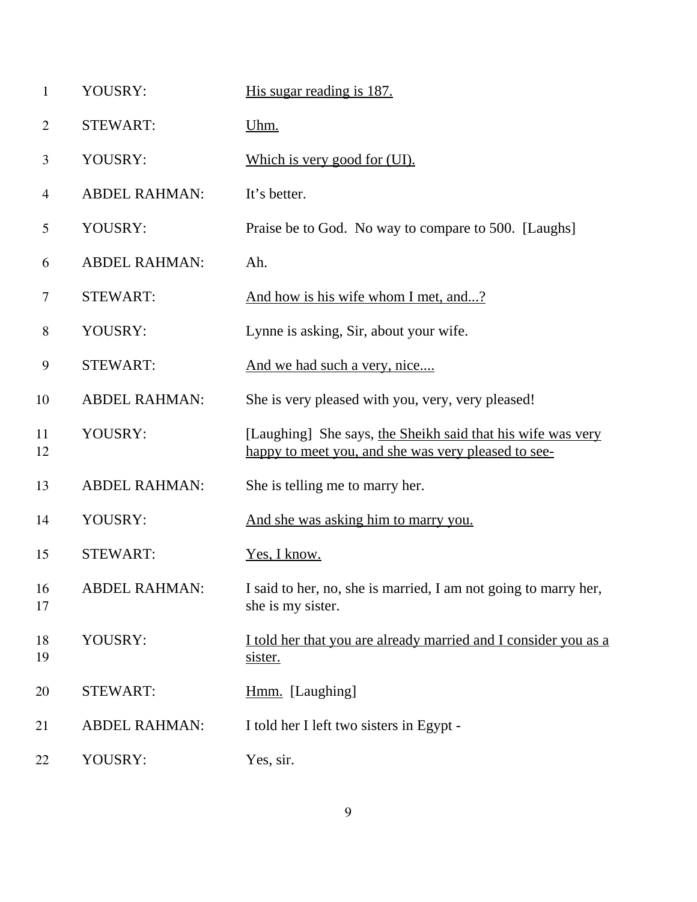| $\mathbf{1}$   | YOUSRY:              | His sugar reading is 187.                                                                                          |
|----------------|----------------------|--------------------------------------------------------------------------------------------------------------------|
| $\overline{2}$ | <b>STEWART:</b>      | Uhm.                                                                                                               |
| 3              | YOUSRY:              | Which is very good for (UI).                                                                                       |
| $\overline{4}$ | <b>ABDEL RAHMAN:</b> | It's better.                                                                                                       |
| 5              | YOUSRY:              | Praise be to God. No way to compare to 500. [Laughs]                                                               |
| 6              | <b>ABDEL RAHMAN:</b> | Ah.                                                                                                                |
| 7              | <b>STEWART:</b>      | And how is his wife whom I met, and?                                                                               |
| 8              | YOUSRY:              | Lynne is asking, Sir, about your wife.                                                                             |
| 9              | <b>STEWART:</b>      | And we had such a very, nice                                                                                       |
| 10             | <b>ABDEL RAHMAN:</b> | She is very pleased with you, very, very pleased!                                                                  |
| 11<br>12       | YOUSRY:              | [Laughing] She says, the Sheikh said that his wife was very<br>happy to meet you, and she was very pleased to see- |
| 13             | <b>ABDEL RAHMAN:</b> | She is telling me to marry her.                                                                                    |
| 14             | YOUSRY:              | And she was asking him to marry you.                                                                               |
| 15             | <b>STEWART:</b>      | Yes, I know.                                                                                                       |
| 16<br>17       | <b>ABDEL RAHMAN:</b> | I said to her, no, she is married, I am not going to marry her,<br>she is my sister.                               |
| 18<br>19       | YOUSRY:              | I told her that you are already married and I consider you as a<br>sister.                                         |
| 20             | <b>STEWART:</b>      | Hmm. [Laughing]                                                                                                    |
| 21             | <b>ABDEL RAHMAN:</b> | I told her I left two sisters in Egypt -                                                                           |
| 22             | YOUSRY:              | Yes, sir.                                                                                                          |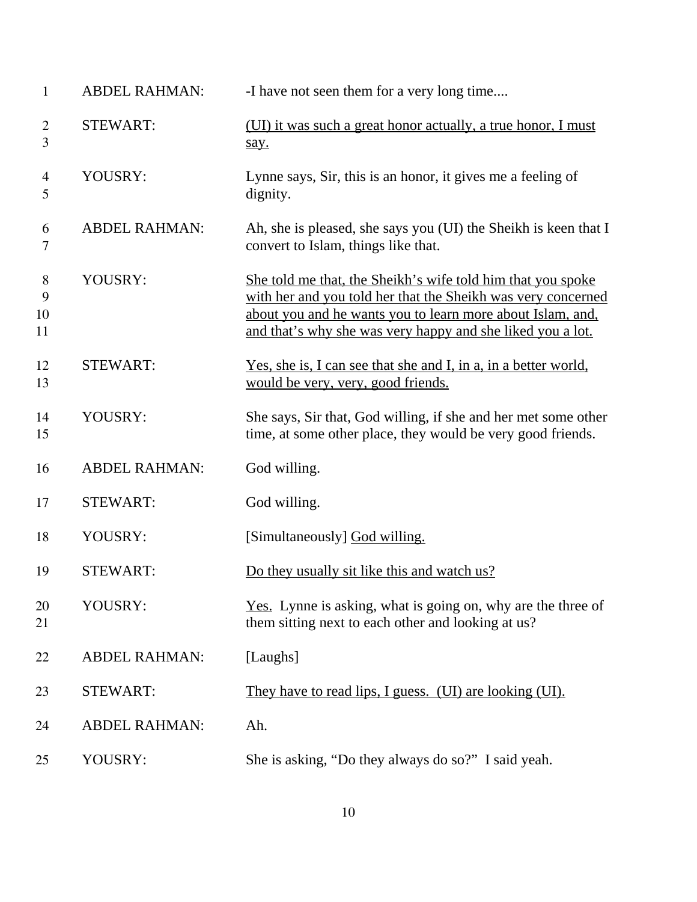| $\mathbf{1}$        | <b>ABDEL RAHMAN:</b> | -I have not seen them for a very long time                                                                                                                                                                                                              |
|---------------------|----------------------|---------------------------------------------------------------------------------------------------------------------------------------------------------------------------------------------------------------------------------------------------------|
| $\overline{2}$<br>3 | <b>STEWART:</b>      | (UI) it was such a great honor actually, a true honor, I must<br>say.                                                                                                                                                                                   |
| 4<br>5              | YOUSRY:              | Lynne says, Sir, this is an honor, it gives me a feeling of<br>dignity.                                                                                                                                                                                 |
| 6<br>$\tau$         | <b>ABDEL RAHMAN:</b> | Ah, she is pleased, she says you (UI) the Sheikh is keen that I<br>convert to Islam, things like that.                                                                                                                                                  |
| 8<br>9<br>10<br>11  | YOUSRY:              | She told me that, the Sheikh's wife told him that you spoke<br>with her and you told her that the Sheikh was very concerned<br>about you and he wants you to learn more about Islam, and,<br>and that's why she was very happy and she liked you a lot. |
| 12<br>13            | <b>STEWART:</b>      | Yes, she is, I can see that she and I, in a, in a better world,<br>would be very, very, good friends.                                                                                                                                                   |
| 14<br>15            | YOUSRY:              | She says, Sir that, God willing, if she and her met some other<br>time, at some other place, they would be very good friends.                                                                                                                           |
| 16                  | <b>ABDEL RAHMAN:</b> | God willing.                                                                                                                                                                                                                                            |
| 17                  | <b>STEWART:</b>      | God willing.                                                                                                                                                                                                                                            |
| 18                  | YOUSRY:              | [Simultaneously] God willing.                                                                                                                                                                                                                           |
| 19                  | <b>STEWART:</b>      | Do they usually sit like this and watch us?                                                                                                                                                                                                             |
| 20<br>21            | YOUSRY:              | <u>Yes.</u> Lynne is asking, what is going on, why are the three of<br>them sitting next to each other and looking at us?                                                                                                                               |
| 22                  | <b>ABDEL RAHMAN:</b> | [Laughs]                                                                                                                                                                                                                                                |
| 23                  | <b>STEWART:</b>      | They have to read lips, I guess. (UI) are looking (UI).                                                                                                                                                                                                 |
| 24                  | <b>ABDEL RAHMAN:</b> | Ah.                                                                                                                                                                                                                                                     |
| 25                  | YOUSRY:              | She is asking, "Do they always do so?" I said yeah.                                                                                                                                                                                                     |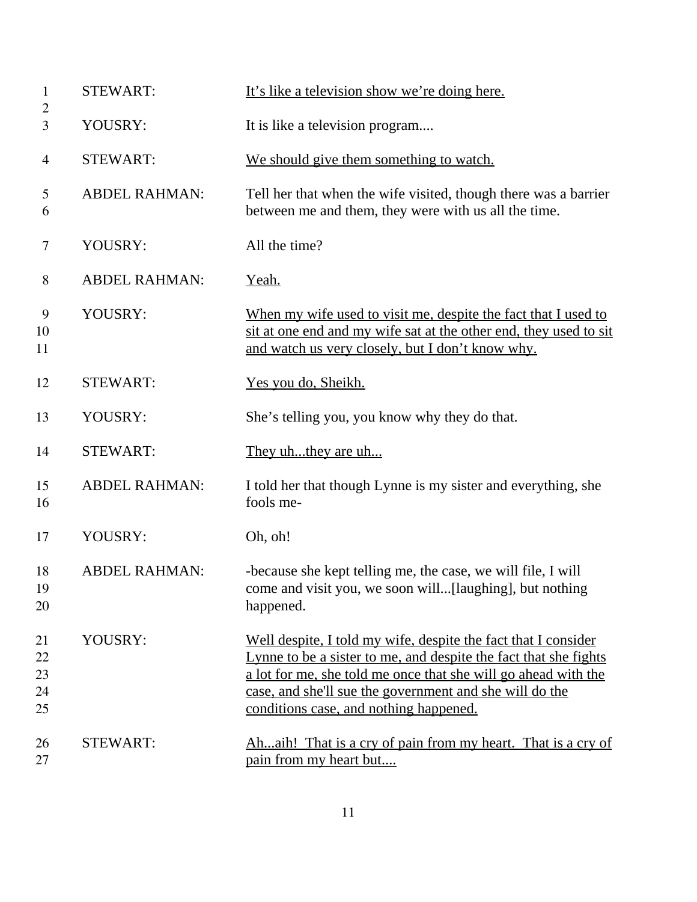| $\mathbf{1}$<br>$\overline{2}$ | <b>STEWART:</b>      | It's like a television show we're doing here.                                                                                                                                                                                                                                                             |
|--------------------------------|----------------------|-----------------------------------------------------------------------------------------------------------------------------------------------------------------------------------------------------------------------------------------------------------------------------------------------------------|
| 3                              | YOUSRY:              | It is like a television program                                                                                                                                                                                                                                                                           |
| 4                              | <b>STEWART:</b>      | We should give them something to watch.                                                                                                                                                                                                                                                                   |
| 5<br>6                         | <b>ABDEL RAHMAN:</b> | Tell her that when the wife visited, though there was a barrier<br>between me and them, they were with us all the time.                                                                                                                                                                                   |
| 7                              | YOUSRY:              | All the time?                                                                                                                                                                                                                                                                                             |
| 8                              | <b>ABDEL RAHMAN:</b> | <u>Yeah.</u>                                                                                                                                                                                                                                                                                              |
| 9<br>10<br>11                  | YOUSRY:              | When my wife used to visit me, despite the fact that I used to<br>sit at one end and my wife sat at the other end, they used to sit<br>and watch us very closely, but I don't know why.                                                                                                                   |
| 12                             | <b>STEWART:</b>      | Yes you do, Sheikh.                                                                                                                                                                                                                                                                                       |
| 13                             | YOUSRY:              | She's telling you, you know why they do that.                                                                                                                                                                                                                                                             |
| 14                             | <b>STEWART:</b>      | They uhthey are uh                                                                                                                                                                                                                                                                                        |
| 15<br>16                       | <b>ABDEL RAHMAN:</b> | I told her that though Lynne is my sister and everything, she<br>fools me-                                                                                                                                                                                                                                |
| 17                             | YOUSRY:              | Oh, oh!                                                                                                                                                                                                                                                                                                   |
| 18<br>19<br>20                 | <b>ABDEL RAHMAN:</b> | -because she kept telling me, the case, we will file, I will<br>come and visit you, we soon will[laughing], but nothing<br>happened.                                                                                                                                                                      |
| 21<br>22<br>23<br>24<br>25     | YOUSRY:              | Well despite, I told my wife, despite the fact that I consider<br>Lynne to be a sister to me, and despite the fact that she fights<br>a lot for me, she told me once that she will go ahead with the<br>case, and she'll sue the government and she will do the<br>conditions case, and nothing happened. |
| 26<br>27                       | <b>STEWART:</b>      | Ahaih! That is a cry of pain from my heart. That is a cry of<br>pain from my heart but                                                                                                                                                                                                                    |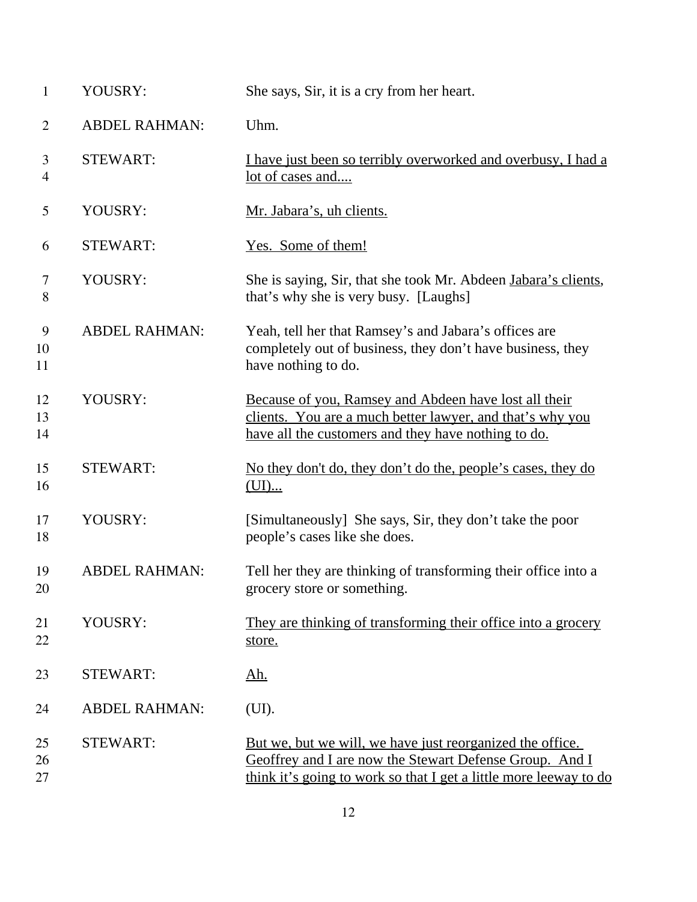| $\mathbf{1}$        | YOUSRY:              | She says, Sir, it is a cry from her heart.                                                                                                                                                |
|---------------------|----------------------|-------------------------------------------------------------------------------------------------------------------------------------------------------------------------------------------|
| $\overline{2}$      | <b>ABDEL RAHMAN:</b> | Uhm.                                                                                                                                                                                      |
| 3<br>$\overline{4}$ | <b>STEWART:</b>      | I have just been so terribly overworked and overbusy, I had a<br>lot of cases and                                                                                                         |
| 5                   | YOUSRY:              | Mr. Jabara's, uh clients.                                                                                                                                                                 |
| 6                   | <b>STEWART:</b>      | Yes. Some of them!                                                                                                                                                                        |
| 7<br>8              | YOUSRY:              | She is saying, Sir, that she took Mr. Abdeen Jabara's clients,<br>that's why she is very busy. [Laughs]                                                                                   |
| 9<br>10<br>11       | <b>ABDEL RAHMAN:</b> | Yeah, tell her that Ramsey's and Jabara's offices are<br>completely out of business, they don't have business, they<br>have nothing to do.                                                |
| 12<br>13<br>14      | YOUSRY:              | Because of you, Ramsey and Abdeen have lost all their<br>clients. You are a much better lawyer, and that's why you<br>have all the customers and they have nothing to do.                 |
| 15<br>16            | <b>STEWART:</b>      | No they don't do, they don't do the, people's cases, they do<br>(UI)                                                                                                                      |
| 17<br>18            | YOUSRY:              | [Simultaneously] She says, Sir, they don't take the poor<br>people's cases like she does.                                                                                                 |
| 19<br>20            | <b>ABDEL RAHMAN:</b> | Tell her they are thinking of transforming their office into a<br>grocery store or something.                                                                                             |
| 21<br>22            | YOUSRY:              | They are thinking of transforming their office into a grocery<br>store.                                                                                                                   |
| 23                  | <b>STEWART:</b>      | <u>Ah.</u>                                                                                                                                                                                |
| 24                  | <b>ABDEL RAHMAN:</b> | (UI).                                                                                                                                                                                     |
| 25<br>26<br>27      | <b>STEWART:</b>      | But we, but we will, we have just reorganized the office.<br>Geoffrey and I are now the Stewart Defense Group. And I<br>think it's going to work so that I get a little more leeway to do |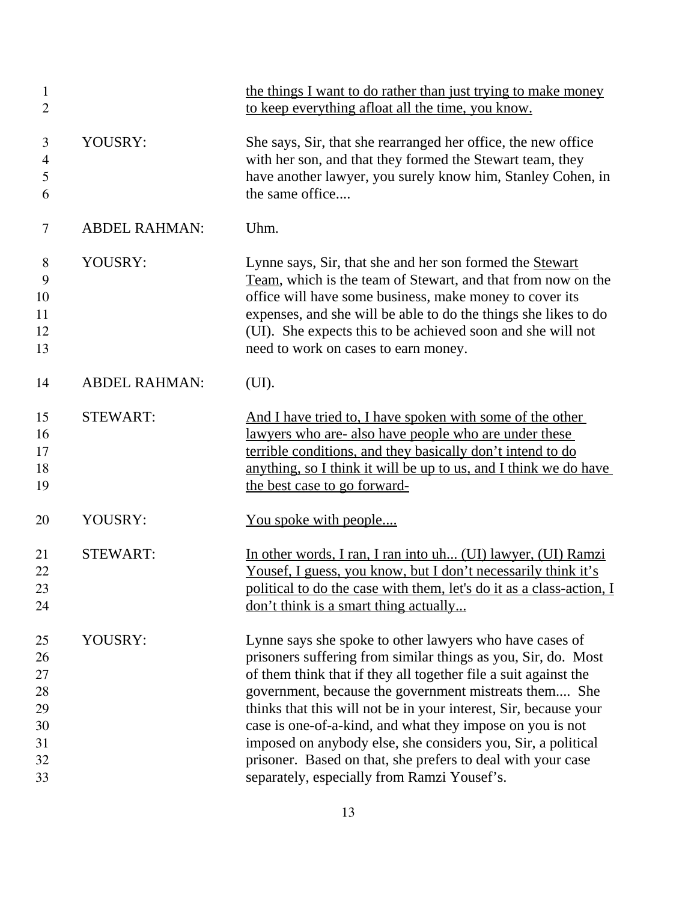| $\mathbf{1}$<br>$\overline{2}$                     |                      | the things I want to do rather than just trying to make money<br>to keep everything afloat all the time, you know.                                                                                                                                                                                                                                                                                                                                                                                                                                                  |
|----------------------------------------------------|----------------------|---------------------------------------------------------------------------------------------------------------------------------------------------------------------------------------------------------------------------------------------------------------------------------------------------------------------------------------------------------------------------------------------------------------------------------------------------------------------------------------------------------------------------------------------------------------------|
| 3<br>$\overline{4}$<br>5<br>6                      | YOUSRY:              | She says, Sir, that she rearranged her office, the new office<br>with her son, and that they formed the Stewart team, they<br>have another lawyer, you surely know him, Stanley Cohen, in<br>the same office                                                                                                                                                                                                                                                                                                                                                        |
| 7                                                  | <b>ABDEL RAHMAN:</b> | Uhm.                                                                                                                                                                                                                                                                                                                                                                                                                                                                                                                                                                |
| 8<br>9<br>10<br>11<br>12<br>13                     | YOUSRY:              | Lynne says, Sir, that she and her son formed the Stewart<br>Team, which is the team of Stewart, and that from now on the<br>office will have some business, make money to cover its<br>expenses, and she will be able to do the things she likes to do<br>(UI). She expects this to be achieved soon and she will not<br>need to work on cases to earn money.                                                                                                                                                                                                       |
| 14                                                 | <b>ABDEL RAHMAN:</b> | (UI).                                                                                                                                                                                                                                                                                                                                                                                                                                                                                                                                                               |
| 15<br>16<br>17<br>18<br>19                         | <b>STEWART:</b>      | And I have tried to, I have spoken with some of the other<br>lawyers who are- also have people who are under these<br>terrible conditions, and they basically don't intend to do<br>anything, so I think it will be up to us, and I think we do have<br>the best case to go forward-                                                                                                                                                                                                                                                                                |
| 20                                                 | YOUSRY:              | <u>You spoke with people</u>                                                                                                                                                                                                                                                                                                                                                                                                                                                                                                                                        |
| 21<br>22<br>23<br>24                               | <b>STEWART:</b>      | In other words, I ran, I ran into uh (UI) lawyer, (UI) Ramzi<br>Yousef, I guess, you know, but I don't necessarily think it's<br>political to do the case with them, let's do it as a class-action, I<br><u>don't think is a smart thing actually</u>                                                                                                                                                                                                                                                                                                               |
| 25<br>26<br>27<br>28<br>29<br>30<br>31<br>32<br>33 | YOUSRY:              | Lynne says she spoke to other lawyers who have cases of<br>prisoners suffering from similar things as you, Sir, do. Most<br>of them think that if they all together file a suit against the<br>government, because the government mistreats them She<br>thinks that this will not be in your interest, Sir, because your<br>case is one-of-a-kind, and what they impose on you is not<br>imposed on anybody else, she considers you, Sir, a political<br>prisoner. Based on that, she prefers to deal with your case<br>separately, especially from Ramzi Yousef's. |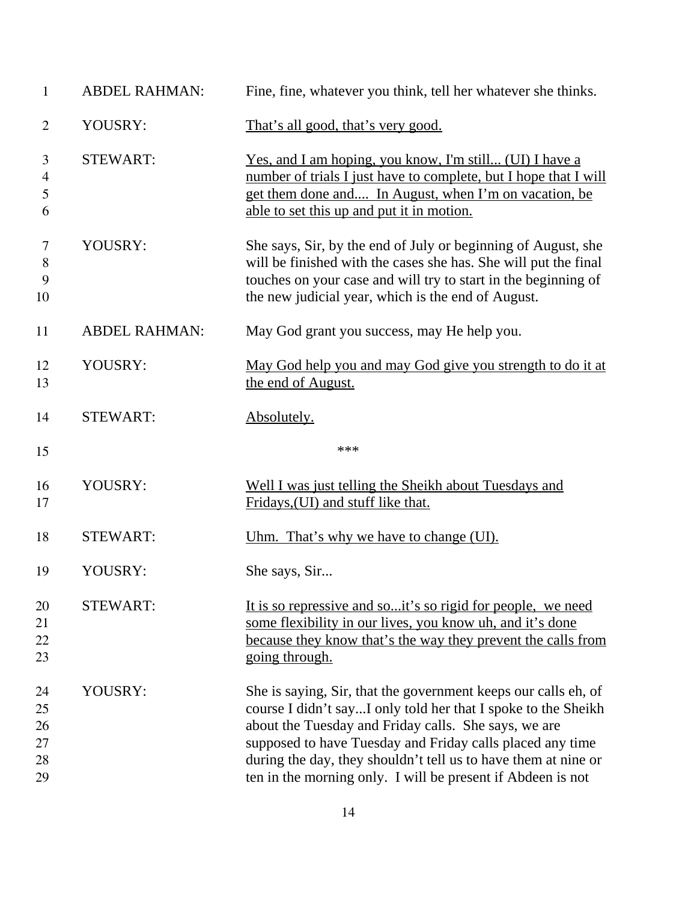| $\mathbf{1}$                   | <b>ABDEL RAHMAN:</b> | Fine, fine, whatever you think, tell her whatever she thinks.                                                                                                                                                                                            |
|--------------------------------|----------------------|----------------------------------------------------------------------------------------------------------------------------------------------------------------------------------------------------------------------------------------------------------|
| $\overline{2}$                 | YOUSRY:              | That's all good, that's very good.                                                                                                                                                                                                                       |
| 3<br>4<br>5<br>6               | <b>STEWART:</b>      | <u>Yes, and I am hoping, you know, I'm still (UI) I have a</u><br>number of trials I just have to complete, but I hope that I will<br>get them done and In August, when I'm on vacation, be<br>able to set this up and put it in motion.                 |
| $\overline{7}$<br>8<br>9<br>10 | YOUSRY:              | She says, Sir, by the end of July or beginning of August, she<br>will be finished with the cases she has. She will put the final<br>touches on your case and will try to start in the beginning of<br>the new judicial year, which is the end of August. |
| 11                             | <b>ABDEL RAHMAN:</b> | May God grant you success, may He help you.                                                                                                                                                                                                              |
| 12<br>13                       | YOUSRY:              | May God help you and may God give you strength to do it at<br>the end of August.                                                                                                                                                                         |
| 14                             | <b>STEWART:</b>      | Absolutely.                                                                                                                                                                                                                                              |
| 15                             |                      | ***                                                                                                                                                                                                                                                      |
| 16<br>17                       | YOUSRY:              | Well I was just telling the Sheikh about Tuesdays and<br>Fridays, (UI) and stuff like that.                                                                                                                                                              |
| 18                             | <b>STEWART:</b>      | Uhm. That's why we have to change (UI).                                                                                                                                                                                                                  |
| 19                             | YOUSRY:              | She says, Sir                                                                                                                                                                                                                                            |
| 20<br>21<br>22<br>23           | <b>STEWART:</b>      | It is so repressive and soit's so rigid for people, we need<br>some flexibility in our lives, you know uh, and it's done<br>because they know that's the way they prevent the calls from<br>going through.                                               |
| 24<br>25<br>26<br>27<br>28     | YOUSRY:              | She is saying, Sir, that the government keeps our calls eh, of<br>course I didn't sayI only told her that I spoke to the Sheikh<br>about the Tuesday and Friday calls. She says, we are<br>supposed to have Tuesday and Friday calls placed any time     |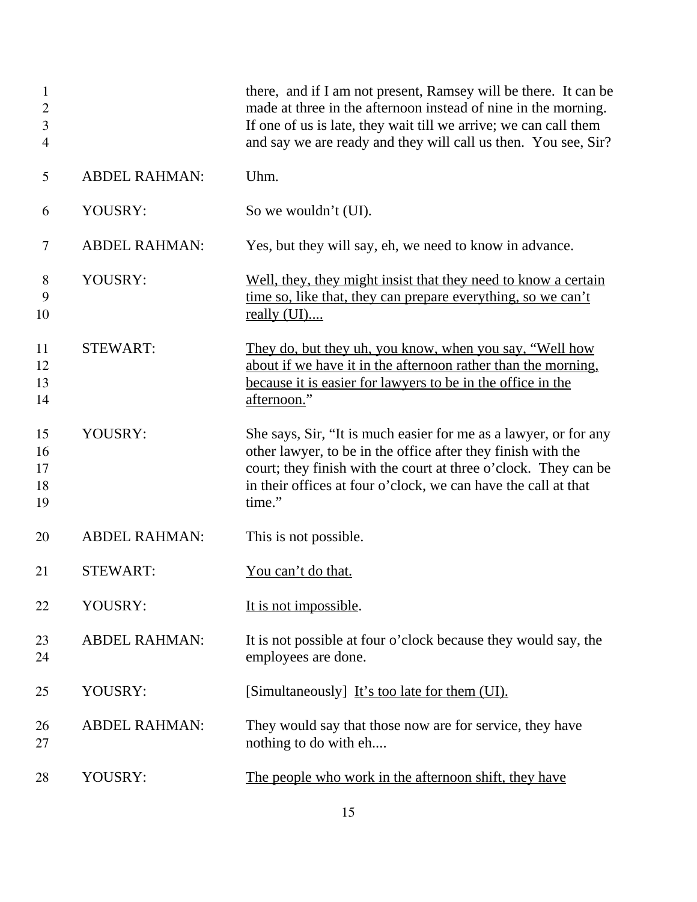| $\mathbf{1}$<br>$\overline{2}$<br>3<br>$\overline{4}$ |                      | there, and if I am not present, Ramsey will be there. It can be<br>made at three in the afternoon instead of nine in the morning.<br>If one of us is late, they wait till we arrive; we can call them<br>and say we are ready and they will call us then. You see, Sir?         |
|-------------------------------------------------------|----------------------|---------------------------------------------------------------------------------------------------------------------------------------------------------------------------------------------------------------------------------------------------------------------------------|
| 5                                                     | <b>ABDEL RAHMAN:</b> | Uhm.                                                                                                                                                                                                                                                                            |
| 6                                                     | YOUSRY:              | So we wouldn't (UI).                                                                                                                                                                                                                                                            |
| 7                                                     | <b>ABDEL RAHMAN:</b> | Yes, but they will say, eh, we need to know in advance.                                                                                                                                                                                                                         |
| 8<br>9<br>10                                          | YOUSRY:              | Well, they, they might insist that they need to know a certain<br>time so, like that, they can prepare everything, so we can't<br>really $(UI)$                                                                                                                                 |
| 11<br>12<br>13<br>14                                  | <b>STEWART:</b>      | They do, but they uh, you know, when you say, "Well how<br>about if we have it in the afternoon rather than the morning.<br>because it is easier for lawyers to be in the office in the<br>afternoon."                                                                          |
| 15<br>16<br>17<br>18<br>19                            | YOUSRY:              | She says, Sir, "It is much easier for me as a lawyer, or for any<br>other lawyer, to be in the office after they finish with the<br>court; they finish with the court at three o'clock. They can be<br>in their offices at four o'clock, we can have the call at that<br>time." |
| 20                                                    | <b>ABDEL RAHMAN:</b> | This is not possible.                                                                                                                                                                                                                                                           |
| 21                                                    | <b>STEWART:</b>      | You can't do that.                                                                                                                                                                                                                                                              |
| 22                                                    | YOUSRY:              | It is not impossible.                                                                                                                                                                                                                                                           |
| 23<br>24                                              | <b>ABDEL RAHMAN:</b> | It is not possible at four o'clock because they would say, the<br>employees are done.                                                                                                                                                                                           |
| 25                                                    | YOUSRY:              | [Simultaneously] It's too late for them (UI).                                                                                                                                                                                                                                   |
| 26<br>27                                              | <b>ABDEL RAHMAN:</b> | They would say that those now are for service, they have<br>nothing to do with eh                                                                                                                                                                                               |
| 28                                                    | YOUSRY:              | The people who work in the afternoon shift, they have                                                                                                                                                                                                                           |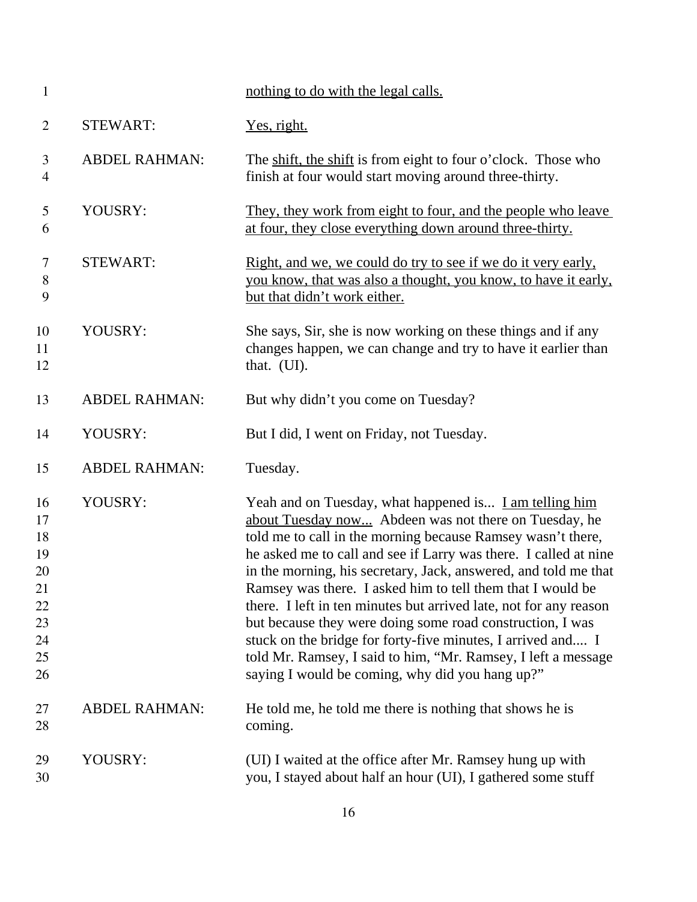| $\mathbf{1}$                                                   |                      | nothing to do with the legal calls.                                                                                                                                                                                                                                                                                                                                                                                                                                                                                                                                                                                                                                                                      |
|----------------------------------------------------------------|----------------------|----------------------------------------------------------------------------------------------------------------------------------------------------------------------------------------------------------------------------------------------------------------------------------------------------------------------------------------------------------------------------------------------------------------------------------------------------------------------------------------------------------------------------------------------------------------------------------------------------------------------------------------------------------------------------------------------------------|
| $\overline{2}$                                                 | <b>STEWART:</b>      | Yes, right.                                                                                                                                                                                                                                                                                                                                                                                                                                                                                                                                                                                                                                                                                              |
| 3<br>$\overline{4}$                                            | <b>ABDEL RAHMAN:</b> | The shift, the shift is from eight to four o'clock. Those who<br>finish at four would start moving around three-thirty.                                                                                                                                                                                                                                                                                                                                                                                                                                                                                                                                                                                  |
| 5<br>6                                                         | YOUSRY:              | They, they work from eight to four, and the people who leave<br>at four, they close everything down around three-thirty.                                                                                                                                                                                                                                                                                                                                                                                                                                                                                                                                                                                 |
| 7<br>8<br>9                                                    | <b>STEWART:</b>      | Right, and we, we could do try to see if we do it very early,<br>you know, that was also a thought, you know, to have it early,<br>but that didn't work either.                                                                                                                                                                                                                                                                                                                                                                                                                                                                                                                                          |
| 10<br>11<br>12                                                 | YOUSRY:              | She says, Sir, she is now working on these things and if any<br>changes happen, we can change and try to have it earlier than<br>that. (UI).                                                                                                                                                                                                                                                                                                                                                                                                                                                                                                                                                             |
| 13                                                             | <b>ABDEL RAHMAN:</b> | But why didn't you come on Tuesday?                                                                                                                                                                                                                                                                                                                                                                                                                                                                                                                                                                                                                                                                      |
| 14                                                             | YOUSRY:              | But I did, I went on Friday, not Tuesday.                                                                                                                                                                                                                                                                                                                                                                                                                                                                                                                                                                                                                                                                |
| 15                                                             | <b>ABDEL RAHMAN:</b> | Tuesday.                                                                                                                                                                                                                                                                                                                                                                                                                                                                                                                                                                                                                                                                                                 |
| 16<br>17<br>18<br>19<br>20<br>21<br>22<br>23<br>24<br>25<br>26 | YOUSRY:              | Yeah and on Tuesday, what happened is I am telling him<br>about Tuesday now Abdeen was not there on Tuesday, he<br>told me to call in the morning because Ramsey wasn't there,<br>he asked me to call and see if Larry was there. I called at nine<br>in the morning, his secretary, Jack, answered, and told me that<br>Ramsey was there. I asked him to tell them that I would be<br>there. I left in ten minutes but arrived late, not for any reason<br>but because they were doing some road construction, I was<br>stuck on the bridge for forty-five minutes, I arrived and I<br>told Mr. Ramsey, I said to him, "Mr. Ramsey, I left a message<br>saying I would be coming, why did you hang up?" |
| 27<br>28                                                       | <b>ABDEL RAHMAN:</b> | He told me, he told me there is nothing that shows he is<br>coming.                                                                                                                                                                                                                                                                                                                                                                                                                                                                                                                                                                                                                                      |
| 29<br>30                                                       | YOUSRY:              | (UI) I waited at the office after Mr. Ramsey hung up with<br>you, I stayed about half an hour (UI), I gathered some stuff                                                                                                                                                                                                                                                                                                                                                                                                                                                                                                                                                                                |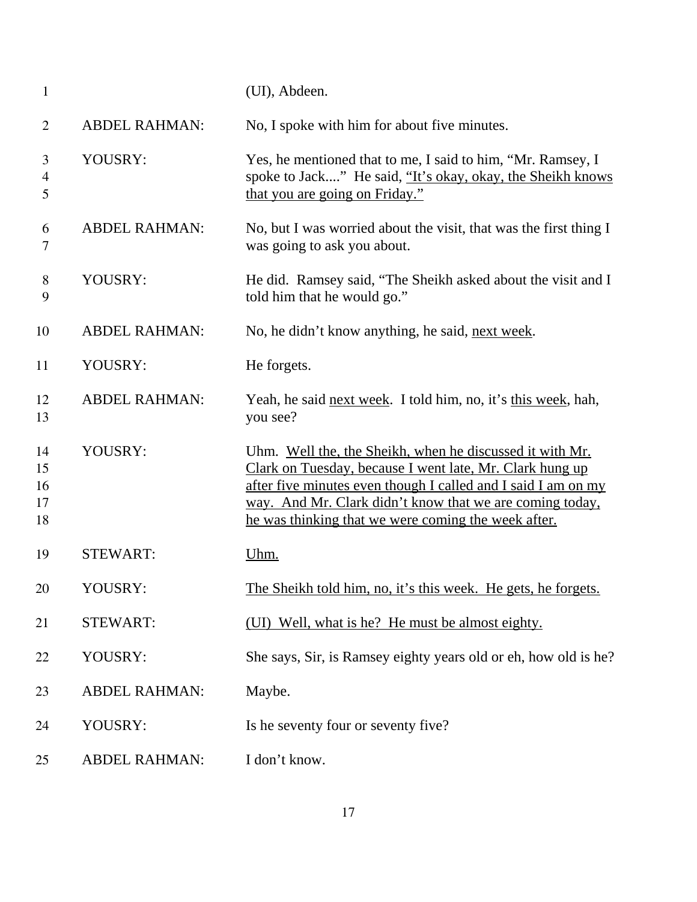| $\mathbf{1}$                       |                      | (UI), Abdeen.                                                                                                                                                                                                                                                                                            |
|------------------------------------|----------------------|----------------------------------------------------------------------------------------------------------------------------------------------------------------------------------------------------------------------------------------------------------------------------------------------------------|
| $\overline{2}$                     | <b>ABDEL RAHMAN:</b> | No, I spoke with him for about five minutes.                                                                                                                                                                                                                                                             |
| 3<br>$\overline{\mathcal{A}}$<br>5 | YOUSRY:              | Yes, he mentioned that to me, I said to him, "Mr. Ramsey, I<br>spoke to Jack" He said, "It's okay, okay, the Sheikh knows<br>that you are going on Friday."                                                                                                                                              |
| 6<br>7                             | <b>ABDEL RAHMAN:</b> | No, but I was worried about the visit, that was the first thing I<br>was going to ask you about.                                                                                                                                                                                                         |
| 8<br>9                             | YOUSRY:              | He did. Ramsey said, "The Sheikh asked about the visit and I<br>told him that he would go."                                                                                                                                                                                                              |
| 10                                 | <b>ABDEL RAHMAN:</b> | No, he didn't know anything, he said, next week.                                                                                                                                                                                                                                                         |
| 11                                 | YOUSRY:              | He forgets.                                                                                                                                                                                                                                                                                              |
| 12<br>13                           | <b>ABDEL RAHMAN:</b> | Yeah, he said next week. I told him, no, it's this week, hah,<br>you see?                                                                                                                                                                                                                                |
| 14<br>15<br>16<br>17<br>18         | YOUSRY:              | Uhm. Well the, the Sheikh, when he discussed it with Mr.<br>Clark on Tuesday, because I went late, Mr. Clark hung up<br>after five minutes even though I called and I said I am on my<br>way. And Mr. Clark didn't know that we are coming today,<br>he was thinking that we were coming the week after. |
| 19                                 | <b>STEWART:</b>      | Uhm.                                                                                                                                                                                                                                                                                                     |
| 20                                 | YOUSRY:              | The Sheikh told him, no, it's this week. He gets, he forgets.                                                                                                                                                                                                                                            |
| 21                                 | <b>STEWART:</b>      | (UI) Well, what is he? He must be almost eighty.                                                                                                                                                                                                                                                         |
| 22                                 | YOUSRY:              | She says, Sir, is Ramsey eighty years old or eh, how old is he?                                                                                                                                                                                                                                          |
| 23                                 | <b>ABDEL RAHMAN:</b> | Maybe.                                                                                                                                                                                                                                                                                                   |
| 24                                 | YOUSRY:              | Is he seventy four or seventy five?                                                                                                                                                                                                                                                                      |
| 25                                 | <b>ABDEL RAHMAN:</b> | I don't know.                                                                                                                                                                                                                                                                                            |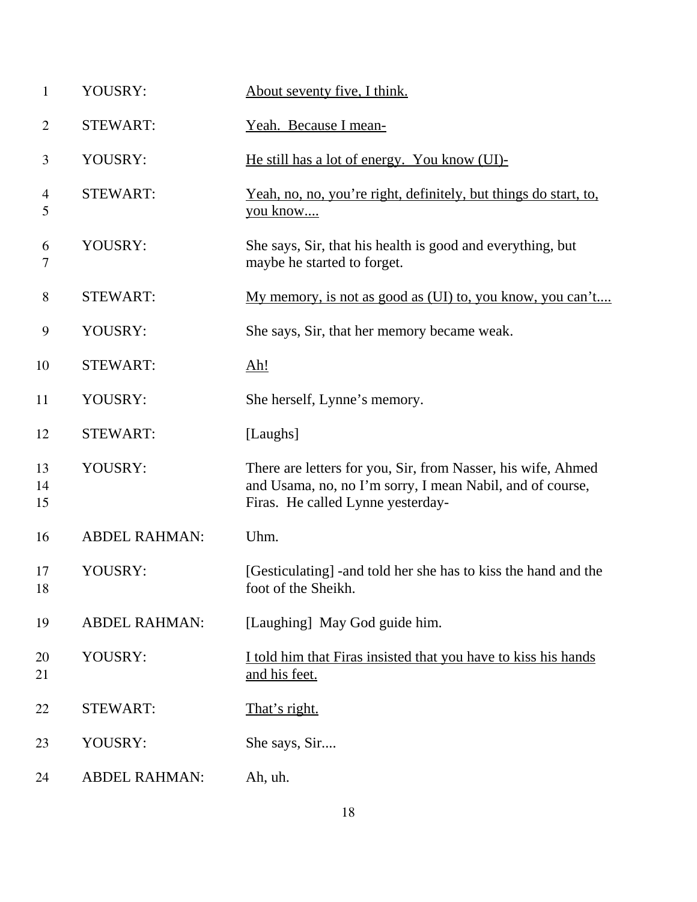| YOUSRY:              | About seventy five, I think.                                                                                                                                   |
|----------------------|----------------------------------------------------------------------------------------------------------------------------------------------------------------|
| <b>STEWART:</b>      | Yeah. Because I mean-                                                                                                                                          |
| YOUSRY:              | He still has a lot of energy. You know (UI)-                                                                                                                   |
| <b>STEWART:</b>      | <u>Yeah, no, no, you're right, definitely, but things do start, to,</u><br>you know                                                                            |
| YOUSRY:              | She says, Sir, that his health is good and everything, but<br>maybe he started to forget.                                                                      |
| <b>STEWART:</b>      | My memory, is not as good as (UI) to, you know, you can't                                                                                                      |
| YOUSRY:              | She says, Sir, that her memory became weak.                                                                                                                    |
| <b>STEWART:</b>      | <u>Ah!</u>                                                                                                                                                     |
| YOUSRY:              | She herself, Lynne's memory.                                                                                                                                   |
| <b>STEWART:</b>      | [Laughs]                                                                                                                                                       |
| YOUSRY:              | There are letters for you, Sir, from Nasser, his wife, Ahmed<br>and Usama, no, no I'm sorry, I mean Nabil, and of course,<br>Firas. He called Lynne yesterday- |
| <b>ABDEL RAHMAN:</b> | Uhm.                                                                                                                                                           |
| YOUSRY:              | [Gesticulating] - and told her she has to kiss the hand and the<br>foot of the Sheikh.                                                                         |
| <b>ABDEL RAHMAN:</b> | [Laughing] May God guide him.                                                                                                                                  |
| YOUSRY:              | I told him that Firas insisted that you have to kiss his hands<br>and his feet.                                                                                |
| <b>STEWART:</b>      | <u>That's right.</u>                                                                                                                                           |
| YOUSRY:              | She says, Sir                                                                                                                                                  |
| <b>ABDEL RAHMAN:</b> | Ah, uh.                                                                                                                                                        |
|                      |                                                                                                                                                                |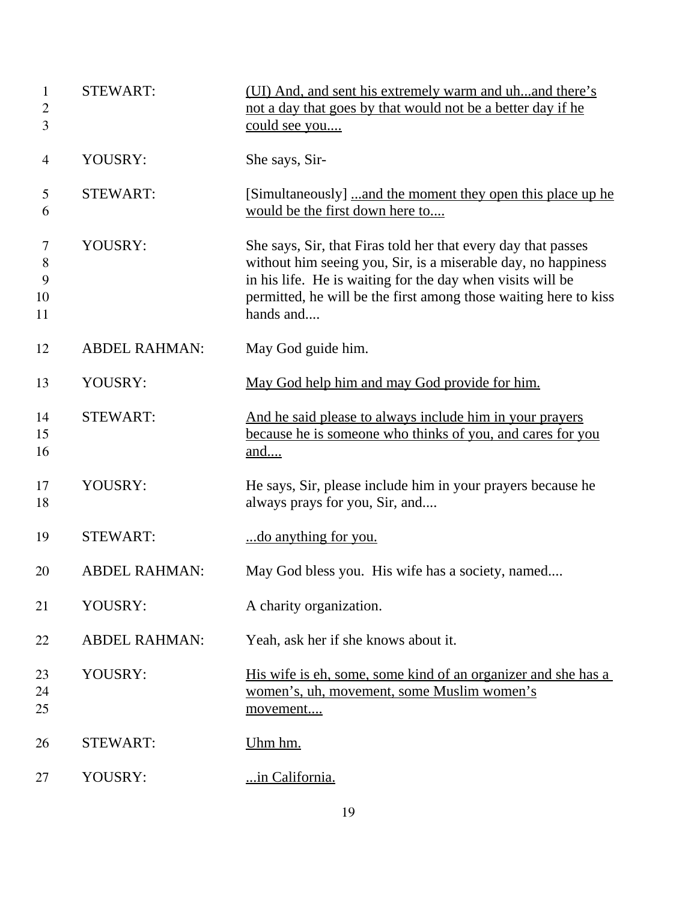| $\mathbf{1}$<br>$\overline{c}$<br>3 | <b>STEWART:</b>      | (UI) And, and sent his extremely warm and uhand there's<br>not a day that goes by that would not be a better day if he<br>could see you                                                                                                                                       |
|-------------------------------------|----------------------|-------------------------------------------------------------------------------------------------------------------------------------------------------------------------------------------------------------------------------------------------------------------------------|
| $\overline{4}$                      | YOUSRY:              | She says, Sir-                                                                                                                                                                                                                                                                |
| 5<br>6                              | <b>STEWART:</b>      | [Simultaneously] and the moment they open this place up he<br>would be the first down here to                                                                                                                                                                                 |
| 7<br>8<br>9<br>10<br>11             | YOUSRY:              | She says, Sir, that Firas told her that every day that passes<br>without him seeing you, Sir, is a miserable day, no happiness<br>in his life. He is waiting for the day when visits will be<br>permitted, he will be the first among those waiting here to kiss<br>hands and |
| 12                                  | <b>ABDEL RAHMAN:</b> | May God guide him.                                                                                                                                                                                                                                                            |
| 13                                  | YOUSRY:              | May God help him and may God provide for him.                                                                                                                                                                                                                                 |
| 14<br>15<br>16                      | <b>STEWART:</b>      | And he said please to always include him in your prayers<br>because he is someone who thinks of you, and cares for you<br>and                                                                                                                                                 |
| 17<br>18                            | YOUSRY:              | He says, Sir, please include him in your prayers because he<br>always prays for you, Sir, and                                                                                                                                                                                 |
| 19                                  | <b>STEWART:</b>      | do anything for you.                                                                                                                                                                                                                                                          |
| 20                                  | <b>ABDEL RAHMAN:</b> | May God bless you. His wife has a society, named                                                                                                                                                                                                                              |
| 21                                  | YOUSRY:              | A charity organization.                                                                                                                                                                                                                                                       |
| 22                                  | <b>ABDEL RAHMAN:</b> | Yeah, ask her if she knows about it.                                                                                                                                                                                                                                          |
| 23<br>24<br>25                      | YOUSRY:              | His wife is eh, some, some kind of an organizer and she has a<br>women's, uh, movement, some Muslim women's<br>movement                                                                                                                                                       |
| 26                                  | <b>STEWART:</b>      | Uhm hm.                                                                                                                                                                                                                                                                       |
| 27                                  | YOUSRY:              | in California.                                                                                                                                                                                                                                                                |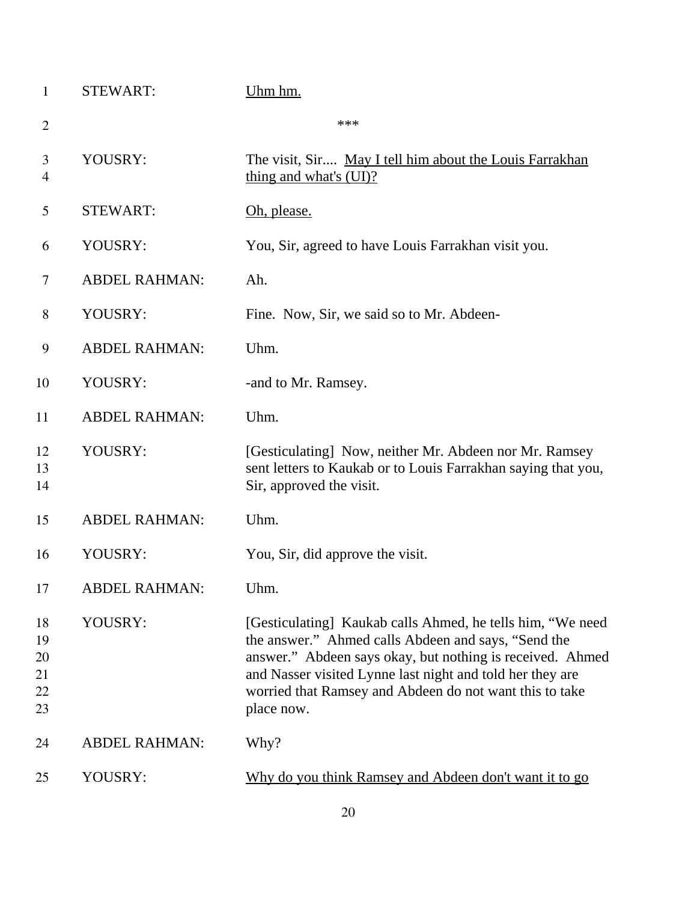| 1                                | <b>STEWART:</b>      | Uhm hm.                                                                                                                                                                                                                                                                                                              |
|----------------------------------|----------------------|----------------------------------------------------------------------------------------------------------------------------------------------------------------------------------------------------------------------------------------------------------------------------------------------------------------------|
| $\overline{2}$                   |                      | ***                                                                                                                                                                                                                                                                                                                  |
| 3<br>$\overline{4}$              | YOUSRY:              | The visit, Sir May I tell him about the Louis Farrakhan<br>thing and what's (UI)?                                                                                                                                                                                                                                    |
| 5                                | <b>STEWART:</b>      | Oh, please.                                                                                                                                                                                                                                                                                                          |
| 6                                | YOUSRY:              | You, Sir, agreed to have Louis Farrakhan visit you.                                                                                                                                                                                                                                                                  |
| 7                                | <b>ABDEL RAHMAN:</b> | Ah.                                                                                                                                                                                                                                                                                                                  |
| 8                                | YOUSRY:              | Fine. Now, Sir, we said so to Mr. Abdeen-                                                                                                                                                                                                                                                                            |
| 9                                | <b>ABDEL RAHMAN:</b> | Uhm.                                                                                                                                                                                                                                                                                                                 |
| 10                               | YOUSRY:              | -and to Mr. Ramsey.                                                                                                                                                                                                                                                                                                  |
| 11                               | <b>ABDEL RAHMAN:</b> | Uhm.                                                                                                                                                                                                                                                                                                                 |
| 12<br>13<br>14                   | YOUSRY:              | [Gesticulating] Now, neither Mr. Abdeen nor Mr. Ramsey<br>sent letters to Kaukab or to Louis Farrakhan saying that you,<br>Sir, approved the visit.                                                                                                                                                                  |
| 15                               | <b>ABDEL RAHMAN:</b> | Uhm.                                                                                                                                                                                                                                                                                                                 |
| 16                               | YOUSRY:              | You, Sir, did approve the visit.                                                                                                                                                                                                                                                                                     |
| 17                               | ABDEL RAHMAN:        | Uhm.                                                                                                                                                                                                                                                                                                                 |
| 18<br>19<br>20<br>21<br>22<br>23 | YOUSRY:              | [Gesticulating] Kaukab calls Ahmed, he tells him, "We need<br>the answer." Ahmed calls Abdeen and says, "Send the<br>answer." Abdeen says okay, but nothing is received. Ahmed<br>and Nasser visited Lynne last night and told her they are<br>worried that Ramsey and Abdeen do not want this to take<br>place now. |
| 24                               | <b>ABDEL RAHMAN:</b> | Why?                                                                                                                                                                                                                                                                                                                 |
| 25                               | YOUSRY:              | Why do you think Ramsey and Abdeen don't want it to go                                                                                                                                                                                                                                                               |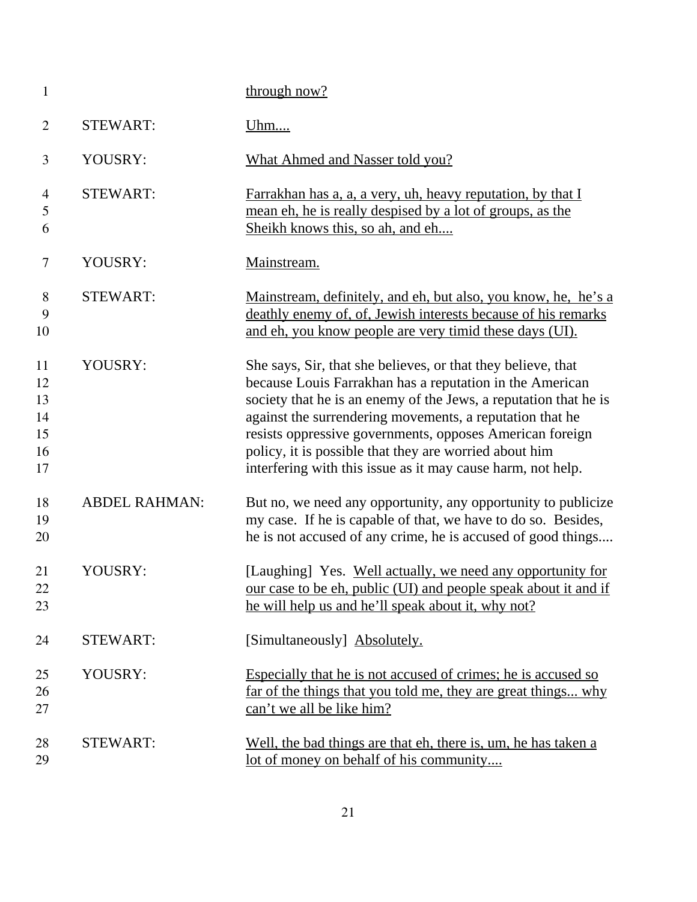| $\mathbf{1}$                           |                      | through now?                                                                                                                                                                                                                                                                                                                                                                                                                                  |
|----------------------------------------|----------------------|-----------------------------------------------------------------------------------------------------------------------------------------------------------------------------------------------------------------------------------------------------------------------------------------------------------------------------------------------------------------------------------------------------------------------------------------------|
| $\overline{2}$                         | <b>STEWART:</b>      | <u>Uhm</u>                                                                                                                                                                                                                                                                                                                                                                                                                                    |
| 3                                      | YOUSRY:              | <b>What Ahmed and Nasser told you?</b>                                                                                                                                                                                                                                                                                                                                                                                                        |
| $\overline{4}$<br>5<br>6               | <b>STEWART:</b>      | Farrakhan has a, a, a very, uh, heavy reputation, by that I<br>mean eh, he is really despised by a lot of groups, as the<br>Sheikh knows this, so ah, and eh                                                                                                                                                                                                                                                                                  |
| $\tau$                                 | YOUSRY:              | Mainstream.                                                                                                                                                                                                                                                                                                                                                                                                                                   |
| 8<br>9<br>10                           | <b>STEWART:</b>      | Mainstream, definitely, and eh, but also, you know, he, he's a<br>deathly enemy of, of, Jewish interests because of his remarks<br>and eh, you know people are very timid these days (UI).                                                                                                                                                                                                                                                    |
| 11<br>12<br>13<br>14<br>15<br>16<br>17 | YOUSRY:              | She says, Sir, that she believes, or that they believe, that<br>because Louis Farrakhan has a reputation in the American<br>society that he is an enemy of the Jews, a reputation that he is<br>against the surrendering movements, a reputation that he<br>resists oppressive governments, opposes American foreign<br>policy, it is possible that they are worried about him<br>interfering with this issue as it may cause harm, not help. |
| 18<br>19<br>20                         | <b>ABDEL RAHMAN:</b> | But no, we need any opportunity, any opportunity to publicize<br>my case. If he is capable of that, we have to do so. Besides,<br>he is not accused of any crime, he is accused of good things                                                                                                                                                                                                                                                |
| 21<br>22<br>23                         | YOUSRY:              | [Laughing] Yes. Well actually, we need any opportunity for<br>our case to be eh, public (UI) and people speak about it and if<br>he will help us and he'll speak about it, why not?                                                                                                                                                                                                                                                           |
| 24                                     | <b>STEWART:</b>      | [Simultaneously] Absolutely.                                                                                                                                                                                                                                                                                                                                                                                                                  |
| 25<br>26<br>27                         | YOUSRY:              | Especially that he is not accused of crimes; he is accused so<br>far of the things that you told me, they are great things why<br>can't we all be like him?                                                                                                                                                                                                                                                                                   |
| 28<br>29                               | <b>STEWART:</b>      | Well, the bad things are that eh, there is, um, he has taken a<br>lot of money on behalf of his community                                                                                                                                                                                                                                                                                                                                     |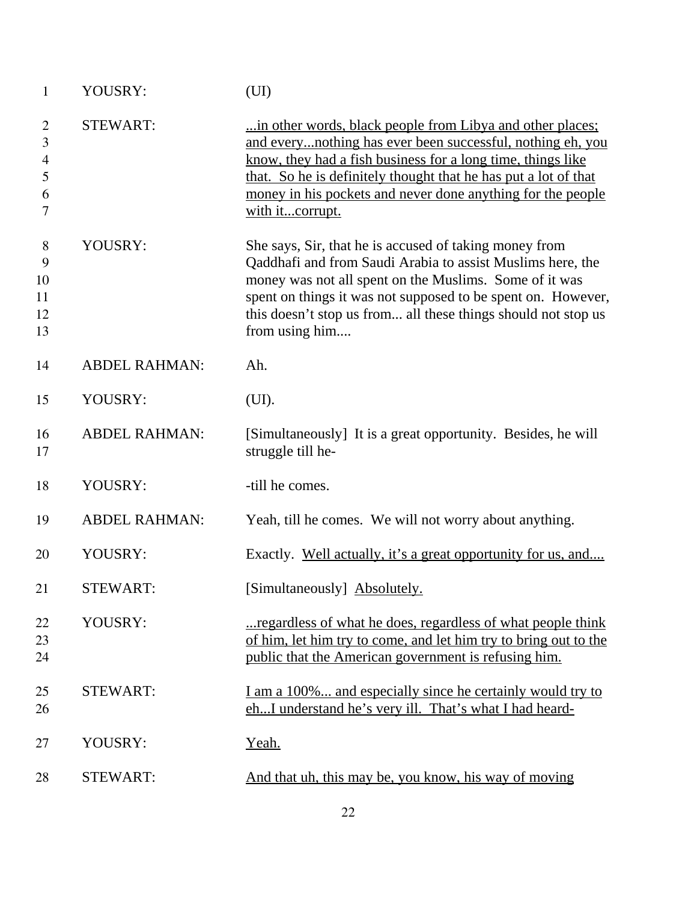| $\mathbf{1}$                            | YOUSRY:              | (UI)                                                                                                                                                                                                                                                                                                                                        |
|-----------------------------------------|----------------------|---------------------------------------------------------------------------------------------------------------------------------------------------------------------------------------------------------------------------------------------------------------------------------------------------------------------------------------------|
| $\overline{2}$<br>3<br>4<br>5<br>6<br>7 | <b>STEWART:</b>      | in other words, black people from Libya and other places;<br>and everynothing has ever been successful, nothing eh, you<br>know, they had a fish business for a long time, things like<br>that. So he is definitely thought that he has put a lot of that<br>money in his pockets and never done anything for the people<br>with itcorrupt. |
| 8<br>9<br>10<br>11<br>12<br>13          | YOUSRY:              | She says, Sir, that he is accused of taking money from<br>Qaddhafi and from Saudi Arabia to assist Muslims here, the<br>money was not all spent on the Muslims. Some of it was<br>spent on things it was not supposed to be spent on. However,<br>this doesn't stop us from all these things should not stop us<br>from using him           |
| 14                                      | <b>ABDEL RAHMAN:</b> | Ah.                                                                                                                                                                                                                                                                                                                                         |
| 15                                      | YOUSRY:              | (UI).                                                                                                                                                                                                                                                                                                                                       |
| 16<br>17                                | <b>ABDEL RAHMAN:</b> | [Simultaneously] It is a great opportunity. Besides, he will<br>struggle till he-                                                                                                                                                                                                                                                           |
| 18                                      | YOUSRY:              | -till he comes.                                                                                                                                                                                                                                                                                                                             |
| 19                                      | <b>ABDEL RAHMAN:</b> | Yeah, till he comes. We will not worry about anything.                                                                                                                                                                                                                                                                                      |
| 20                                      | YOUSRY:              | Exactly. Well actually, it's a great opportunity for us, and                                                                                                                                                                                                                                                                                |
| 21                                      | <b>STEWART:</b>      | [Simultaneously] Absolutely.                                                                                                                                                                                                                                                                                                                |
| 22<br>23<br>24                          | YOUSRY:              | regardless of what he does, regardless of what people think<br>of him, let him try to come, and let him try to bring out to the<br>public that the American government is refusing him.                                                                                                                                                     |
| 25<br>26                                | <b>STEWART:</b>      | I am a 100% and especially since he certainly would try to<br>ehI understand he's very ill. That's what I had heard-                                                                                                                                                                                                                        |
| 27                                      | YOUSRY:              | Yeah.                                                                                                                                                                                                                                                                                                                                       |
| 28                                      | <b>STEWART:</b>      | And that uh, this may be, you know, his way of moving                                                                                                                                                                                                                                                                                       |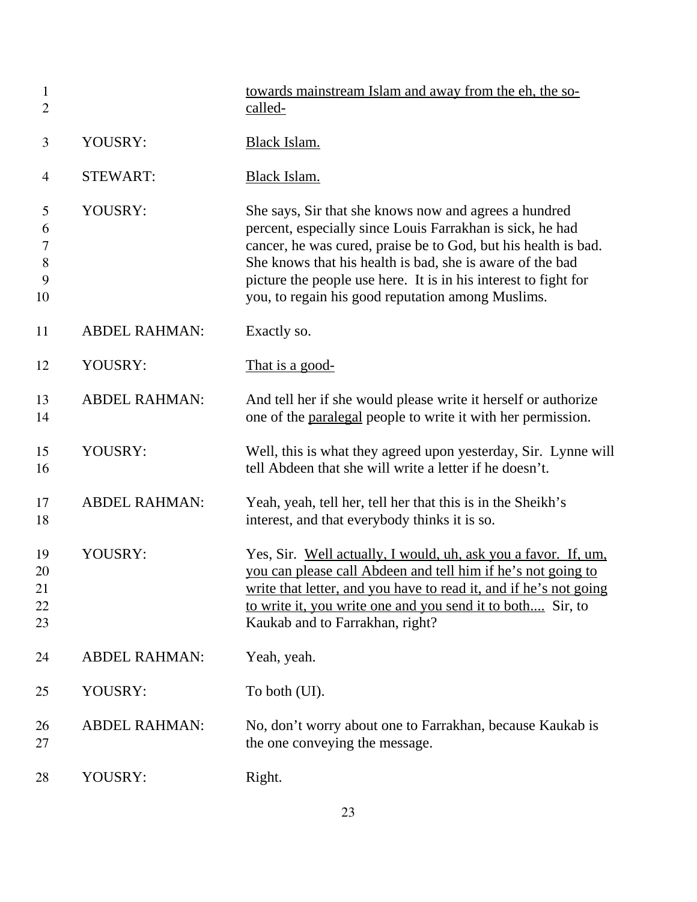| $\mathbf{1}$<br>$\overline{2}$           |                      | towards mainstream Islam and away from the eh, the so-<br>called-                                                                                                                                                                                                                                                                                                         |
|------------------------------------------|----------------------|---------------------------------------------------------------------------------------------------------------------------------------------------------------------------------------------------------------------------------------------------------------------------------------------------------------------------------------------------------------------------|
| 3                                        | YOUSRY:              | Black Islam.                                                                                                                                                                                                                                                                                                                                                              |
| $\overline{4}$                           | <b>STEWART:</b>      | Black Islam.                                                                                                                                                                                                                                                                                                                                                              |
| 5<br>6<br>$\overline{7}$<br>8<br>9<br>10 | YOUSRY:              | She says, Sir that she knows now and agrees a hundred<br>percent, especially since Louis Farrakhan is sick, he had<br>cancer, he was cured, praise be to God, but his health is bad.<br>She knows that his health is bad, she is aware of the bad<br>picture the people use here. It is in his interest to fight for<br>you, to regain his good reputation among Muslims. |
| 11                                       | <b>ABDEL RAHMAN:</b> | Exactly so.                                                                                                                                                                                                                                                                                                                                                               |
| 12                                       | YOUSRY:              | That is a good-                                                                                                                                                                                                                                                                                                                                                           |
| 13<br>14                                 | <b>ABDEL RAHMAN:</b> | And tell her if she would please write it herself or authorize<br>one of the paralegal people to write it with her permission.                                                                                                                                                                                                                                            |
| 15<br>16                                 | YOUSRY:              | Well, this is what they agreed upon yesterday, Sir. Lynne will<br>tell Abdeen that she will write a letter if he doesn't.                                                                                                                                                                                                                                                 |
| 17<br>18                                 | <b>ABDEL RAHMAN:</b> | Yeah, yeah, tell her, tell her that this is in the Sheikh's<br>interest, and that everybody thinks it is so.                                                                                                                                                                                                                                                              |
| 19<br>20<br>21<br>22<br>23               | YOUSRY:              | Yes, Sir. Well actually, I would, uh, ask you a favor. If, um,<br>you can please call Abdeen and tell him if he's not going to<br>write that letter, and you have to read it, and if he's not going<br>to write it, you write one and you send it to both Sir, to<br>Kaukab and to Farrakhan, right?                                                                      |
| 24                                       | <b>ABDEL RAHMAN:</b> | Yeah, yeah.                                                                                                                                                                                                                                                                                                                                                               |
| 25                                       | YOUSRY:              | To both (UI).                                                                                                                                                                                                                                                                                                                                                             |
| 26<br>27                                 | <b>ABDEL RAHMAN:</b> | No, don't worry about one to Farrakhan, because Kaukab is<br>the one conveying the message.                                                                                                                                                                                                                                                                               |
| 28                                       | YOUSRY:              | Right.                                                                                                                                                                                                                                                                                                                                                                    |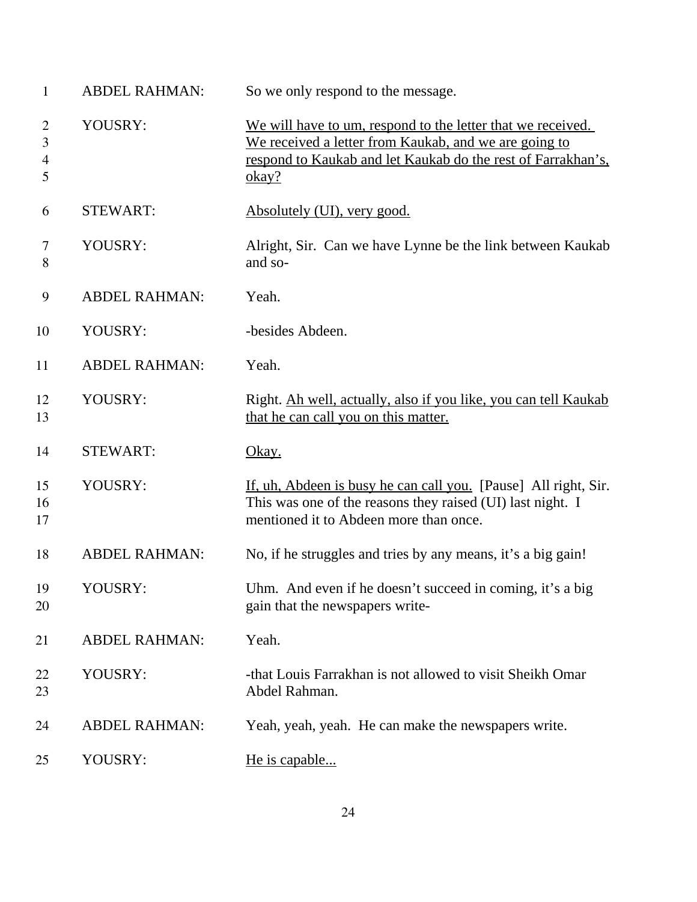| $\mathbf{1}$                               | <b>ABDEL RAHMAN:</b> | So we only respond to the message.                                                                                                                                                            |
|--------------------------------------------|----------------------|-----------------------------------------------------------------------------------------------------------------------------------------------------------------------------------------------|
| $\overline{2}$<br>3<br>$\overline{4}$<br>5 | YOUSRY:              | We will have to um, respond to the letter that we received.<br>We received a letter from Kaukab, and we are going to<br>respond to Kaukab and let Kaukab do the rest of Farrakhan's,<br>okay? |
| 6                                          | <b>STEWART:</b>      | Absolutely (UI), very good.                                                                                                                                                                   |
| 7<br>8                                     | YOUSRY:              | Alright, Sir. Can we have Lynne be the link between Kaukab<br>and so-                                                                                                                         |
| 9                                          | <b>ABDEL RAHMAN:</b> | Yeah.                                                                                                                                                                                         |
| 10                                         | YOUSRY:              | -besides Abdeen.                                                                                                                                                                              |
| 11                                         | <b>ABDEL RAHMAN:</b> | Yeah.                                                                                                                                                                                         |
| 12<br>13                                   | YOUSRY:              | Right. Ah well, actually, also if you like, you can tell Kaukab<br>that he can call you on this matter.                                                                                       |
| 14                                         | <b>STEWART:</b>      | <u>Okay.</u>                                                                                                                                                                                  |
| 15<br>16<br>17                             | YOUSRY:              | If, uh, Abdeen is busy he can call you. [Pause] All right, Sir.<br>This was one of the reasons they raised (UI) last night. I<br>mentioned it to Abdeen more than once.                       |
| 18                                         | <b>ABDEL RAHMAN:</b> | No, if he struggles and tries by any means, it's a big gain!                                                                                                                                  |
| 19<br>20                                   | YOUSRY:              | Uhm. And even if he doesn't succeed in coming, it's a big<br>gain that the newspapers write-                                                                                                  |
| 21                                         | <b>ABDEL RAHMAN:</b> | Yeah.                                                                                                                                                                                         |
| 22<br>23                                   | YOUSRY:              | -that Louis Farrakhan is not allowed to visit Sheikh Omar<br>Abdel Rahman.                                                                                                                    |
| 24                                         | <b>ABDEL RAHMAN:</b> | Yeah, yeah, yeah. He can make the newspapers write.                                                                                                                                           |
| 25                                         | YOUSRY:              | He is capable                                                                                                                                                                                 |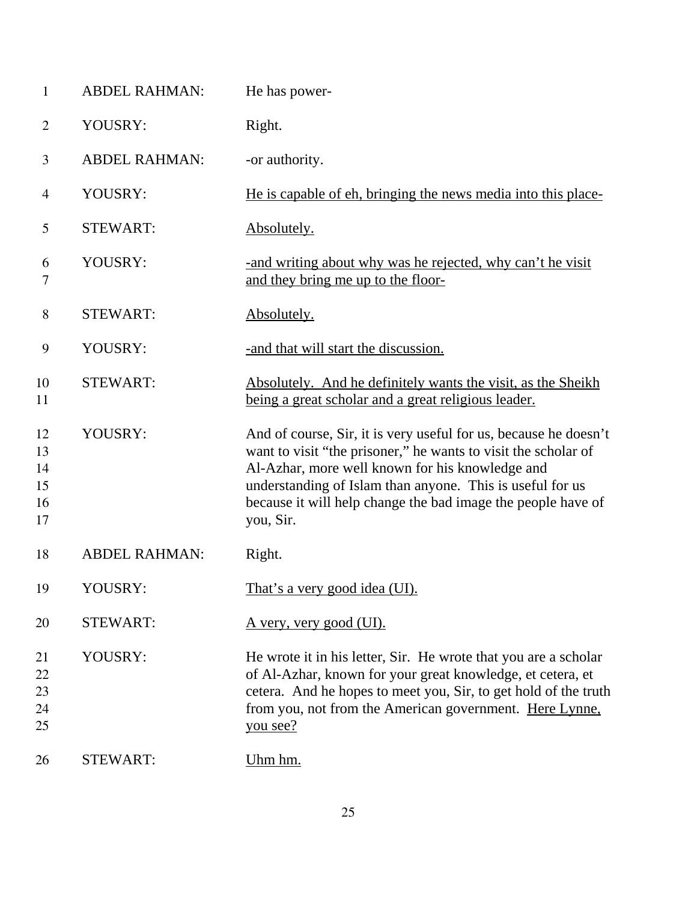| $\mathbf{1}$                     | <b>ABDEL RAHMAN:</b> | He has power-                                                                                                                                                                                                                                                                                                                   |
|----------------------------------|----------------------|---------------------------------------------------------------------------------------------------------------------------------------------------------------------------------------------------------------------------------------------------------------------------------------------------------------------------------|
| $\overline{2}$                   | YOUSRY:              | Right.                                                                                                                                                                                                                                                                                                                          |
| 3                                | <b>ABDEL RAHMAN:</b> | -or authority.                                                                                                                                                                                                                                                                                                                  |
| 4                                | YOUSRY:              | He is capable of eh, bringing the news media into this place-                                                                                                                                                                                                                                                                   |
| 5                                | <b>STEWART:</b>      | Absolutely.                                                                                                                                                                                                                                                                                                                     |
| 6<br>7                           | YOUSRY:              | and writing about why was he rejected, why can't he visit<br>and they bring me up to the floor-                                                                                                                                                                                                                                 |
| $8\,$                            | <b>STEWART:</b>      | Absolutely.                                                                                                                                                                                                                                                                                                                     |
| 9                                | YOUSRY:              | -and that will start the discussion.                                                                                                                                                                                                                                                                                            |
| 10<br>11                         | <b>STEWART:</b>      | Absolutely. And he definitely wants the visit, as the Sheikh<br>being a great scholar and a great religious leader.                                                                                                                                                                                                             |
| 12<br>13<br>14<br>15<br>16<br>17 | YOUSRY:              | And of course, Sir, it is very useful for us, because he doesn't<br>want to visit "the prisoner," he wants to visit the scholar of<br>Al-Azhar, more well known for his knowledge and<br>understanding of Islam than anyone. This is useful for us<br>because it will help change the bad image the people have of<br>you, Sir. |
| 18                               | <b>ABDEL RAHMAN:</b> | Right.                                                                                                                                                                                                                                                                                                                          |
| 19                               | YOUSRY:              | <u>That's a very good idea (UI).</u>                                                                                                                                                                                                                                                                                            |
| 20                               | <b>STEWART:</b>      | <u>A very, very good (UI).</u>                                                                                                                                                                                                                                                                                                  |
| 21<br>22<br>23<br>24<br>25       | YOUSRY:              | He wrote it in his letter, Sir. He wrote that you are a scholar<br>of Al-Azhar, known for your great knowledge, et cetera, et<br>cetera. And he hopes to meet you, Sir, to get hold of the truth<br>from you, not from the American government. Here Lynne,<br>you see?                                                         |
| 26                               | <b>STEWART:</b>      | Uhm hm.                                                                                                                                                                                                                                                                                                                         |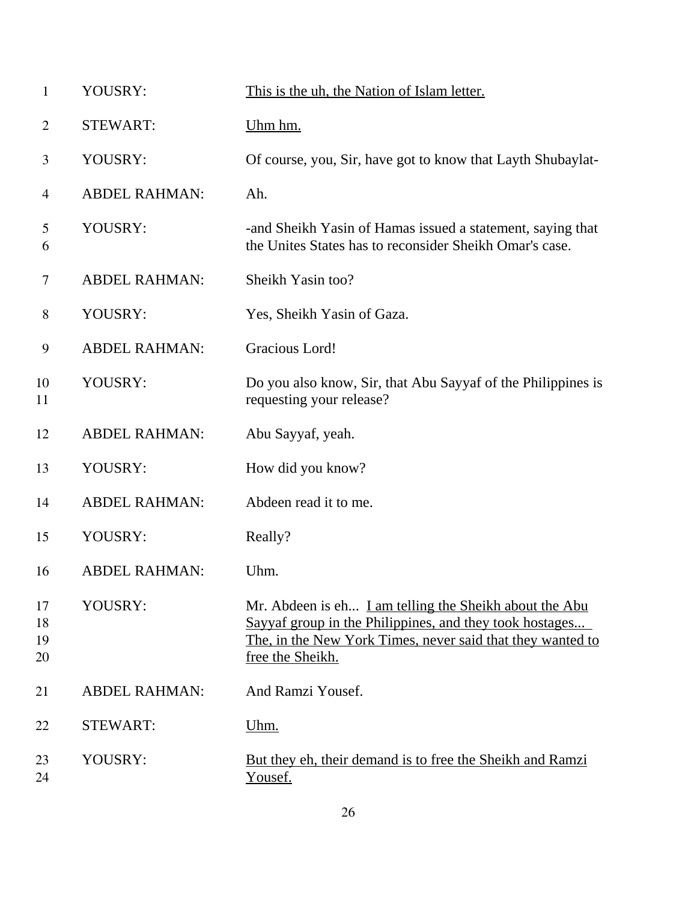| $\mathbf{1}$         | YOUSRY:              | This is the uh, the Nation of Islam letter.                                                                                                                                                         |
|----------------------|----------------------|-----------------------------------------------------------------------------------------------------------------------------------------------------------------------------------------------------|
| $\overline{2}$       | <b>STEWART:</b>      | Uhm hm.                                                                                                                                                                                             |
| 3                    | YOUSRY:              | Of course, you, Sir, have got to know that Layth Shubaylat-                                                                                                                                         |
| 4                    | <b>ABDEL RAHMAN:</b> | Ah.                                                                                                                                                                                                 |
| 5<br>6               | YOUSRY:              | -and Sheikh Yasin of Hamas issued a statement, saying that<br>the Unites States has to reconsider Sheikh Omar's case.                                                                               |
| 7                    | <b>ABDEL RAHMAN:</b> | Sheikh Yasin too?                                                                                                                                                                                   |
| 8                    | YOUSRY:              | Yes, Sheikh Yasin of Gaza.                                                                                                                                                                          |
| 9                    | <b>ABDEL RAHMAN:</b> | Gracious Lord!                                                                                                                                                                                      |
| 10<br>11             | YOUSRY:              | Do you also know, Sir, that Abu Sayyaf of the Philippines is<br>requesting your release?                                                                                                            |
| 12                   | <b>ABDEL RAHMAN:</b> | Abu Sayyaf, yeah.                                                                                                                                                                                   |
| 13                   | YOUSRY:              | How did you know?                                                                                                                                                                                   |
| 14                   | <b>ABDEL RAHMAN:</b> | Abdeen read it to me.                                                                                                                                                                               |
| 15                   | YOUSRY:              | Really?                                                                                                                                                                                             |
| 16                   | <b>ABDEL RAHMAN:</b> | Uhm.                                                                                                                                                                                                |
| 17<br>18<br>19<br>20 | YOUSRY:              | Mr. Abdeen is eh I am telling the Sheikh about the Abu<br>Sayyaf group in the Philippines, and they took hostages<br>The, in the New York Times, never said that they wanted to<br>free the Sheikh. |
| 21                   | <b>ABDEL RAHMAN:</b> | And Ramzi Yousef.                                                                                                                                                                                   |
| 22                   | <b>STEWART:</b>      | <u>Uhm.</u>                                                                                                                                                                                         |
| 23<br>24             | YOUSRY:              | But they eh, their demand is to free the Sheikh and Ramzi<br>Yousef.                                                                                                                                |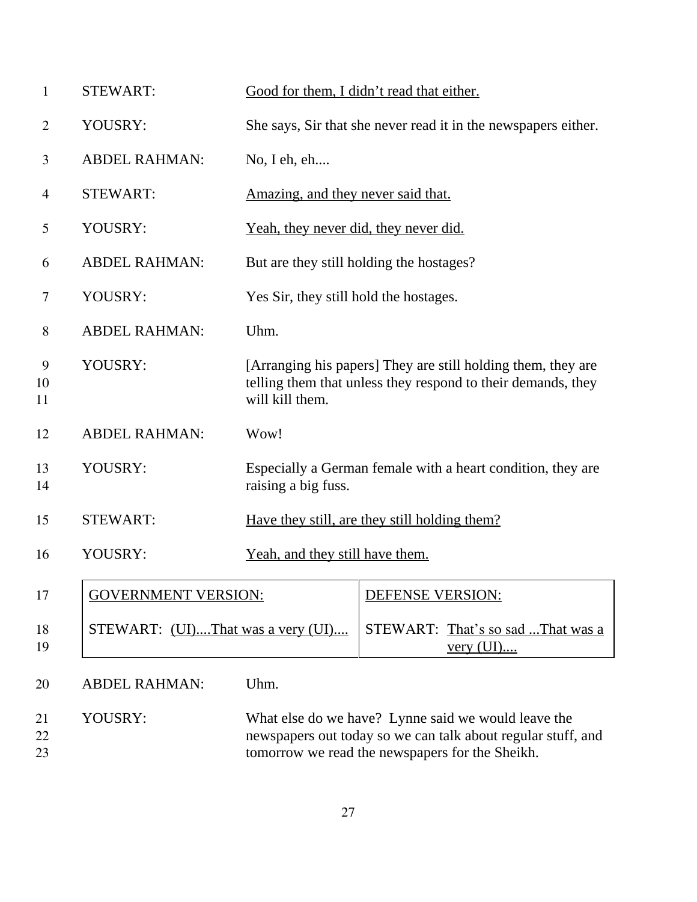| $\mathbf{1}$  | <b>STEWART:</b>                   |                                              | Good for them, I didn't read that either.                                                                                    |
|---------------|-----------------------------------|----------------------------------------------|------------------------------------------------------------------------------------------------------------------------------|
| 2             | YOUSRY:                           |                                              | She says, Sir that she never read it in the newspapers either.                                                               |
| 3             | <b>ABDEL RAHMAN:</b>              | No, I eh, eh                                 |                                                                                                                              |
| 4             | <b>STEWART:</b>                   | <u>Amazing, and they never said that.</u>    |                                                                                                                              |
| 5             | YOUSRY:                           | <u>Yeah, they never did, they never did.</u> |                                                                                                                              |
| 6             | <b>ABDEL RAHMAN:</b>              |                                              | But are they still holding the hostages?                                                                                     |
| 7             | YOUSRY:                           | Yes Sir, they still hold the hostages.       |                                                                                                                              |
| 8             | <b>ABDEL RAHMAN:</b>              | Uhm.                                         |                                                                                                                              |
| 9<br>10<br>11 | YOUSRY:                           | will kill them.                              | [Arranging his papers] They are still holding them, they are<br>telling them that unless they respond to their demands, they |
| 12            | <b>ABDEL RAHMAN:</b>              | Wow!                                         |                                                                                                                              |
| 13<br>14      | YOUSRY:                           | raising a big fuss.                          | Especially a German female with a heart condition, they are                                                                  |
| 15            | <b>STEWART:</b>                   |                                              | Have they still, are they still holding them?                                                                                |
| 16            | YOUSRY:                           | Yeah, and they still have them.              |                                                                                                                              |
| 17            | <b>GOVERNMENT VERSION:</b>        |                                              | <b>DEFENSE VERSION:</b>                                                                                                      |
| 18<br>19      | STEWART: (UI)That was a very (UI) |                                              | STEWART: That's so sad That was a<br><u>very</u> $(UI)$                                                                      |
| 20            | <b>ABDEL RAHMAN:</b>              | Uhm.                                         |                                                                                                                              |
| 21<br>22      | YOUSRY:                           |                                              | What else do we have? Lynne said we would leave the<br>newspapers out today so we can talk about regular stuff, and          |

tomorrow we read the newspapers for the Sheikh.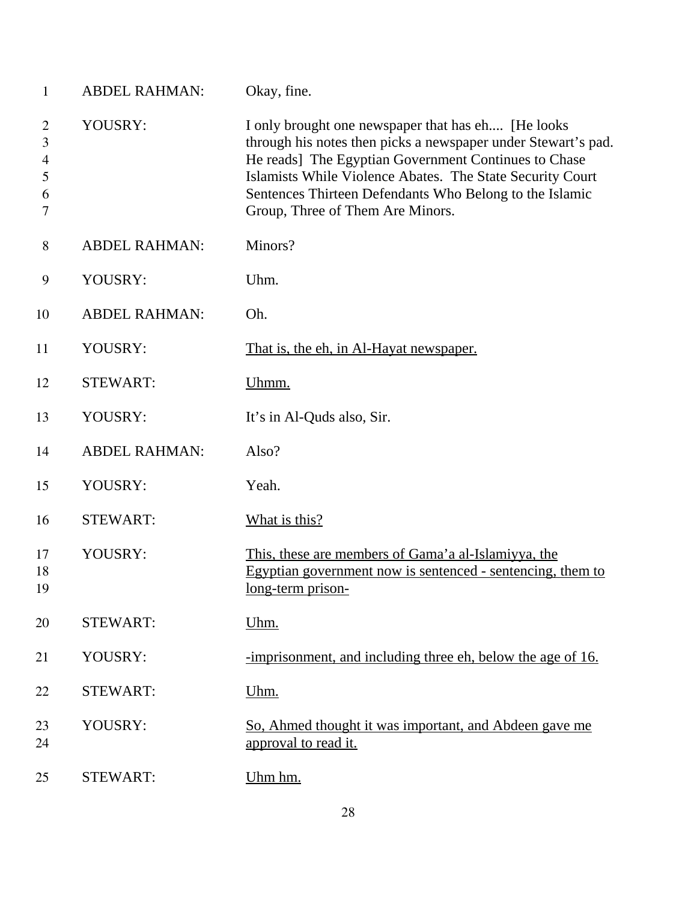| $\mathbf{1}$                            | <b>ABDEL RAHMAN:</b> | Okay, fine.                                                                                                                                                                                                                                                                                                                              |
|-----------------------------------------|----------------------|------------------------------------------------------------------------------------------------------------------------------------------------------------------------------------------------------------------------------------------------------------------------------------------------------------------------------------------|
| $\overline{2}$<br>3<br>4<br>5<br>6<br>7 | YOUSRY:              | I only brought one newspaper that has eh [He looks]<br>through his notes then picks a newspaper under Stewart's pad.<br>He reads] The Egyptian Government Continues to Chase<br>Islamists While Violence Abates. The State Security Court<br>Sentences Thirteen Defendants Who Belong to the Islamic<br>Group, Three of Them Are Minors. |
| 8                                       | <b>ABDEL RAHMAN:</b> | Minors?                                                                                                                                                                                                                                                                                                                                  |
| 9                                       | YOUSRY:              | Uhm.                                                                                                                                                                                                                                                                                                                                     |
| 10                                      | <b>ABDEL RAHMAN:</b> | Oh.                                                                                                                                                                                                                                                                                                                                      |
| 11                                      | YOUSRY:              | That is, the eh, in Al-Hayat newspaper.                                                                                                                                                                                                                                                                                                  |
| 12                                      | <b>STEWART:</b>      | Uhmm.                                                                                                                                                                                                                                                                                                                                    |
| 13                                      | YOUSRY:              | It's in Al-Quds also, Sir.                                                                                                                                                                                                                                                                                                               |
| 14                                      | <b>ABDEL RAHMAN:</b> | Also?                                                                                                                                                                                                                                                                                                                                    |
| 15                                      | YOUSRY:              | Yeah.                                                                                                                                                                                                                                                                                                                                    |
| 16                                      | <b>STEWART:</b>      | What is this?                                                                                                                                                                                                                                                                                                                            |
| 17<br>18<br>19                          | YOUSRY:              | This, these are members of Gama'a al-Islamiyya, the<br>Egyptian government now is sentenced - sentencing, them to<br>long-term prison-                                                                                                                                                                                                   |
| 20                                      | <b>STEWART:</b>      | Uhm.                                                                                                                                                                                                                                                                                                                                     |
| 21                                      | YOUSRY:              | -imprisonment, and including three eh, below the age of 16.                                                                                                                                                                                                                                                                              |
| 22                                      | <b>STEWART:</b>      | Uhm.                                                                                                                                                                                                                                                                                                                                     |
| 23<br>24                                | YOUSRY:              | So, Ahmed thought it was important, and Abdeen gave me<br>approval to read it.                                                                                                                                                                                                                                                           |
| 25                                      | <b>STEWART:</b>      | Uhm hm.                                                                                                                                                                                                                                                                                                                                  |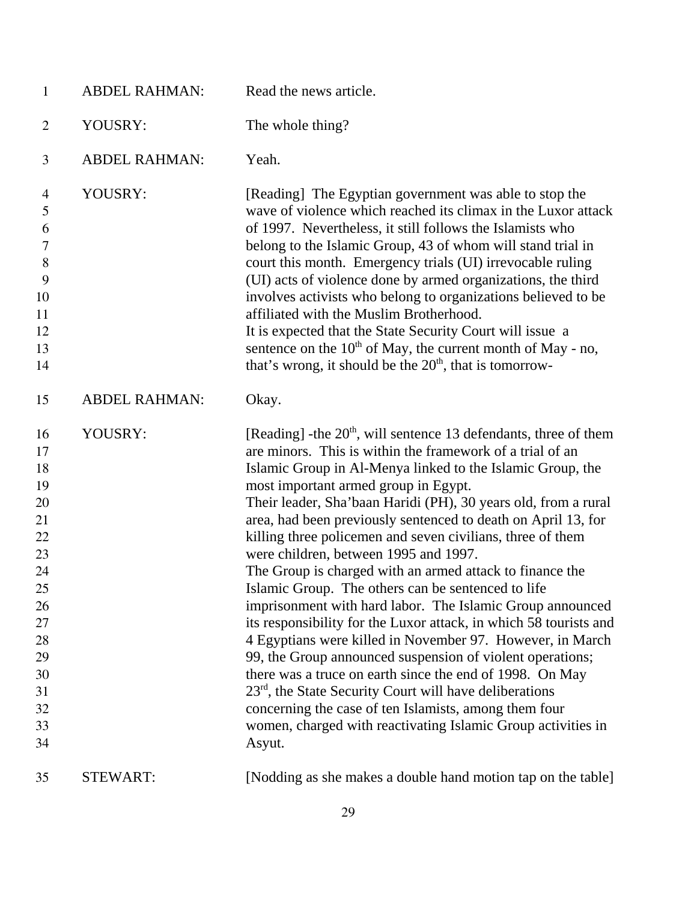| $\mathbf{1}$                                                                                                   | <b>ABDEL RAHMAN:</b> | Read the news article.                                                                                                                                                                                                                                                                                                                                                                                                                                                                                                                                                                                                                                                                                                                                                                                                                                                                                                                                                                                                                                                                                                              |
|----------------------------------------------------------------------------------------------------------------|----------------------|-------------------------------------------------------------------------------------------------------------------------------------------------------------------------------------------------------------------------------------------------------------------------------------------------------------------------------------------------------------------------------------------------------------------------------------------------------------------------------------------------------------------------------------------------------------------------------------------------------------------------------------------------------------------------------------------------------------------------------------------------------------------------------------------------------------------------------------------------------------------------------------------------------------------------------------------------------------------------------------------------------------------------------------------------------------------------------------------------------------------------------------|
| $\overline{2}$                                                                                                 | YOUSRY:              | The whole thing?                                                                                                                                                                                                                                                                                                                                                                                                                                                                                                                                                                                                                                                                                                                                                                                                                                                                                                                                                                                                                                                                                                                    |
| 3                                                                                                              | <b>ABDEL RAHMAN:</b> | Yeah.                                                                                                                                                                                                                                                                                                                                                                                                                                                                                                                                                                                                                                                                                                                                                                                                                                                                                                                                                                                                                                                                                                                               |
| $\overline{\mathcal{A}}$<br>5<br>6<br>$\tau$<br>$8\,$<br>9<br>10                                               | YOUSRY:              | [Reading] The Egyptian government was able to stop the<br>wave of violence which reached its climax in the Luxor attack<br>of 1997. Nevertheless, it still follows the Islamists who<br>belong to the Islamic Group, 43 of whom will stand trial in<br>court this month. Emergency trials (UI) irrevocable ruling<br>(UI) acts of violence done by armed organizations, the third<br>involves activists who belong to organizations believed to be                                                                                                                                                                                                                                                                                                                                                                                                                                                                                                                                                                                                                                                                                  |
| 11<br>12<br>13<br>14                                                                                           |                      | affiliated with the Muslim Brotherhood.<br>It is expected that the State Security Court will issue a<br>sentence on the $10^{th}$ of May, the current month of May - no,<br>that's wrong, it should be the $20th$ , that is tomorrow-                                                                                                                                                                                                                                                                                                                                                                                                                                                                                                                                                                                                                                                                                                                                                                                                                                                                                               |
| 15                                                                                                             | <b>ABDEL RAHMAN:</b> | Okay.                                                                                                                                                                                                                                                                                                                                                                                                                                                                                                                                                                                                                                                                                                                                                                                                                                                                                                                                                                                                                                                                                                                               |
| 16<br>17<br>18<br>19<br>20<br>21<br>22<br>23<br>24<br>25<br>26<br>27<br>28<br>29<br>30<br>31<br>32<br>33<br>34 | YOUSRY:              | [Reading] -the $20th$ , will sentence 13 defendants, three of them<br>are minors. This is within the framework of a trial of an<br>Islamic Group in Al-Menya linked to the Islamic Group, the<br>most important armed group in Egypt.<br>Their leader, Sha'baan Haridi (PH), 30 years old, from a rural<br>area, had been previously sentenced to death on April 13, for<br>killing three policemen and seven civilians, three of them<br>were children, between 1995 and 1997.<br>The Group is charged with an armed attack to finance the<br>Islamic Group. The others can be sentenced to life<br>imprisonment with hard labor. The Islamic Group announced<br>its responsibility for the Luxor attack, in which 58 tourists and<br>4 Egyptians were killed in November 97. However, in March<br>99, the Group announced suspension of violent operations;<br>there was a truce on earth since the end of 1998. On May<br>23 <sup>rd</sup> , the State Security Court will have deliberations<br>concerning the case of ten Islamists, among them four<br>women, charged with reactivating Islamic Group activities in<br>Asyut. |
| 35                                                                                                             | <b>STEWART:</b>      | [Nodding as she makes a double hand motion tap on the table]                                                                                                                                                                                                                                                                                                                                                                                                                                                                                                                                                                                                                                                                                                                                                                                                                                                                                                                                                                                                                                                                        |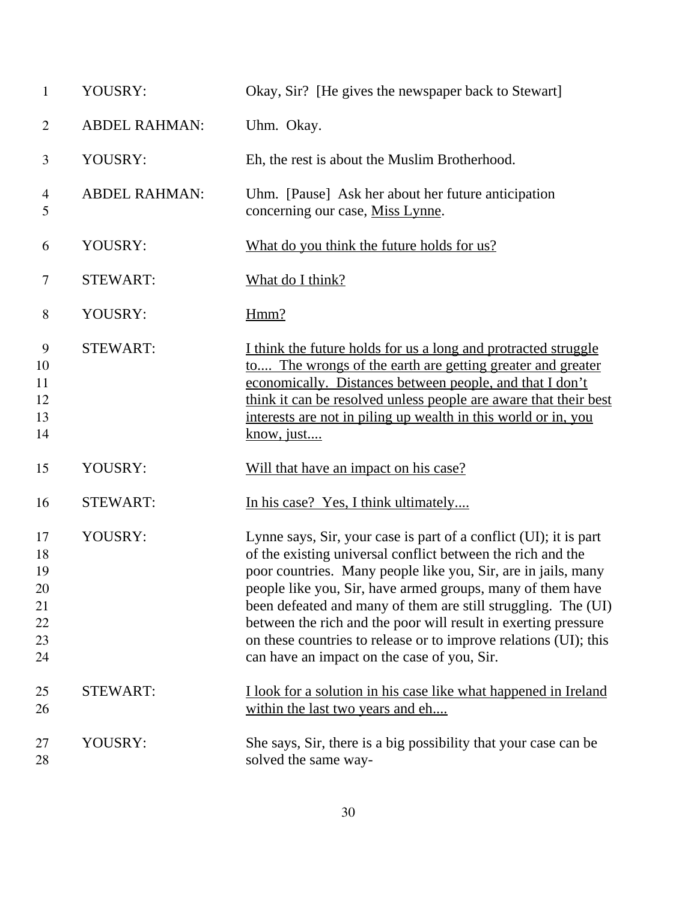| $\mathbf{1}$                                 | YOUSRY:              | Okay, Sir? [He gives the newspaper back to Stewart]                                                                                                                                                                                                                                                                                                                                                                                                                                                                   |
|----------------------------------------------|----------------------|-----------------------------------------------------------------------------------------------------------------------------------------------------------------------------------------------------------------------------------------------------------------------------------------------------------------------------------------------------------------------------------------------------------------------------------------------------------------------------------------------------------------------|
| $\overline{2}$                               | <b>ABDEL RAHMAN:</b> | Uhm. Okay.                                                                                                                                                                                                                                                                                                                                                                                                                                                                                                            |
| 3                                            | YOUSRY:              | Eh, the rest is about the Muslim Brotherhood.                                                                                                                                                                                                                                                                                                                                                                                                                                                                         |
| 4<br>5                                       | <b>ABDEL RAHMAN:</b> | Uhm. [Pause] Ask her about her future anticipation<br>concerning our case, Miss Lynne.                                                                                                                                                                                                                                                                                                                                                                                                                                |
| 6                                            | YOUSRY:              | What do you think the future holds for us?                                                                                                                                                                                                                                                                                                                                                                                                                                                                            |
| 7                                            | <b>STEWART:</b>      | What do I think?                                                                                                                                                                                                                                                                                                                                                                                                                                                                                                      |
| $8\,$                                        | YOUSRY:              | Hmm?                                                                                                                                                                                                                                                                                                                                                                                                                                                                                                                  |
| 9<br>10<br>11<br>12<br>13<br>14              | <b>STEWART:</b>      | I think the future holds for us a long and protracted struggle<br>to The wrongs of the earth are getting greater and greater<br>economically. Distances between people, and that I don't<br>think it can be resolved unless people are aware that their best<br>interests are not in piling up wealth in this world or in, you<br>know, just                                                                                                                                                                          |
| 15                                           | YOUSRY:              | Will that have an impact on his case?                                                                                                                                                                                                                                                                                                                                                                                                                                                                                 |
| 16                                           | <b>STEWART:</b>      | In his case? Yes, I think ultimately                                                                                                                                                                                                                                                                                                                                                                                                                                                                                  |
| 17<br>18<br>19<br>20<br>21<br>22<br>23<br>24 | YOUSRY:              | Lynne says, Sir, your case is part of a conflict (UI); it is part<br>of the existing universal conflict between the rich and the<br>poor countries. Many people like you, Sir, are in jails, many<br>people like you, Sir, have armed groups, many of them have<br>been defeated and many of them are still struggling. The (UI)<br>between the rich and the poor will result in exerting pressure<br>on these countries to release or to improve relations (UI); this<br>can have an impact on the case of you, Sir. |
| 25<br>26                                     | <b>STEWART:</b>      | I look for a solution in his case like what happened in Ireland<br>within the last two years and eh                                                                                                                                                                                                                                                                                                                                                                                                                   |
| 27<br>28                                     | YOUSRY:              | She says, Sir, there is a big possibility that your case can be<br>solved the same way-                                                                                                                                                                                                                                                                                                                                                                                                                               |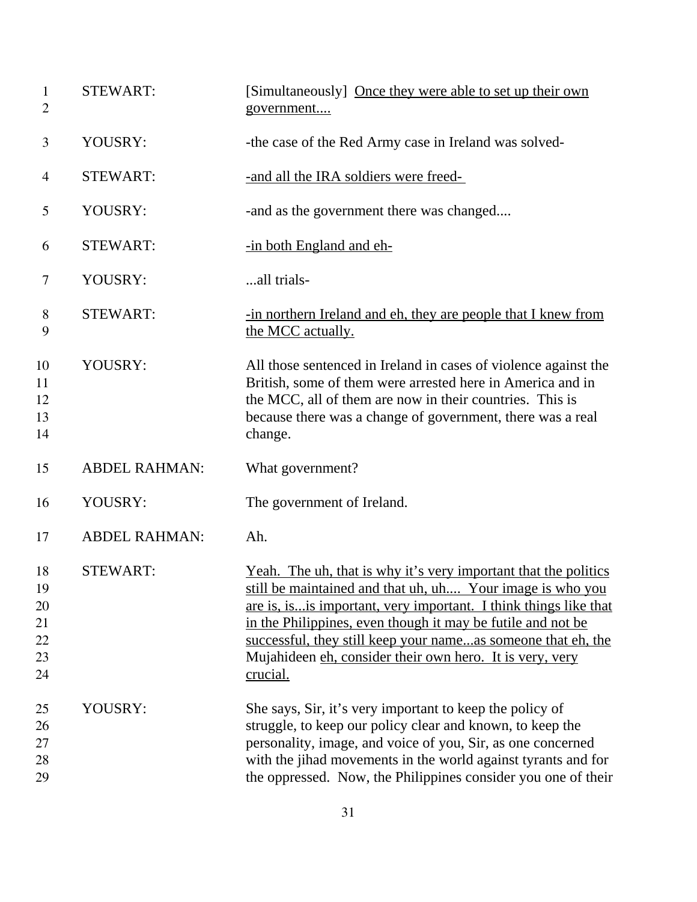| $\mathbf{1}$<br>$\overline{2}$         | <b>STEWART:</b>      | [Simultaneously] Once they were able to set up their own<br>government                                                                                                                                                                                                                                                                                                                                          |
|----------------------------------------|----------------------|-----------------------------------------------------------------------------------------------------------------------------------------------------------------------------------------------------------------------------------------------------------------------------------------------------------------------------------------------------------------------------------------------------------------|
| 3                                      | YOUSRY:              | -the case of the Red Army case in Ireland was solved-                                                                                                                                                                                                                                                                                                                                                           |
| $\overline{4}$                         | <b>STEWART:</b>      | -and all the IRA soldiers were freed-                                                                                                                                                                                                                                                                                                                                                                           |
| 5                                      | YOUSRY:              | -and as the government there was changed                                                                                                                                                                                                                                                                                                                                                                        |
| 6                                      | <b>STEWART:</b>      | -in both England and eh-                                                                                                                                                                                                                                                                                                                                                                                        |
| 7                                      | YOUSRY:              | all trials-                                                                                                                                                                                                                                                                                                                                                                                                     |
| 8<br>9                                 | <b>STEWART:</b>      | -in northern Ireland and eh, they are people that I knew from<br>the MCC actually.                                                                                                                                                                                                                                                                                                                              |
| 10<br>11<br>12<br>13<br>14             | YOUSRY:              | All those sentenced in Ireland in cases of violence against the<br>British, some of them were arrested here in America and in<br>the MCC, all of them are now in their countries. This is<br>because there was a change of government, there was a real<br>change.                                                                                                                                              |
| 15                                     | <b>ABDEL RAHMAN:</b> | What government?                                                                                                                                                                                                                                                                                                                                                                                                |
| 16                                     | YOUSRY:              | The government of Ireland.                                                                                                                                                                                                                                                                                                                                                                                      |
| 17                                     | <b>ABDEL RAHMAN:</b> | Ah.                                                                                                                                                                                                                                                                                                                                                                                                             |
| 18<br>19<br>20<br>21<br>22<br>23<br>24 | <b>STEWART:</b>      | <u>Yeah. The uh, that is why it's very important that the politics</u><br>still be maintained and that uh, uh Your image is who you<br>are is, is is important, very important. I think things like that<br>in the Philippines, even though it may be futile and not be<br>successful, they still keep your nameas someone that eh, the<br>Mujahideen eh, consider their own hero. It is very, very<br>crucial. |
| 25<br>26<br>27<br>28<br>29             | YOUSRY:              | She says, Sir, it's very important to keep the policy of<br>struggle, to keep our policy clear and known, to keep the<br>personality, image, and voice of you, Sir, as one concerned<br>with the jihad movements in the world against tyrants and for<br>the oppressed. Now, the Philippines consider you one of their                                                                                          |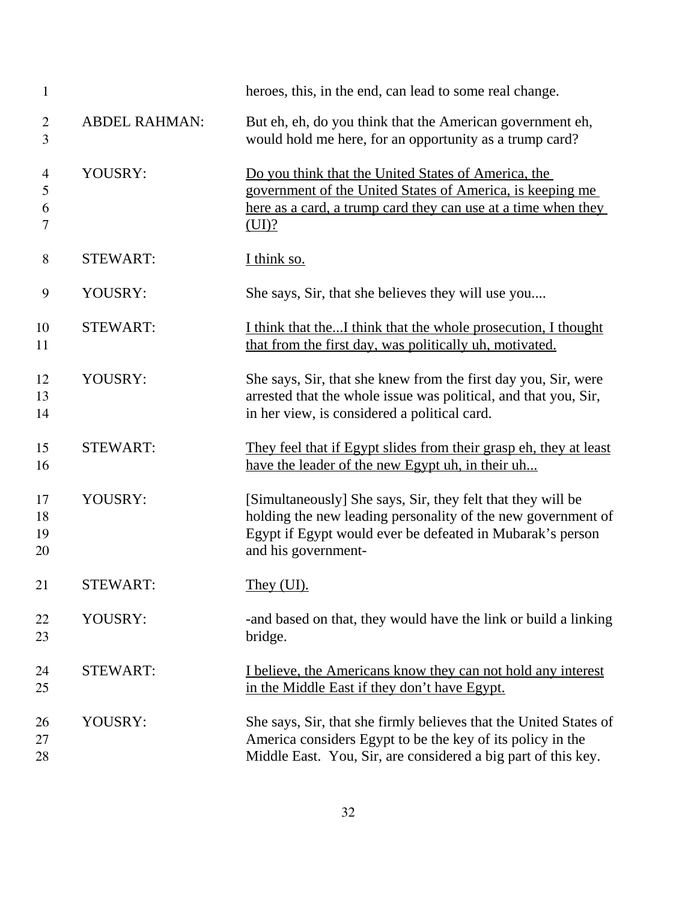| $\mathbf{1}$         |                      | heroes, this, in the end, can lead to some real change.                                                                                                                                                         |
|----------------------|----------------------|-----------------------------------------------------------------------------------------------------------------------------------------------------------------------------------------------------------------|
| $\overline{2}$<br>3  | <b>ABDEL RAHMAN:</b> | But eh, eh, do you think that the American government eh,<br>would hold me here, for an opportunity as a trump card?                                                                                            |
| 4<br>5<br>6<br>7     | YOUSRY:              | Do you think that the United States of America, the<br>government of the United States of America, is keeping me<br>here as a card, a trump card they can use at a time when they<br>(UI)?                      |
| $8\,$                | <b>STEWART:</b>      | I think so.                                                                                                                                                                                                     |
| 9                    | YOUSRY:              | She says, Sir, that she believes they will use you                                                                                                                                                              |
| 10<br>11             | <b>STEWART:</b>      | I think that theI think that the whole prosecution, I thought<br>that from the first day, was politically uh, motivated.                                                                                        |
| 12<br>13<br>14       | YOUSRY:              | She says, Sir, that she knew from the first day you, Sir, were<br>arrested that the whole issue was political, and that you, Sir,<br>in her view, is considered a political card.                               |
| 15<br>16             | <b>STEWART:</b>      | They feel that if Egypt slides from their grasp eh, they at least<br>have the leader of the new Egypt uh, in their uh                                                                                           |
| 17<br>18<br>19<br>20 | YOUSRY:              | [Simultaneously] She says, Sir, they felt that they will be<br>holding the new leading personality of the new government of<br>Egypt if Egypt would ever be defeated in Mubarak's person<br>and his government- |
| 21                   | <b>STEWART:</b>      | They (UI).                                                                                                                                                                                                      |
| 22<br>23             | YOUSRY:              | and based on that, they would have the link or build a linking<br>bridge.                                                                                                                                       |
| 24<br>25             | <b>STEWART:</b>      | I believe, the Americans know they can not hold any interest<br>in the Middle East if they don't have Egypt.                                                                                                    |
| 26<br>27<br>28       | YOUSRY:              | She says, Sir, that she firmly believes that the United States of<br>America considers Egypt to be the key of its policy in the<br>Middle East. You, Sir, are considered a big part of this key.                |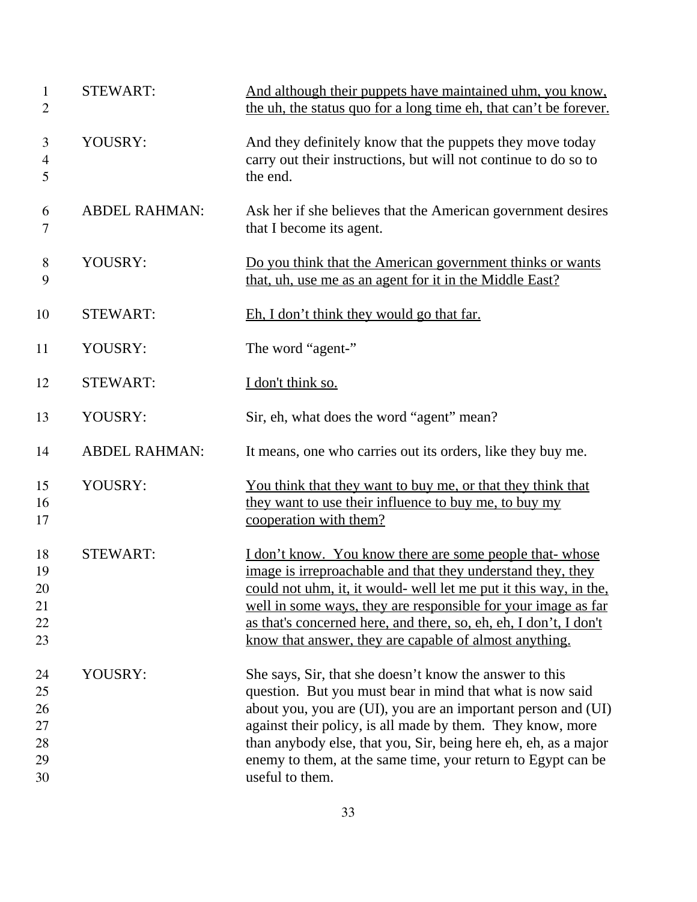| $\mathbf{1}$<br>$\overline{2}$         | <b>STEWART:</b>      | And although their puppets have maintained uhm, you know,<br>the uh, the status quo for a long time eh, that can't be forever.                                                                                                                                                                                                                                                                            |
|----------------------------------------|----------------------|-----------------------------------------------------------------------------------------------------------------------------------------------------------------------------------------------------------------------------------------------------------------------------------------------------------------------------------------------------------------------------------------------------------|
| 3<br>$\overline{4}$<br>5               | YOUSRY:              | And they definitely know that the puppets they move today<br>carry out their instructions, but will not continue to do so to<br>the end.                                                                                                                                                                                                                                                                  |
| 6<br>7                                 | <b>ABDEL RAHMAN:</b> | Ask her if she believes that the American government desires<br>that I become its agent.                                                                                                                                                                                                                                                                                                                  |
| $8\,$<br>9                             | YOUSRY:              | Do you think that the American government thinks or wants<br>that, uh, use me as an agent for it in the Middle East?                                                                                                                                                                                                                                                                                      |
| 10                                     | <b>STEWART:</b>      | Eh, I don't think they would go that far.                                                                                                                                                                                                                                                                                                                                                                 |
| 11                                     | YOUSRY:              | The word "agent-"                                                                                                                                                                                                                                                                                                                                                                                         |
| 12                                     | <b>STEWART:</b>      | I don't think so.                                                                                                                                                                                                                                                                                                                                                                                         |
| 13                                     | YOUSRY:              | Sir, eh, what does the word "agent" mean?                                                                                                                                                                                                                                                                                                                                                                 |
| 14                                     | <b>ABDEL RAHMAN:</b> | It means, one who carries out its orders, like they buy me.                                                                                                                                                                                                                                                                                                                                               |
| 15<br>16<br>17                         | YOUSRY:              | You think that they want to buy me, or that they think that<br>they want to use their influence to buy me, to buy my<br>cooperation with them?                                                                                                                                                                                                                                                            |
| 18<br>19<br>20<br>21<br>22<br>23       | <b>STEWART:</b>      | <u>I don't know. You know there are some people that-whose</u><br>image is irreproachable and that they understand they, they<br>could not uhm, it, it would- well let me put it this way, in the,<br>well in some ways, they are responsible for your image as far<br>as that's concerned here, and there, so, eh, eh, I don't, I don't<br>know that answer, they are capable of almost anything.        |
| 24<br>25<br>26<br>27<br>28<br>29<br>30 | YOUSRY:              | She says, Sir, that she doesn't know the answer to this<br>question. But you must bear in mind that what is now said<br>about you, you are (UI), you are an important person and (UI)<br>against their policy, is all made by them. They know, more<br>than anybody else, that you, Sir, being here eh, eh, as a major<br>enemy to them, at the same time, your return to Egypt can be<br>useful to them. |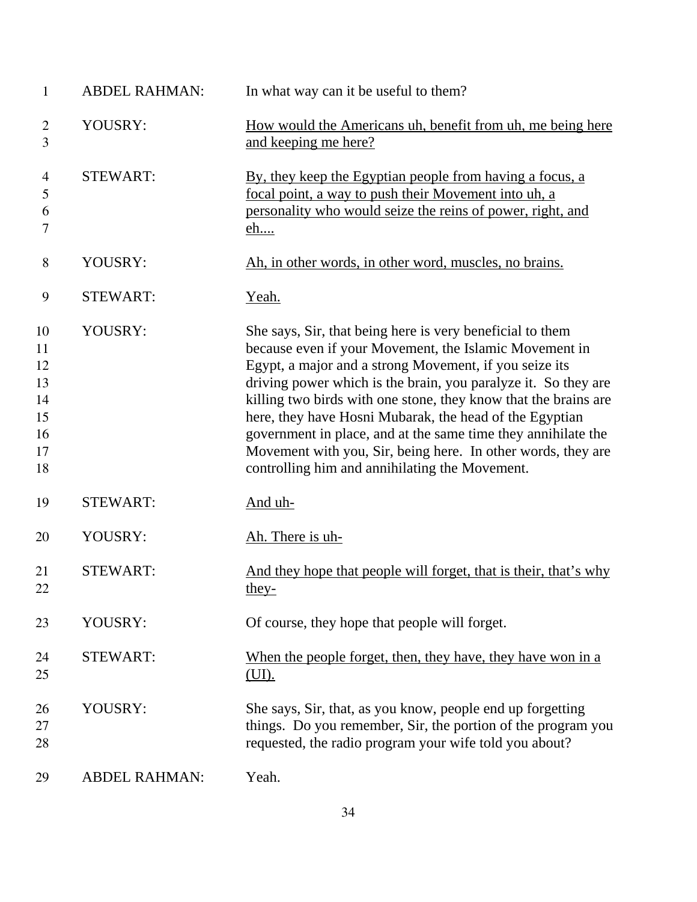| $\mathbf{1}$                                       | <b>ABDEL RAHMAN:</b> | In what way can it be useful to them?                                                                                                                                                                                                                                                                                                                                                                                                                                                                                                                            |
|----------------------------------------------------|----------------------|------------------------------------------------------------------------------------------------------------------------------------------------------------------------------------------------------------------------------------------------------------------------------------------------------------------------------------------------------------------------------------------------------------------------------------------------------------------------------------------------------------------------------------------------------------------|
| $\overline{2}$<br>3                                | YOUSRY:              | How would the Americans uh, benefit from uh, me being here<br>and keeping me here?                                                                                                                                                                                                                                                                                                                                                                                                                                                                               |
| $\overline{4}$<br>5<br>6<br>7                      | <b>STEWART:</b>      | By, they keep the Egyptian people from having a focus, a<br>focal point, a way to push their Movement into uh, a<br>personality who would seize the reins of power, right, and<br><u>eh</u>                                                                                                                                                                                                                                                                                                                                                                      |
| 8                                                  | YOUSRY:              | Ah, in other words, in other word, muscles, no brains.                                                                                                                                                                                                                                                                                                                                                                                                                                                                                                           |
| 9                                                  | <b>STEWART:</b>      | <u>Yeah.</u>                                                                                                                                                                                                                                                                                                                                                                                                                                                                                                                                                     |
| 10<br>11<br>12<br>13<br>14<br>15<br>16<br>17<br>18 | YOUSRY:              | She says, Sir, that being here is very beneficial to them<br>because even if your Movement, the Islamic Movement in<br>Egypt, a major and a strong Movement, if you seize its<br>driving power which is the brain, you paralyze it. So they are<br>killing two birds with one stone, they know that the brains are<br>here, they have Hosni Mubarak, the head of the Egyptian<br>government in place, and at the same time they annihilate the<br>Movement with you, Sir, being here. In other words, they are<br>controlling him and annihilating the Movement. |
| 19                                                 | <b>STEWART:</b>      | <u>And uh-</u>                                                                                                                                                                                                                                                                                                                                                                                                                                                                                                                                                   |
| 20                                                 | YOUSRY:              | Ah. There is uh-                                                                                                                                                                                                                                                                                                                                                                                                                                                                                                                                                 |
| 21<br>22                                           | <b>STEWART:</b>      | And they hope that people will forget, that is their, that's why<br>they-                                                                                                                                                                                                                                                                                                                                                                                                                                                                                        |
| 23                                                 | YOUSRY:              | Of course, they hope that people will forget.                                                                                                                                                                                                                                                                                                                                                                                                                                                                                                                    |
| 24<br>25                                           | <b>STEWART:</b>      | When the people forget, then, they have, they have won in a<br>(UI).                                                                                                                                                                                                                                                                                                                                                                                                                                                                                             |
| 26<br>27<br>28                                     | YOUSRY:              | She says, Sir, that, as you know, people end up forgetting<br>things. Do you remember, Sir, the portion of the program you<br>requested, the radio program your wife told you about?                                                                                                                                                                                                                                                                                                                                                                             |
| 29                                                 | <b>ABDEL RAHMAN:</b> | Yeah.                                                                                                                                                                                                                                                                                                                                                                                                                                                                                                                                                            |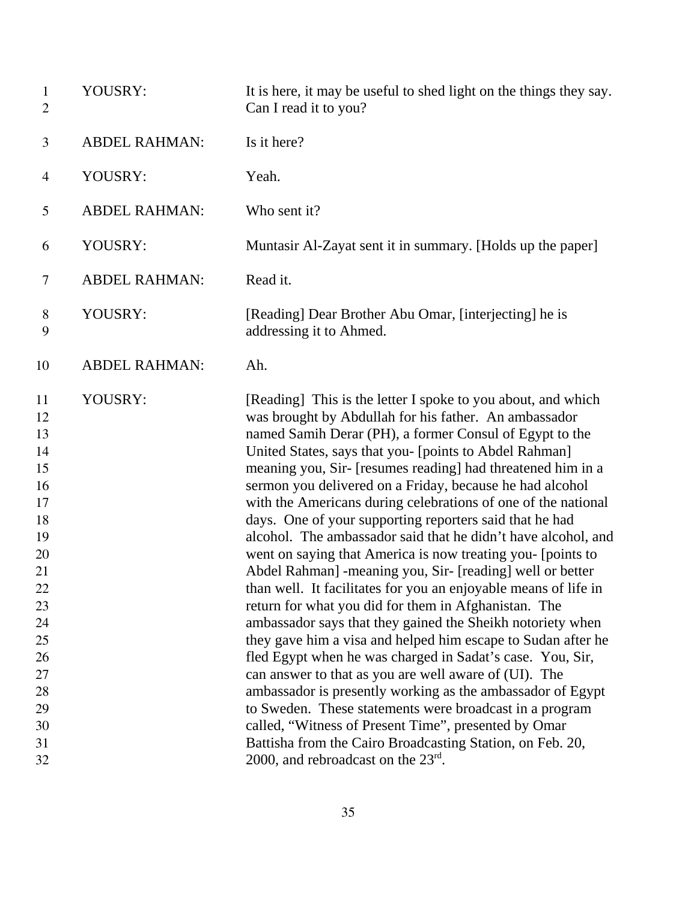| $\mathbf{1}$<br>$\overline{2}$                                                                                                   | YOUSRY:              | It is here, it may be useful to shed light on the things they say.<br>Can I read it to you?                                                                                                                                                                                                                                                                                                                                                                                                                                                                                                                                                                                                                                                                                                                                                                                                                                                                                                                                                                                                                                                                                                                                                                                                                                                                                    |
|----------------------------------------------------------------------------------------------------------------------------------|----------------------|--------------------------------------------------------------------------------------------------------------------------------------------------------------------------------------------------------------------------------------------------------------------------------------------------------------------------------------------------------------------------------------------------------------------------------------------------------------------------------------------------------------------------------------------------------------------------------------------------------------------------------------------------------------------------------------------------------------------------------------------------------------------------------------------------------------------------------------------------------------------------------------------------------------------------------------------------------------------------------------------------------------------------------------------------------------------------------------------------------------------------------------------------------------------------------------------------------------------------------------------------------------------------------------------------------------------------------------------------------------------------------|
| 3                                                                                                                                | <b>ABDEL RAHMAN:</b> | Is it here?                                                                                                                                                                                                                                                                                                                                                                                                                                                                                                                                                                                                                                                                                                                                                                                                                                                                                                                                                                                                                                                                                                                                                                                                                                                                                                                                                                    |
| $\overline{4}$                                                                                                                   | YOUSRY:              | Yeah.                                                                                                                                                                                                                                                                                                                                                                                                                                                                                                                                                                                                                                                                                                                                                                                                                                                                                                                                                                                                                                                                                                                                                                                                                                                                                                                                                                          |
| 5                                                                                                                                | <b>ABDEL RAHMAN:</b> | Who sent it?                                                                                                                                                                                                                                                                                                                                                                                                                                                                                                                                                                                                                                                                                                                                                                                                                                                                                                                                                                                                                                                                                                                                                                                                                                                                                                                                                                   |
| 6                                                                                                                                | YOUSRY:              | Muntasir Al-Zayat sent it in summary. [Holds up the paper]                                                                                                                                                                                                                                                                                                                                                                                                                                                                                                                                                                                                                                                                                                                                                                                                                                                                                                                                                                                                                                                                                                                                                                                                                                                                                                                     |
| 7                                                                                                                                | <b>ABDEL RAHMAN:</b> | Read it.                                                                                                                                                                                                                                                                                                                                                                                                                                                                                                                                                                                                                                                                                                                                                                                                                                                                                                                                                                                                                                                                                                                                                                                                                                                                                                                                                                       |
| 8<br>9                                                                                                                           | YOUSRY:              | [Reading] Dear Brother Abu Omar, [interjecting] he is<br>addressing it to Ahmed.                                                                                                                                                                                                                                                                                                                                                                                                                                                                                                                                                                                                                                                                                                                                                                                                                                                                                                                                                                                                                                                                                                                                                                                                                                                                                               |
| 10                                                                                                                               | <b>ABDEL RAHMAN:</b> | Ah.                                                                                                                                                                                                                                                                                                                                                                                                                                                                                                                                                                                                                                                                                                                                                                                                                                                                                                                                                                                                                                                                                                                                                                                                                                                                                                                                                                            |
| 11<br>12<br>13<br>14<br>15<br>16<br>17<br>18<br>19<br>20<br>21<br>22<br>23<br>24<br>25<br>26<br>27<br>28<br>29<br>30<br>31<br>32 | YOUSRY:              | [Reading] This is the letter I spoke to you about, and which<br>was brought by Abdullah for his father. An ambassador<br>named Samih Derar (PH), a former Consul of Egypt to the<br>United States, says that you- [points to Abdel Rahman]<br>meaning you, Sir- [resumes reading] had threatened him in a<br>sermon you delivered on a Friday, because he had alcohol<br>with the Americans during celebrations of one of the national<br>days. One of your supporting reporters said that he had<br>alcohol. The ambassador said that he didn't have alcohol, and<br>went on saying that America is now treating you- [points to<br>Abdel Rahman] -meaning you, Sir- [reading] well or better<br>than well. It facilitates for you an enjoyable means of life in<br>return for what you did for them in Afghanistan. The<br>ambassador says that they gained the Sheikh notoriety when<br>they gave him a visa and helped him escape to Sudan after he<br>fled Egypt when he was charged in Sadat's case. You, Sir,<br>can answer to that as you are well aware of (UI). The<br>ambassador is presently working as the ambassador of Egypt<br>to Sweden. These statements were broadcast in a program<br>called, "Witness of Present Time", presented by Omar<br>Battisha from the Cairo Broadcasting Station, on Feb. 20,<br>2000, and rebroadcast on the $23^{\text{rd}}$ . |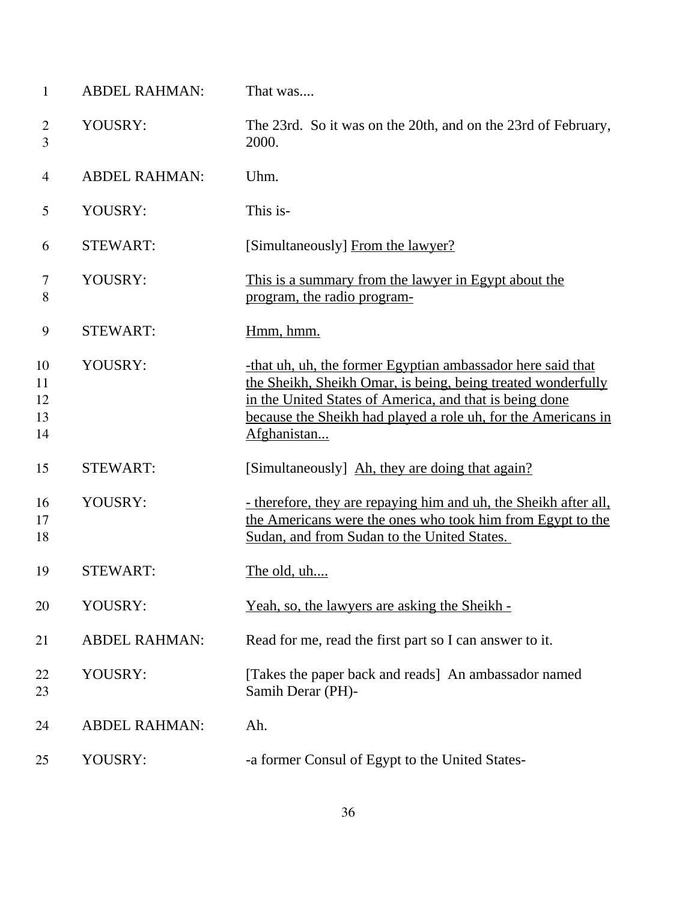| $\mathbf{1}$               | <b>ABDEL RAHMAN:</b> | That was                                                                                                                                                                                                                                                               |
|----------------------------|----------------------|------------------------------------------------------------------------------------------------------------------------------------------------------------------------------------------------------------------------------------------------------------------------|
| $\overline{2}$<br>3        | YOUSRY:              | The 23rd. So it was on the 20th, and on the 23rd of February,<br>2000.                                                                                                                                                                                                 |
| 4                          | <b>ABDEL RAHMAN:</b> | Uhm.                                                                                                                                                                                                                                                                   |
| 5                          | YOUSRY:              | This is-                                                                                                                                                                                                                                                               |
| 6                          | <b>STEWART:</b>      | [Simultaneously] From the lawyer?                                                                                                                                                                                                                                      |
| 7<br>8                     | YOUSRY:              | This is a summary from the lawyer in Egypt about the<br>program, the radio program-                                                                                                                                                                                    |
| 9                          | <b>STEWART:</b>      | Hmm, hmm.                                                                                                                                                                                                                                                              |
| 10<br>11<br>12<br>13<br>14 | YOUSRY:              | -that uh, uh, the former Egyptian ambassador here said that<br>the Sheikh, Sheikh Omar, is being, being treated wonderfully<br>in the United States of America, and that is being done<br>because the Sheikh had played a role uh, for the Americans in<br>Afghanistan |
| 15                         | <b>STEWART:</b>      | [Simultaneously] Ah, they are doing that again?                                                                                                                                                                                                                        |
| 16<br>17<br>18             | YOUSRY:              | - therefore, they are repaying him and uh, the Sheikh after all,<br>the Americans were the ones who took him from Egypt to the<br>Sudan, and from Sudan to the United States.                                                                                          |
| 19                         | <b>STEWART:</b>      | The old, uh                                                                                                                                                                                                                                                            |
| 20                         | YOUSRY:              | <u>Yeah, so, the lawyers are asking the Sheikh -</u>                                                                                                                                                                                                                   |
| 21                         | <b>ABDEL RAHMAN:</b> | Read for me, read the first part so I can answer to it.                                                                                                                                                                                                                |
| 22<br>23                   | YOUSRY:              | [Takes the paper back and reads] An ambassador named<br>Samih Derar (PH)-                                                                                                                                                                                              |
| 24                         | <b>ABDEL RAHMAN:</b> | Ah.                                                                                                                                                                                                                                                                    |
| 25                         | YOUSRY:              | -a former Consul of Egypt to the United States-                                                                                                                                                                                                                        |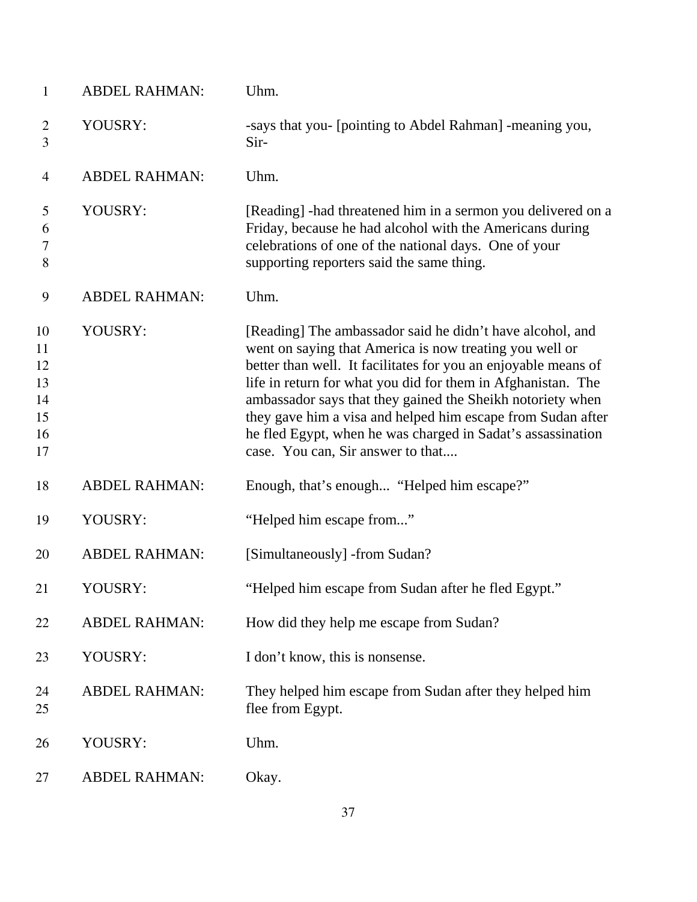| $\mathbf{1}$                                 | <b>ABDEL RAHMAN:</b> | Uhm.                                                                                                                                                                                                                                                                                                                                                                                                                                                                                    |
|----------------------------------------------|----------------------|-----------------------------------------------------------------------------------------------------------------------------------------------------------------------------------------------------------------------------------------------------------------------------------------------------------------------------------------------------------------------------------------------------------------------------------------------------------------------------------------|
| $\overline{2}$<br>3                          | YOUSRY:              | -says that you- [pointing to Abdel Rahman] -meaning you,<br>Sir-                                                                                                                                                                                                                                                                                                                                                                                                                        |
| $\overline{4}$                               | <b>ABDEL RAHMAN:</b> | Uhm.                                                                                                                                                                                                                                                                                                                                                                                                                                                                                    |
| 5<br>6<br>$\tau$<br>8                        | YOUSRY:              | [Reading] -had threatened him in a sermon you delivered on a<br>Friday, because he had alcohol with the Americans during<br>celebrations of one of the national days. One of your<br>supporting reporters said the same thing.                                                                                                                                                                                                                                                          |
| 9                                            | <b>ABDEL RAHMAN:</b> | Uhm.                                                                                                                                                                                                                                                                                                                                                                                                                                                                                    |
| 10<br>11<br>12<br>13<br>14<br>15<br>16<br>17 | YOUSRY:              | [Reading] The ambassador said he didn't have alcohol, and<br>went on saying that America is now treating you well or<br>better than well. It facilitates for you an enjoyable means of<br>life in return for what you did for them in Afghanistan. The<br>ambassador says that they gained the Sheikh notoriety when<br>they gave him a visa and helped him escape from Sudan after<br>he fled Egypt, when he was charged in Sadat's assassination<br>case. You can, Sir answer to that |
| 18                                           | <b>ABDEL RAHMAN:</b> | Enough, that's enough "Helped him escape?"                                                                                                                                                                                                                                                                                                                                                                                                                                              |
| 19                                           | YOUSRY:              | "Helped him escape from"                                                                                                                                                                                                                                                                                                                                                                                                                                                                |
| 20                                           | <b>ABDEL RAHMAN:</b> | [Simultaneously] -from Sudan?                                                                                                                                                                                                                                                                                                                                                                                                                                                           |
| 21                                           | YOUSRY:              | "Helped him escape from Sudan after he fled Egypt."                                                                                                                                                                                                                                                                                                                                                                                                                                     |
| 22                                           | <b>ABDEL RAHMAN:</b> | How did they help me escape from Sudan?                                                                                                                                                                                                                                                                                                                                                                                                                                                 |
| 23                                           | YOUSRY:              | I don't know, this is nonsense.                                                                                                                                                                                                                                                                                                                                                                                                                                                         |
| 24<br>25                                     | <b>ABDEL RAHMAN:</b> | They helped him escape from Sudan after they helped him<br>flee from Egypt.                                                                                                                                                                                                                                                                                                                                                                                                             |
| 26                                           | YOUSRY:              | Uhm.                                                                                                                                                                                                                                                                                                                                                                                                                                                                                    |
| 27                                           | <b>ABDEL RAHMAN:</b> | Okay.                                                                                                                                                                                                                                                                                                                                                                                                                                                                                   |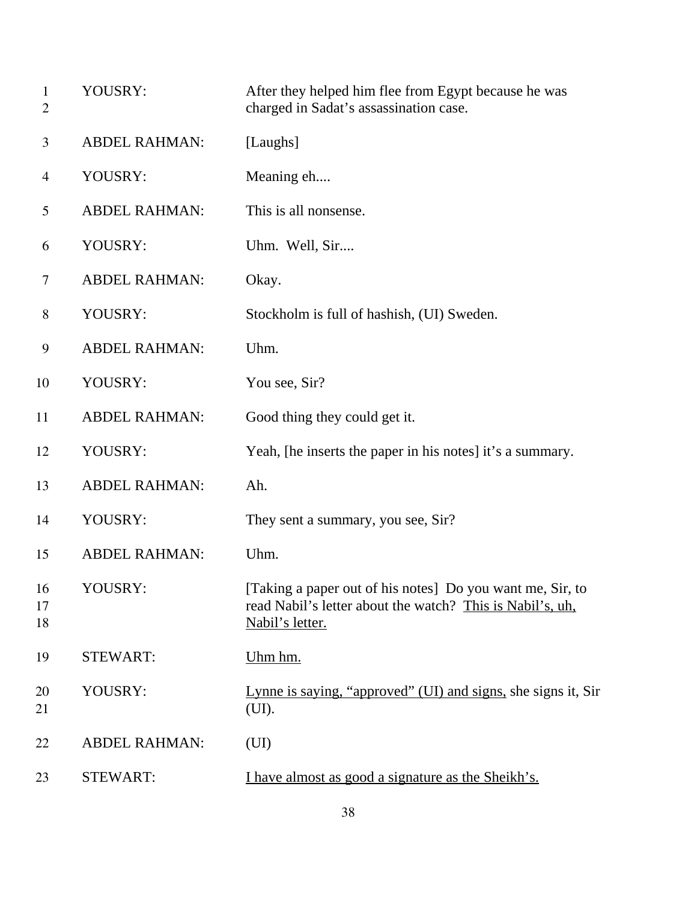| 1<br>$\overline{2}$ | YOUSRY:              | After they helped him flee from Egypt because he was<br>charged in Sadat's assassination case.                                            |
|---------------------|----------------------|-------------------------------------------------------------------------------------------------------------------------------------------|
| 3                   | <b>ABDEL RAHMAN:</b> | [Laughs]                                                                                                                                  |
| 4                   | YOUSRY:              | Meaning eh                                                                                                                                |
| 5                   | <b>ABDEL RAHMAN:</b> | This is all nonsense.                                                                                                                     |
| 6                   | YOUSRY:              | Uhm. Well, Sir                                                                                                                            |
| 7                   | <b>ABDEL RAHMAN:</b> | Okay.                                                                                                                                     |
| $8\,$               | YOUSRY:              | Stockholm is full of hashish, (UI) Sweden.                                                                                                |
| 9                   | <b>ABDEL RAHMAN:</b> | Uhm.                                                                                                                                      |
| 10                  | YOUSRY:              | You see, Sir?                                                                                                                             |
| 11                  | <b>ABDEL RAHMAN:</b> | Good thing they could get it.                                                                                                             |
| 12                  | YOUSRY:              | Yeah, [he inserts the paper in his notes] it's a summary.                                                                                 |
| 13                  | <b>ABDEL RAHMAN:</b> | Ah.                                                                                                                                       |
| 14                  | YOUSRY:              | They sent a summary, you see, Sir?                                                                                                        |
| 15                  | <b>ABDEL RAHMAN:</b> | Uhm.                                                                                                                                      |
| 16<br>17<br>18      | YOUSRY:              | [Taking a paper out of his notes] Do you want me, Sir, to<br>read Nabil's letter about the watch? This is Nabil's, uh,<br>Nabil's letter. |
| 19                  | <b>STEWART:</b>      | Uhm hm.                                                                                                                                   |
| 20<br>21            | YOUSRY:              | Lynne is saying, "approved" (UI) and signs, she signs it, Sir<br>(UI).                                                                    |
| 22                  | <b>ABDEL RAHMAN:</b> | (UI)                                                                                                                                      |
| 23                  | <b>STEWART:</b>      | I have almost as good a signature as the Sheikh's.                                                                                        |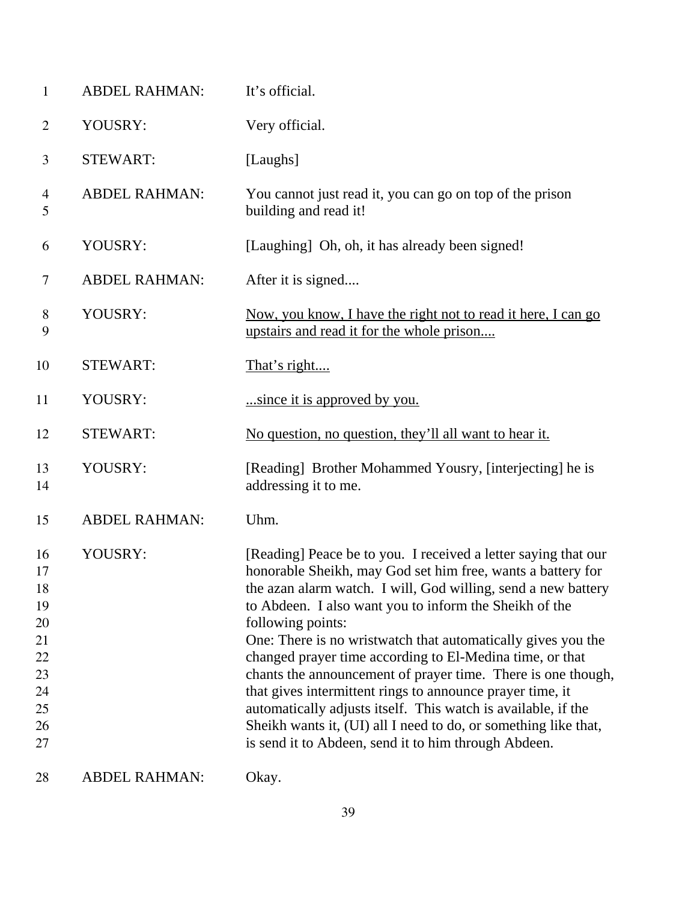| $\mathbf{1}$                                                         | <b>ABDEL RAHMAN:</b> | It's official.                                                                                                                                                                                                                                                                                                                                                                                                                                                                                                                                                                                                                                                                                                                     |
|----------------------------------------------------------------------|----------------------|------------------------------------------------------------------------------------------------------------------------------------------------------------------------------------------------------------------------------------------------------------------------------------------------------------------------------------------------------------------------------------------------------------------------------------------------------------------------------------------------------------------------------------------------------------------------------------------------------------------------------------------------------------------------------------------------------------------------------------|
| $\overline{2}$                                                       | YOUSRY:              | Very official.                                                                                                                                                                                                                                                                                                                                                                                                                                                                                                                                                                                                                                                                                                                     |
| 3                                                                    | <b>STEWART:</b>      | [Laughs]                                                                                                                                                                                                                                                                                                                                                                                                                                                                                                                                                                                                                                                                                                                           |
| 4<br>5                                                               | <b>ABDEL RAHMAN:</b> | You cannot just read it, you can go on top of the prison<br>building and read it!                                                                                                                                                                                                                                                                                                                                                                                                                                                                                                                                                                                                                                                  |
| 6                                                                    | YOUSRY:              | [Laughing] Oh, oh, it has already been signed!                                                                                                                                                                                                                                                                                                                                                                                                                                                                                                                                                                                                                                                                                     |
| $\tau$                                                               | <b>ABDEL RAHMAN:</b> | After it is signed                                                                                                                                                                                                                                                                                                                                                                                                                                                                                                                                                                                                                                                                                                                 |
| $8\,$<br>9                                                           | YOUSRY:              | Now, you know, I have the right not to read it here, I can go<br>upstairs and read it for the whole prison                                                                                                                                                                                                                                                                                                                                                                                                                                                                                                                                                                                                                         |
| 10                                                                   | <b>STEWART:</b>      | That's right                                                                                                                                                                                                                                                                                                                                                                                                                                                                                                                                                                                                                                                                                                                       |
| 11                                                                   | YOUSRY:              | since it is approved by you.                                                                                                                                                                                                                                                                                                                                                                                                                                                                                                                                                                                                                                                                                                       |
| 12                                                                   | <b>STEWART:</b>      | No question, no question, they'll all want to hear it.                                                                                                                                                                                                                                                                                                                                                                                                                                                                                                                                                                                                                                                                             |
| 13<br>14                                                             | YOUSRY:              | [Reading] Brother Mohammed Yousry, [interjecting] he is<br>addressing it to me.                                                                                                                                                                                                                                                                                                                                                                                                                                                                                                                                                                                                                                                    |
| 15                                                                   | <b>ABDEL RAHMAN:</b> | Uhm.                                                                                                                                                                                                                                                                                                                                                                                                                                                                                                                                                                                                                                                                                                                               |
| 16<br>17<br>18<br>19<br>20<br>21<br>22<br>23<br>24<br>25<br>26<br>27 | YOUSRY:              | [Reading] Peace be to you. I received a letter saying that our<br>honorable Sheikh, may God set him free, wants a battery for<br>the azan alarm watch. I will, God willing, send a new battery<br>to Abdeen. I also want you to inform the Sheikh of the<br>following points:<br>One: There is no wristwatch that automatically gives you the<br>changed prayer time according to El-Medina time, or that<br>chants the announcement of prayer time. There is one though,<br>that gives intermittent rings to announce prayer time, it<br>automatically adjusts itself. This watch is available, if the<br>Sheikh wants it, (UI) all I need to do, or something like that,<br>is send it to Abdeen, send it to him through Abdeen. |
| 28                                                                   | <b>ABDEL RAHMAN:</b> | Okay.                                                                                                                                                                                                                                                                                                                                                                                                                                                                                                                                                                                                                                                                                                                              |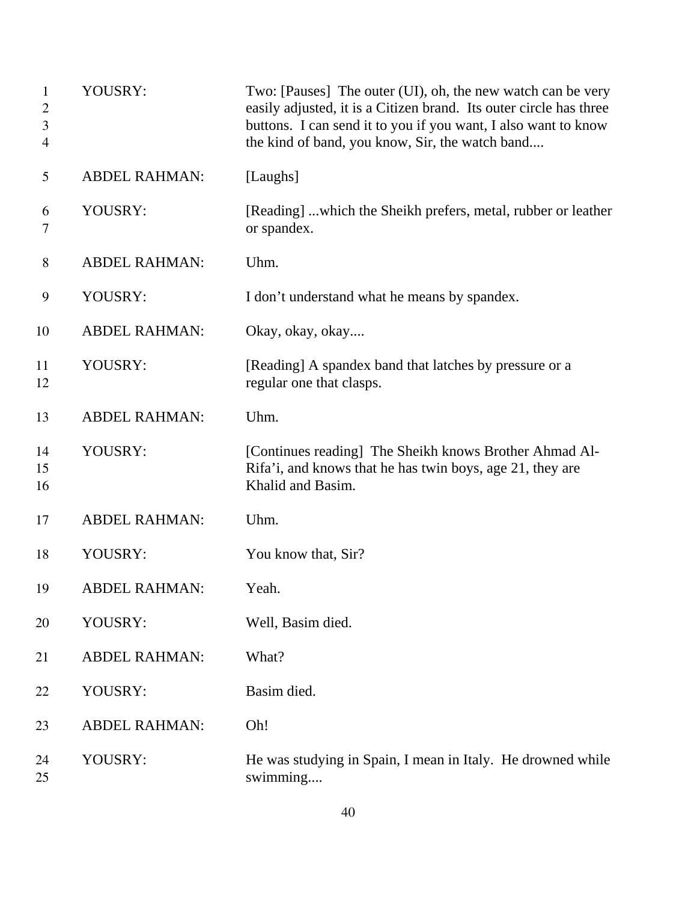| $\mathbf{1}$<br>$\overline{2}$<br>3<br>4 | YOUSRY:              | Two: [Pauses] The outer (UI), oh, the new watch can be very<br>easily adjusted, it is a Citizen brand. Its outer circle has three<br>buttons. I can send it to you if you want, I also want to know<br>the kind of band, you know, Sir, the watch band |
|------------------------------------------|----------------------|--------------------------------------------------------------------------------------------------------------------------------------------------------------------------------------------------------------------------------------------------------|
| 5                                        | <b>ABDEL RAHMAN:</b> | [Laughs]                                                                                                                                                                                                                                               |
| 6<br>7                                   | YOUSRY:              | [Reading] which the Sheikh prefers, metal, rubber or leather<br>or spandex.                                                                                                                                                                            |
| 8                                        | <b>ABDEL RAHMAN:</b> | Uhm.                                                                                                                                                                                                                                                   |
| 9                                        | YOUSRY:              | I don't understand what he means by spandex.                                                                                                                                                                                                           |
| 10                                       | <b>ABDEL RAHMAN:</b> | Okay, okay, okay                                                                                                                                                                                                                                       |
| 11<br>12                                 | YOUSRY:              | [Reading] A spandex band that latches by pressure or a<br>regular one that clasps.                                                                                                                                                                     |
| 13                                       | <b>ABDEL RAHMAN:</b> | Uhm.                                                                                                                                                                                                                                                   |
| 14<br>15<br>16                           | YOUSRY:              | [Continues reading] The Sheikh knows Brother Ahmad Al-<br>Rifa'i, and knows that he has twin boys, age 21, they are<br>Khalid and Basim.                                                                                                               |
| 17                                       | <b>ABDEL RAHMAN:</b> | Uhm.                                                                                                                                                                                                                                                   |
| 18                                       | YOUSRY:              | You know that, Sir?                                                                                                                                                                                                                                    |
| 19                                       | <b>ABDEL RAHMAN:</b> | Yeah.                                                                                                                                                                                                                                                  |
| 20                                       | YOUSRY:              | Well, Basim died.                                                                                                                                                                                                                                      |
| 21                                       | <b>ABDEL RAHMAN:</b> | What?                                                                                                                                                                                                                                                  |
| 22                                       | YOUSRY:              | Basim died.                                                                                                                                                                                                                                            |
| 23                                       | <b>ABDEL RAHMAN:</b> | Oh!                                                                                                                                                                                                                                                    |
| 24<br>25                                 | YOUSRY:              | He was studying in Spain, I mean in Italy. He drowned while<br>swimming                                                                                                                                                                                |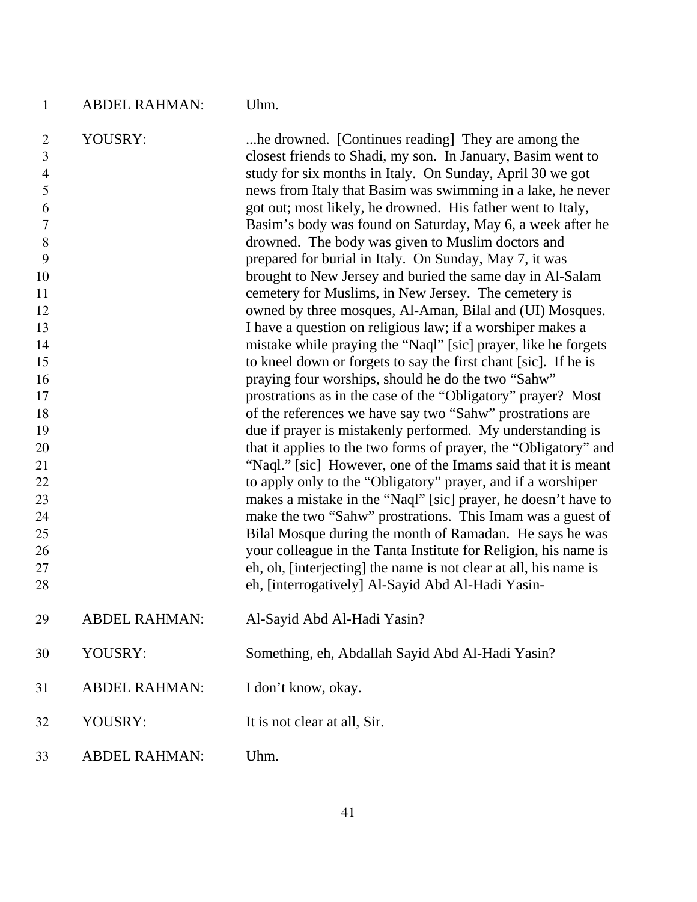| $\mathbf{1}$                          | <b>ABDEL RAHMAN:</b> | Uhm.                                                                                                                                                                           |
|---------------------------------------|----------------------|--------------------------------------------------------------------------------------------------------------------------------------------------------------------------------|
| $\overline{2}$<br>3<br>$\overline{4}$ | YOUSRY:              | he drowned. [Continues reading] They are among the<br>closest friends to Shadi, my son. In January, Basim went to<br>study for six months in Italy. On Sunday, April 30 we got |
| 5                                     |                      | news from Italy that Basim was swimming in a lake, he never                                                                                                                    |
| 6                                     |                      | got out; most likely, he drowned. His father went to Italy,                                                                                                                    |
| 7                                     |                      | Basim's body was found on Saturday, May 6, a week after he                                                                                                                     |
| 8                                     |                      | drowned. The body was given to Muslim doctors and                                                                                                                              |
| 9                                     |                      | prepared for burial in Italy. On Sunday, May 7, it was                                                                                                                         |
| 10<br>11                              |                      | brought to New Jersey and buried the same day in Al-Salam<br>cemetery for Muslims, in New Jersey. The cemetery is                                                              |
| 12                                    |                      | owned by three mosques, Al-Aman, Bilal and (UI) Mosques.                                                                                                                       |
| 13                                    |                      | I have a question on religious law; if a worshiper makes a                                                                                                                     |
| 14                                    |                      | mistake while praying the "Naql" [sic] prayer, like he forgets                                                                                                                 |
| 15                                    |                      | to kneel down or forgets to say the first chant [sic]. If he is                                                                                                                |
| 16                                    |                      | praying four worships, should he do the two "Sahw"                                                                                                                             |
| 17                                    |                      | prostrations as in the case of the "Obligatory" prayer? Most                                                                                                                   |
| 18                                    |                      | of the references we have say two "Sahw" prostrations are                                                                                                                      |
| 19                                    |                      | due if prayer is mistakenly performed. My understanding is                                                                                                                     |
| 20                                    |                      | that it applies to the two forms of prayer, the "Obligatory" and                                                                                                               |
| 21<br>22                              |                      | "Naql." [sic] However, one of the Imams said that it is meant                                                                                                                  |
| 23                                    |                      | to apply only to the "Obligatory" prayer, and if a worshiper<br>makes a mistake in the "Naql" [sic] prayer, he doesn't have to                                                 |
| 24                                    |                      | make the two "Sahw" prostrations. This Imam was a guest of                                                                                                                     |
| 25                                    |                      | Bilal Mosque during the month of Ramadan. He says he was                                                                                                                       |
| 26                                    |                      | your colleague in the Tanta Institute for Religion, his name is                                                                                                                |
| 27                                    |                      | eh, oh, [interjecting] the name is not clear at all, his name is                                                                                                               |
| 28                                    |                      | eh, [interrogatively] Al-Sayid Abd Al-Hadi Yasin-                                                                                                                              |
| 29                                    | <b>ABDEL RAHMAN:</b> | Al-Sayid Abd Al-Hadi Yasin?                                                                                                                                                    |
| 30                                    | YOUSRY:              | Something, eh, Abdallah Sayid Abd Al-Hadi Yasin?                                                                                                                               |
| 31                                    | <b>ABDEL RAHMAN:</b> | I don't know, okay.                                                                                                                                                            |
| 32                                    | YOUSRY:              | It is not clear at all, Sir.                                                                                                                                                   |
| 33                                    | <b>ABDEL RAHMAN:</b> | Uhm.                                                                                                                                                                           |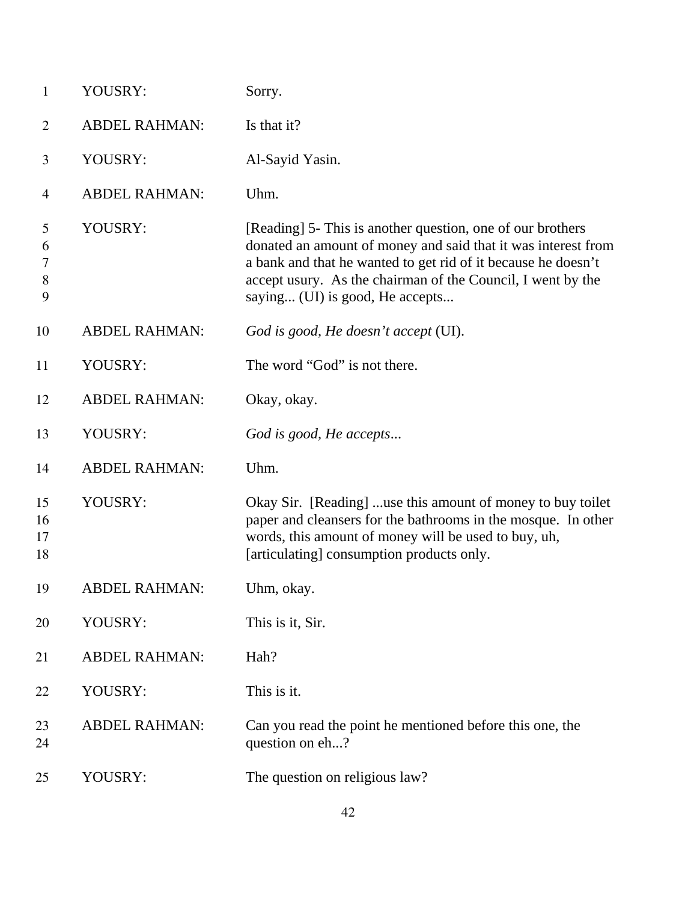| $\mathbf{1}$              | YOUSRY:              | Sorry.                                                                                                                                                                                                                                                                                         |
|---------------------------|----------------------|------------------------------------------------------------------------------------------------------------------------------------------------------------------------------------------------------------------------------------------------------------------------------------------------|
| $\overline{2}$            | <b>ABDEL RAHMAN:</b> | Is that it?                                                                                                                                                                                                                                                                                    |
| 3                         | YOUSRY:              | Al-Sayid Yasin.                                                                                                                                                                                                                                                                                |
| $\overline{4}$            | <b>ABDEL RAHMAN:</b> | Uhm.                                                                                                                                                                                                                                                                                           |
| 5<br>6<br>7<br>$8\,$<br>9 | YOUSRY:              | [Reading] 5- This is another question, one of our brothers<br>donated an amount of money and said that it was interest from<br>a bank and that he wanted to get rid of it because he doesn't<br>accept usury. As the chairman of the Council, I went by the<br>saying (UI) is good, He accepts |
| 10                        | <b>ABDEL RAHMAN:</b> | God is good, He doesn't accept (UI).                                                                                                                                                                                                                                                           |
| 11                        | YOUSRY:              | The word "God" is not there.                                                                                                                                                                                                                                                                   |
| 12                        | <b>ABDEL RAHMAN:</b> | Okay, okay.                                                                                                                                                                                                                                                                                    |
| 13                        | YOUSRY:              | God is good, He accepts                                                                                                                                                                                                                                                                        |
| 14                        | <b>ABDEL RAHMAN:</b> | Uhm.                                                                                                                                                                                                                                                                                           |
| 15<br>16<br>17<br>18      | YOUSRY:              | Okay Sir. [Reading] use this amount of money to buy toilet<br>paper and cleansers for the bathrooms in the mosque. In other<br>words, this amount of money will be used to buy, uh,<br>[articulating] consumption products only.                                                               |
| 19                        | <b>ABDEL RAHMAN:</b> | Uhm, okay.                                                                                                                                                                                                                                                                                     |
| 20                        | YOUSRY:              | This is it, Sir.                                                                                                                                                                                                                                                                               |
| 21                        | <b>ABDEL RAHMAN:</b> | Hah?                                                                                                                                                                                                                                                                                           |
| 22                        | YOUSRY:              | This is it.                                                                                                                                                                                                                                                                                    |
| 23<br>24                  | <b>ABDEL RAHMAN:</b> | Can you read the point he mentioned before this one, the<br>question on eh?                                                                                                                                                                                                                    |
| 25                        | YOUSRY:              | The question on religious law?                                                                                                                                                                                                                                                                 |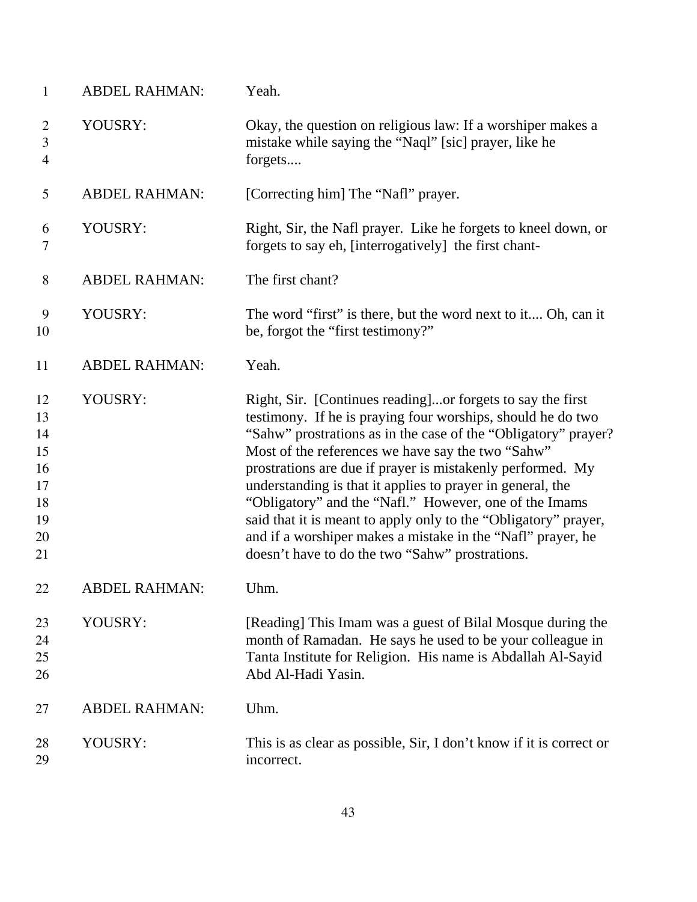| $\mathbf{1}$                                             | <b>ABDEL RAHMAN:</b> | Yeah.                                                                                                                                                                                                                                                                                                                                                                                                                                                                                                                                                                                                                       |
|----------------------------------------------------------|----------------------|-----------------------------------------------------------------------------------------------------------------------------------------------------------------------------------------------------------------------------------------------------------------------------------------------------------------------------------------------------------------------------------------------------------------------------------------------------------------------------------------------------------------------------------------------------------------------------------------------------------------------------|
| $\overline{2}$<br>$\mathfrak{Z}$<br>$\overline{4}$       | YOUSRY:              | Okay, the question on religious law: If a worshiper makes a<br>mistake while saying the "Naql" [sic] prayer, like he<br>forgets                                                                                                                                                                                                                                                                                                                                                                                                                                                                                             |
| 5                                                        | <b>ABDEL RAHMAN:</b> | [Correcting him] The "Nafl" prayer.                                                                                                                                                                                                                                                                                                                                                                                                                                                                                                                                                                                         |
| 6<br>7                                                   | YOUSRY:              | Right, Sir, the Nafl prayer. Like he forgets to kneel down, or<br>forgets to say eh, [interrogatively] the first chant-                                                                                                                                                                                                                                                                                                                                                                                                                                                                                                     |
| 8                                                        | <b>ABDEL RAHMAN:</b> | The first chant?                                                                                                                                                                                                                                                                                                                                                                                                                                                                                                                                                                                                            |
| 9<br>10                                                  | YOUSRY:              | The word "first" is there, but the word next to it Oh, can it<br>be, forgot the "first testimony?"                                                                                                                                                                                                                                                                                                                                                                                                                                                                                                                          |
| 11                                                       | <b>ABDEL RAHMAN:</b> | Yeah.                                                                                                                                                                                                                                                                                                                                                                                                                                                                                                                                                                                                                       |
| 12<br>13<br>14<br>15<br>16<br>17<br>18<br>19<br>20<br>21 | YOUSRY:              | Right, Sir. [Continues reading]or forgets to say the first<br>testimony. If he is praying four worships, should he do two<br>"Sahw" prostrations as in the case of the "Obligatory" prayer?<br>Most of the references we have say the two "Sahw"<br>prostrations are due if prayer is mistakenly performed. My<br>understanding is that it applies to prayer in general, the<br>"Obligatory" and the "Nafl." However, one of the Imams<br>said that it is meant to apply only to the "Obligatory" prayer,<br>and if a worshiper makes a mistake in the "Nafl" prayer, he<br>doesn't have to do the two "Sahw" prostrations. |
| 22                                                       | <b>ABDEL RAHMAN:</b> | Uhm                                                                                                                                                                                                                                                                                                                                                                                                                                                                                                                                                                                                                         |
| 23<br>24<br>25<br>26                                     | YOUSRY:              | [Reading] This Imam was a guest of Bilal Mosque during the<br>month of Ramadan. He says he used to be your colleague in<br>Tanta Institute for Religion. His name is Abdallah Al-Sayid<br>Abd Al-Hadi Yasin.                                                                                                                                                                                                                                                                                                                                                                                                                |
| 27                                                       | <b>ABDEL RAHMAN:</b> | Uhm.                                                                                                                                                                                                                                                                                                                                                                                                                                                                                                                                                                                                                        |
| 28<br>29                                                 | YOUSRY:              | This is as clear as possible, Sir, I don't know if it is correct or<br>incorrect.                                                                                                                                                                                                                                                                                                                                                                                                                                                                                                                                           |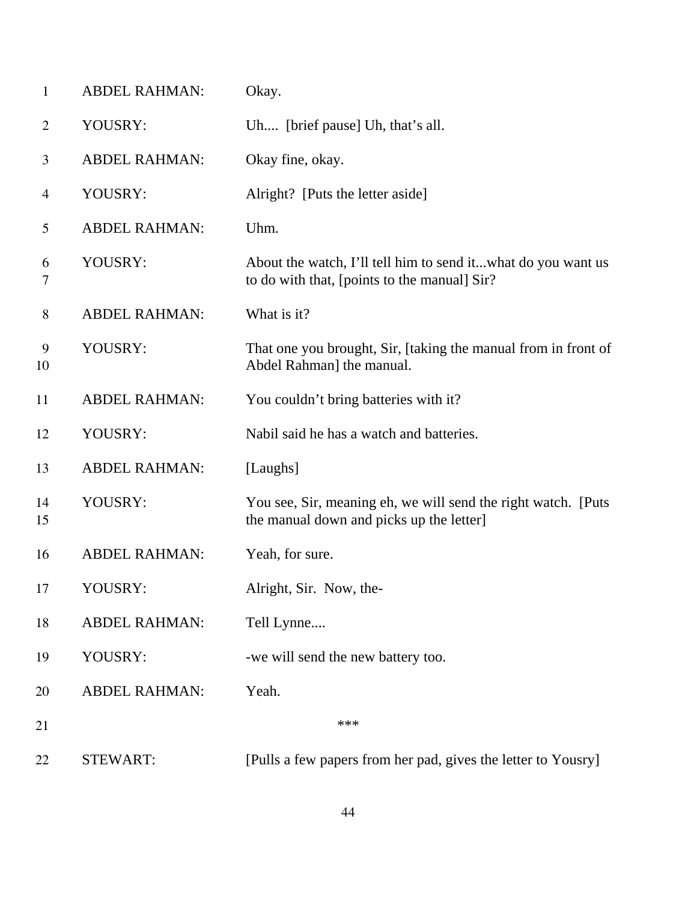| $\mathbf{1}$   | <b>ABDEL RAHMAN:</b> | Okay.                                                                                                        |
|----------------|----------------------|--------------------------------------------------------------------------------------------------------------|
| $\overline{2}$ | YOUSRY:              | Uh [brief pause] Uh, that's all.                                                                             |
| 3              | <b>ABDEL RAHMAN:</b> | Okay fine, okay.                                                                                             |
| $\overline{4}$ | YOUSRY:              | Alright? [Puts the letter aside]                                                                             |
| 5              | <b>ABDEL RAHMAN:</b> | Uhm.                                                                                                         |
| 6<br>7         | YOUSRY:              | About the watch, I'll tell him to send itwhat do you want us<br>to do with that, [points to the manual] Sir? |
| 8              | <b>ABDEL RAHMAN:</b> | What is it?                                                                                                  |
| 9<br>10        | YOUSRY:              | That one you brought, Sir, [taking the manual from in front of<br>Abdel Rahman] the manual.                  |
| 11             | <b>ABDEL RAHMAN:</b> | You couldn't bring batteries with it?                                                                        |
| 12             | YOUSRY:              | Nabil said he has a watch and batteries.                                                                     |
| 13             | <b>ABDEL RAHMAN:</b> | [Laughs]                                                                                                     |
| 14<br>15       | YOUSRY:              | You see, Sir, meaning eh, we will send the right watch. [Puts]<br>the manual down and picks up the letter]   |
| 16             | <b>ABDEL RAHMAN:</b> | Yeah, for sure.                                                                                              |
| 17             | YOUSRY:              | Alright, Sir. Now, the-                                                                                      |
| 18             | <b>ABDEL RAHMAN:</b> | Tell Lynne                                                                                                   |
| 19             | YOUSRY:              | -we will send the new battery too.                                                                           |
| 20             | <b>ABDEL RAHMAN:</b> | Yeah.                                                                                                        |
| 21             |                      | ***                                                                                                          |
| 22             | <b>STEWART:</b>      | [Pulls a few papers from her pad, gives the letter to Yousry]                                                |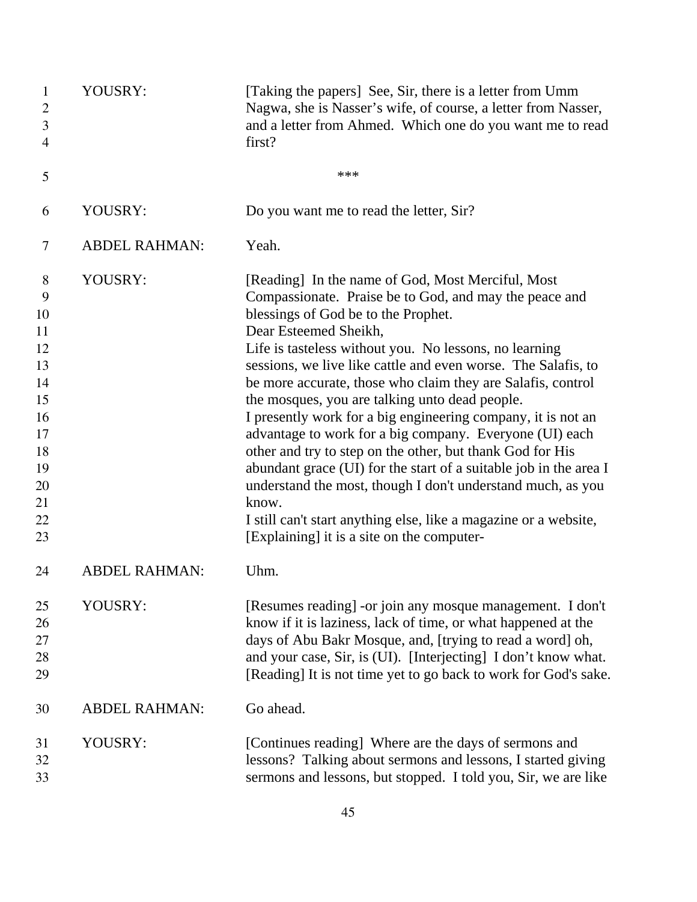| $\mathbf{1}$<br>2<br>3<br>4                                                                | YOUSRY:              | [Taking the papers] See, Sir, there is a letter from Umm<br>Nagwa, she is Nasser's wife, of course, a letter from Nasser,<br>and a letter from Ahmed. Which one do you want me to read<br>first?                                                                                                                                                                                                                                                                                                                                                                                                                                                                                                                                                                                                                                                                               |
|--------------------------------------------------------------------------------------------|----------------------|--------------------------------------------------------------------------------------------------------------------------------------------------------------------------------------------------------------------------------------------------------------------------------------------------------------------------------------------------------------------------------------------------------------------------------------------------------------------------------------------------------------------------------------------------------------------------------------------------------------------------------------------------------------------------------------------------------------------------------------------------------------------------------------------------------------------------------------------------------------------------------|
| 5                                                                                          |                      | ***                                                                                                                                                                                                                                                                                                                                                                                                                                                                                                                                                                                                                                                                                                                                                                                                                                                                            |
| 6                                                                                          | YOUSRY:              | Do you want me to read the letter, Sir?                                                                                                                                                                                                                                                                                                                                                                                                                                                                                                                                                                                                                                                                                                                                                                                                                                        |
| 7                                                                                          | <b>ABDEL RAHMAN:</b> | Yeah.                                                                                                                                                                                                                                                                                                                                                                                                                                                                                                                                                                                                                                                                                                                                                                                                                                                                          |
| 8<br>9<br>10<br>11<br>12<br>13<br>14<br>15<br>16<br>17<br>18<br>19<br>20<br>21<br>22<br>23 | YOUSRY:              | [Reading] In the name of God, Most Merciful, Most<br>Compassionate. Praise be to God, and may the peace and<br>blessings of God be to the Prophet.<br>Dear Esteemed Sheikh,<br>Life is tasteless without you. No lessons, no learning<br>sessions, we live like cattle and even worse. The Salafis, to<br>be more accurate, those who claim they are Salafis, control<br>the mosques, you are talking unto dead people.<br>I presently work for a big engineering company, it is not an<br>advantage to work for a big company. Everyone (UI) each<br>other and try to step on the other, but thank God for His<br>abundant grace (UI) for the start of a suitable job in the area I<br>understand the most, though I don't understand much, as you<br>know.<br>I still can't start anything else, like a magazine or a website,<br>[Explaining] it is a site on the computer- |
| 24                                                                                         | <b>ABDEL RAHMAN:</b> | Uhm.                                                                                                                                                                                                                                                                                                                                                                                                                                                                                                                                                                                                                                                                                                                                                                                                                                                                           |
| 25<br>26<br>27<br>28<br>29                                                                 | YOUSRY:              | [Resumes reading] -or join any mosque management. I don't<br>know if it is laziness, lack of time, or what happened at the<br>days of Abu Bakr Mosque, and, [trying to read a word] oh,<br>and your case, Sir, is (UI). [Interjecting] I don't know what.<br>[Reading] It is not time yet to go back to work for God's sake.                                                                                                                                                                                                                                                                                                                                                                                                                                                                                                                                                   |
| 30                                                                                         | <b>ABDEL RAHMAN:</b> | Go ahead.                                                                                                                                                                                                                                                                                                                                                                                                                                                                                                                                                                                                                                                                                                                                                                                                                                                                      |
| 31<br>32<br>33                                                                             | YOUSRY:              | [Continues reading] Where are the days of sermons and<br>lessons? Talking about sermons and lessons, I started giving<br>sermons and lessons, but stopped. I told you, Sir, we are like                                                                                                                                                                                                                                                                                                                                                                                                                                                                                                                                                                                                                                                                                        |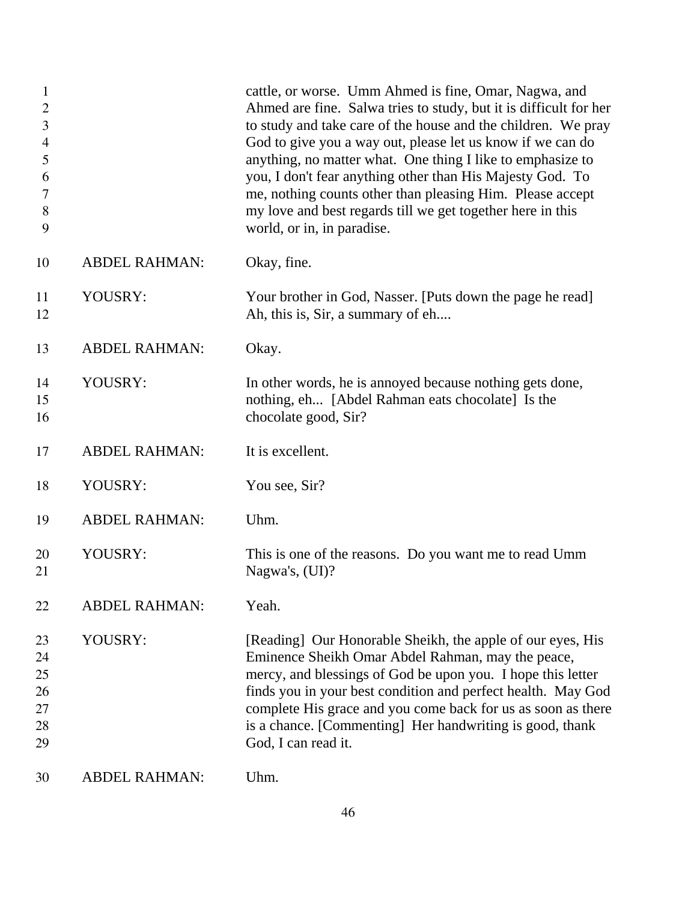| $\mathbf{1}$<br>$\mathbf{2}$<br>$\mathfrak{Z}$<br>$\overline{4}$<br>5<br>6<br>7<br>$8\,$<br>9 |                      | cattle, or worse. Umm Ahmed is fine, Omar, Nagwa, and<br>Ahmed are fine. Salwa tries to study, but it is difficult for her<br>to study and take care of the house and the children. We pray<br>God to give you a way out, please let us know if we can do<br>anything, no matter what. One thing I like to emphasize to<br>you, I don't fear anything other than His Majesty God. To<br>me, nothing counts other than pleasing Him. Please accept<br>my love and best regards till we get together here in this<br>world, or in, in paradise. |
|-----------------------------------------------------------------------------------------------|----------------------|-----------------------------------------------------------------------------------------------------------------------------------------------------------------------------------------------------------------------------------------------------------------------------------------------------------------------------------------------------------------------------------------------------------------------------------------------------------------------------------------------------------------------------------------------|
| 10                                                                                            | <b>ABDEL RAHMAN:</b> | Okay, fine.                                                                                                                                                                                                                                                                                                                                                                                                                                                                                                                                   |
| 11<br>12                                                                                      | YOUSRY:              | Your brother in God, Nasser. [Puts down the page he read]<br>Ah, this is, Sir, a summary of eh                                                                                                                                                                                                                                                                                                                                                                                                                                                |
| 13                                                                                            | <b>ABDEL RAHMAN:</b> | Okay.                                                                                                                                                                                                                                                                                                                                                                                                                                                                                                                                         |
| 14<br>15<br>16                                                                                | YOUSRY:              | In other words, he is annoyed because nothing gets done,<br>nothing, eh [Abdel Rahman eats chocolate] Is the<br>chocolate good, Sir?                                                                                                                                                                                                                                                                                                                                                                                                          |
| 17                                                                                            | <b>ABDEL RAHMAN:</b> | It is excellent.                                                                                                                                                                                                                                                                                                                                                                                                                                                                                                                              |
| 18                                                                                            | YOUSRY:              | You see, Sir?                                                                                                                                                                                                                                                                                                                                                                                                                                                                                                                                 |
| 19                                                                                            | <b>ABDEL RAHMAN:</b> | Uhm.                                                                                                                                                                                                                                                                                                                                                                                                                                                                                                                                          |
| 20<br>21                                                                                      | YOUSRY:              | This is one of the reasons. Do you want me to read Umm<br>Nagwa's, (UI)?                                                                                                                                                                                                                                                                                                                                                                                                                                                                      |
| 22                                                                                            | <b>ABDEL RAHMAN:</b> | Yeah.                                                                                                                                                                                                                                                                                                                                                                                                                                                                                                                                         |
| 23<br>24<br>25<br>26<br>27<br>28<br>29                                                        | YOUSRY:              | [Reading] Our Honorable Sheikh, the apple of our eyes, His<br>Eminence Sheikh Omar Abdel Rahman, may the peace,<br>mercy, and blessings of God be upon you. I hope this letter<br>finds you in your best condition and perfect health. May God<br>complete His grace and you come back for us as soon as there<br>is a chance. [Commenting] Her handwriting is good, thank<br>God, I can read it.                                                                                                                                             |
| 30                                                                                            | <b>ABDEL RAHMAN:</b> | Uhm.                                                                                                                                                                                                                                                                                                                                                                                                                                                                                                                                          |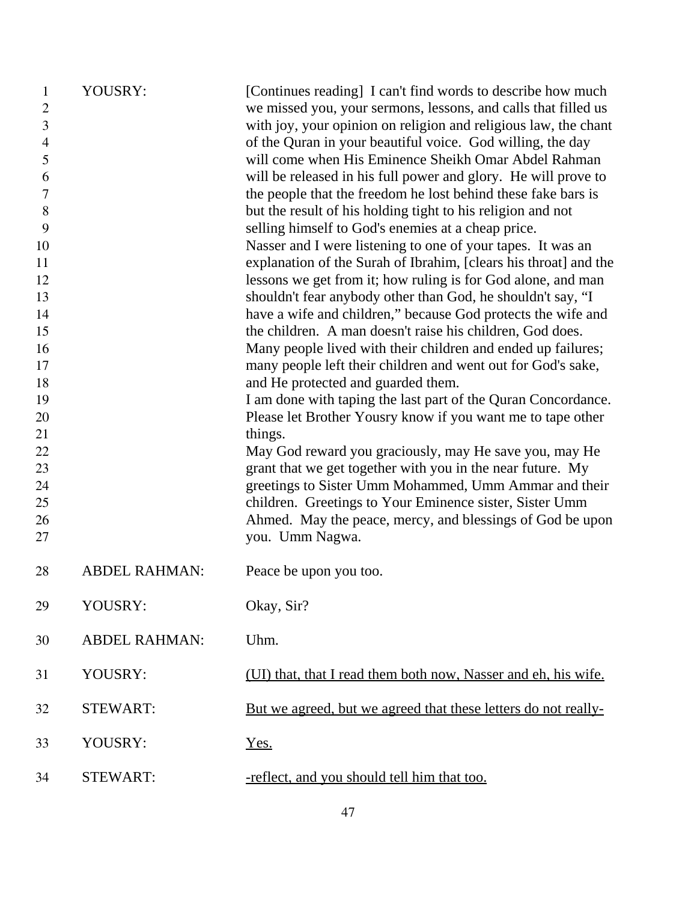| 1<br>$\overline{2}$<br>3 | YOUSRY:              | [Continues reading] I can't find words to describe how much<br>we missed you, your sermons, lessons, and calls that filled us<br>with joy, your opinion on religion and religious law, the chant |
|--------------------------|----------------------|--------------------------------------------------------------------------------------------------------------------------------------------------------------------------------------------------|
| $\overline{4}$           |                      | of the Quran in your beautiful voice. God willing, the day                                                                                                                                       |
| 5                        |                      | will come when His Eminence Sheikh Omar Abdel Rahman                                                                                                                                             |
| 6                        |                      | will be released in his full power and glory. He will prove to                                                                                                                                   |
| $\tau$                   |                      | the people that the freedom he lost behind these fake bars is                                                                                                                                    |
| 8                        |                      | but the result of his holding tight to his religion and not                                                                                                                                      |
| 9<br>10                  |                      | selling himself to God's enemies at a cheap price.<br>Nasser and I were listening to one of your tapes. It was an                                                                                |
| 11                       |                      | explanation of the Surah of Ibrahim, [clears his throat] and the                                                                                                                                 |
| 12                       |                      | lessons we get from it; how ruling is for God alone, and man                                                                                                                                     |
| 13                       |                      | shouldn't fear anybody other than God, he shouldn't say, "I                                                                                                                                      |
| 14                       |                      | have a wife and children," because God protects the wife and                                                                                                                                     |
| 15                       |                      | the children. A man doesn't raise his children, God does.                                                                                                                                        |
| 16                       |                      | Many people lived with their children and ended up failures;                                                                                                                                     |
| 17                       |                      | many people left their children and went out for God's sake,                                                                                                                                     |
| 18                       |                      | and He protected and guarded them.                                                                                                                                                               |
| 19                       |                      | I am done with taping the last part of the Quran Concordance.                                                                                                                                    |
| 20                       |                      | Please let Brother Yousry know if you want me to tape other                                                                                                                                      |
| 21                       |                      | things.                                                                                                                                                                                          |
| 22                       |                      | May God reward you graciously, may He save you, may He                                                                                                                                           |
| 23                       |                      | grant that we get together with you in the near future. My                                                                                                                                       |
| 24                       |                      | greetings to Sister Umm Mohammed, Umm Ammar and their                                                                                                                                            |
| 25                       |                      | children. Greetings to Your Eminence sister, Sister Umm                                                                                                                                          |
| 26                       |                      | Ahmed. May the peace, mercy, and blessings of God be upon                                                                                                                                        |
| 27                       |                      | you. Umm Nagwa.                                                                                                                                                                                  |
| 28                       | <b>ABDEL RAHMAN:</b> | Peace be upon you too.                                                                                                                                                                           |
| 29                       | YOUSRY:              | Okay, Sir?                                                                                                                                                                                       |
| 30                       | <b>ABDEL RAHMAN:</b> | Uhm.                                                                                                                                                                                             |
| 31                       | YOUSRY:              | (UI) that, that I read them both now, Nasser and eh, his wife.                                                                                                                                   |
| 32                       | <b>STEWART:</b>      | <u>But we agreed, but we agreed that these letters do not really-</u>                                                                                                                            |
| 33                       | YOUSRY:              | Yes.                                                                                                                                                                                             |
| 34                       | <b>STEWART:</b>      | -reflect, and you should tell him that too.                                                                                                                                                      |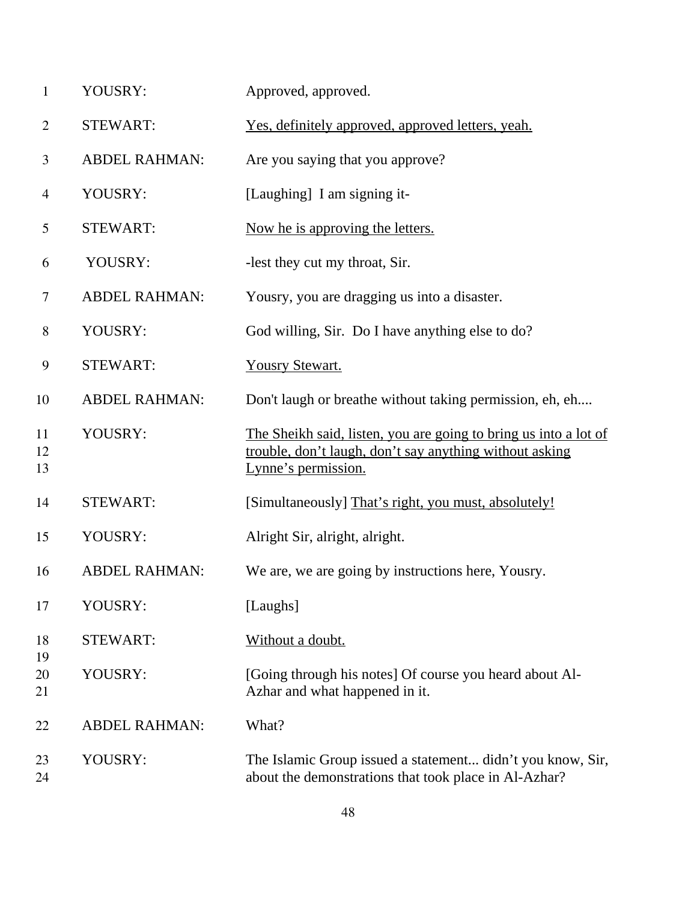| YOUSRY: | Approved, approved. |
|---------|---------------------|
|---------|---------------------|

- STEWART: Yes, definitely approved, approved letters, yeah.
- ABDEL RAHMAN: Are you saying that you approve?
- YOUSRY: [Laughing] I am signing it-
- 5 STEWART: Now he is approving the letters.
- YOUSRY: -lest they cut my throat, Sir.
- ABDEL RAHMAN: Yousry, you are dragging us into a disaster.
- YOUSRY: God willing, Sir. Do I have anything else to do?
- STEWART: Yousry Stewart.
- ABDEL RAHMAN: Don't laugh or breathe without taking permission, eh, eh....
- YOUSRY: The Sheikh said, listen, you are going to bring us into a lot of trouble, don't laugh, don't say anything without asking Lynne's permission.
- 14 STEWART: [Simultaneously] That's right, you must, absolutely!
- YOUSRY: Alright Sir, alright, alright.
- ABDEL RAHMAN: We are, we are going by instructions here, Yousry.
- YOUSRY: [Laughs]
- STEWART: Without a doubt.
- YOUSRY: [Going through his notes] Of course you heard about Al-Azhar and what happened in it.
- ABDEL RAHMAN: What?

 YOUSRY: The Islamic Group issued a statement... didn't you know, Sir, about the demonstrations that took place in Al-Azhar?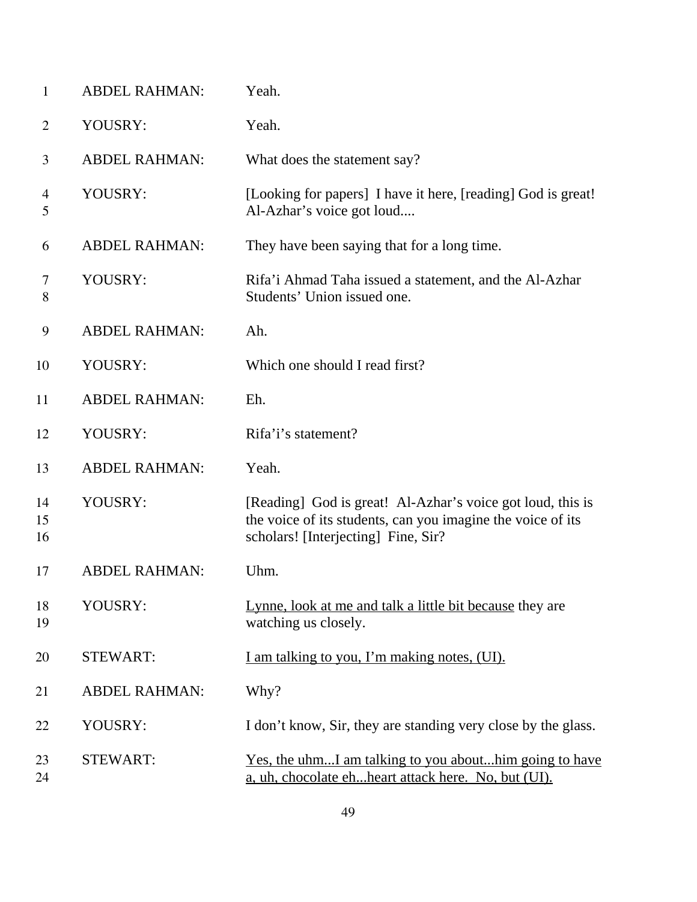| 1                   | <b>ABDEL RAHMAN:</b> | Yeah.                                                                                                                                                            |
|---------------------|----------------------|------------------------------------------------------------------------------------------------------------------------------------------------------------------|
| $\overline{2}$      | YOUSRY:              | Yeah.                                                                                                                                                            |
| 3                   | <b>ABDEL RAHMAN:</b> | What does the statement say?                                                                                                                                     |
| $\overline{4}$<br>5 | YOUSRY:              | [Looking for papers] I have it here, [reading] God is great!<br>Al-Azhar's voice got loud                                                                        |
| 6                   | <b>ABDEL RAHMAN:</b> | They have been saying that for a long time.                                                                                                                      |
| 7<br>8              | YOUSRY:              | Rifa'i Ahmad Taha issued a statement, and the Al-Azhar<br>Students' Union issued one.                                                                            |
| 9                   | <b>ABDEL RAHMAN:</b> | Ah.                                                                                                                                                              |
| 10                  | YOUSRY:              | Which one should I read first?                                                                                                                                   |
| 11                  | <b>ABDEL RAHMAN:</b> | Eh.                                                                                                                                                              |
| 12                  | YOUSRY:              | Rifa'i's statement?                                                                                                                                              |
| 13                  | <b>ABDEL RAHMAN:</b> | Yeah.                                                                                                                                                            |
| 14<br>15<br>16      | YOUSRY:              | [Reading] God is great! Al-Azhar's voice got loud, this is<br>the voice of its students, can you imagine the voice of its<br>scholars! [Interjecting] Fine, Sir? |
| 17                  | <b>ABDEL RAHMAN:</b> | Uhm.                                                                                                                                                             |
| 18<br>19            | YOUSRY:              | Lynne, look at me and talk a little bit because they are<br>watching us closely.                                                                                 |
| 20                  | <b>STEWART:</b>      | I am talking to you, I'm making notes, (UI).                                                                                                                     |
| 21                  | <b>ABDEL RAHMAN:</b> | Why?                                                                                                                                                             |
| 22                  | YOUSRY:              | I don't know, Sir, they are standing very close by the glass.                                                                                                    |
| 23<br>24            | <b>STEWART:</b>      | <u>Yes, the uhmI am talking to you abouthim going to have</u><br>a, uh, chocolate ehheart attack here. No, but (UI).                                             |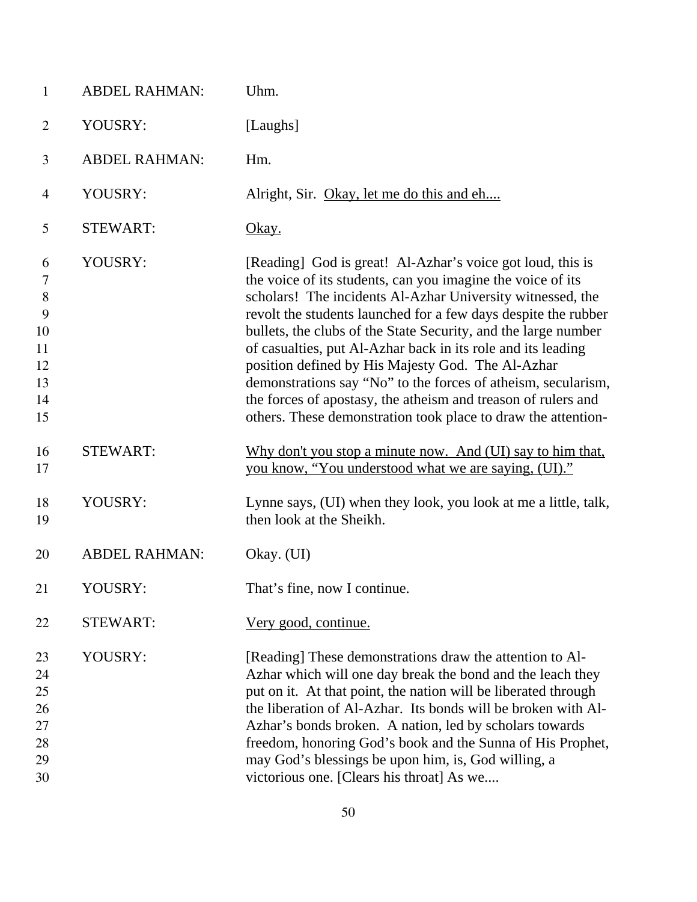| $\mathbf{1}$                                             | <b>ABDEL RAHMAN:</b> | Uhm.                                                                                                                                                                                                                                                                                                                                                                                                                                                                                                                                                                                                                                                |
|----------------------------------------------------------|----------------------|-----------------------------------------------------------------------------------------------------------------------------------------------------------------------------------------------------------------------------------------------------------------------------------------------------------------------------------------------------------------------------------------------------------------------------------------------------------------------------------------------------------------------------------------------------------------------------------------------------------------------------------------------------|
| $\overline{2}$                                           | YOUSRY:              | [Laughs]                                                                                                                                                                                                                                                                                                                                                                                                                                                                                                                                                                                                                                            |
| 3                                                        | <b>ABDEL RAHMAN:</b> | Hm.                                                                                                                                                                                                                                                                                                                                                                                                                                                                                                                                                                                                                                                 |
| $\overline{4}$                                           | YOUSRY:              | Alright, Sir. Okay, let me do this and eh                                                                                                                                                                                                                                                                                                                                                                                                                                                                                                                                                                                                           |
| 5                                                        | <b>STEWART:</b>      | Okay.                                                                                                                                                                                                                                                                                                                                                                                                                                                                                                                                                                                                                                               |
| 6<br>7<br>$8\,$<br>9<br>10<br>11<br>12<br>13<br>14<br>15 | YOUSRY:              | [Reading] God is great! Al-Azhar's voice got loud, this is<br>the voice of its students, can you imagine the voice of its<br>scholars! The incidents Al-Azhar University witnessed, the<br>revolt the students launched for a few days despite the rubber<br>bullets, the clubs of the State Security, and the large number<br>of casualties, put Al-Azhar back in its role and its leading<br>position defined by His Majesty God. The Al-Azhar<br>demonstrations say "No" to the forces of atheism, secularism,<br>the forces of apostasy, the atheism and treason of rulers and<br>others. These demonstration took place to draw the attention- |
| 16<br>17                                                 | <b>STEWART:</b>      | Why don't you stop a minute now. And (UI) say to him that,<br>you know, "You understood what we are saying, (UI)."                                                                                                                                                                                                                                                                                                                                                                                                                                                                                                                                  |
| 18<br>19                                                 | YOUSRY:              | Lynne says, (UI) when they look, you look at me a little, talk,<br>then look at the Sheikh.                                                                                                                                                                                                                                                                                                                                                                                                                                                                                                                                                         |
| 20                                                       | <b>ABDEL RAHMAN:</b> | Okay. (UI)                                                                                                                                                                                                                                                                                                                                                                                                                                                                                                                                                                                                                                          |
| 21                                                       | YOUSRY:              | That's fine, now I continue                                                                                                                                                                                                                                                                                                                                                                                                                                                                                                                                                                                                                         |
| 22                                                       | <b>STEWART:</b>      | <u>Very good, continue.</u>                                                                                                                                                                                                                                                                                                                                                                                                                                                                                                                                                                                                                         |
| 23<br>24<br>25<br>26<br>27<br>28<br>29<br>30             | YOUSRY:              | [Reading] These demonstrations draw the attention to Al-<br>Azhar which will one day break the bond and the leach they<br>put on it. At that point, the nation will be liberated through<br>the liberation of Al-Azhar. Its bonds will be broken with Al-<br>Azhar's bonds broken. A nation, led by scholars towards<br>freedom, honoring God's book and the Sunna of His Prophet,<br>may God's blessings be upon him, is, God willing, a<br>victorious one. [Clears his throat] As we                                                                                                                                                              |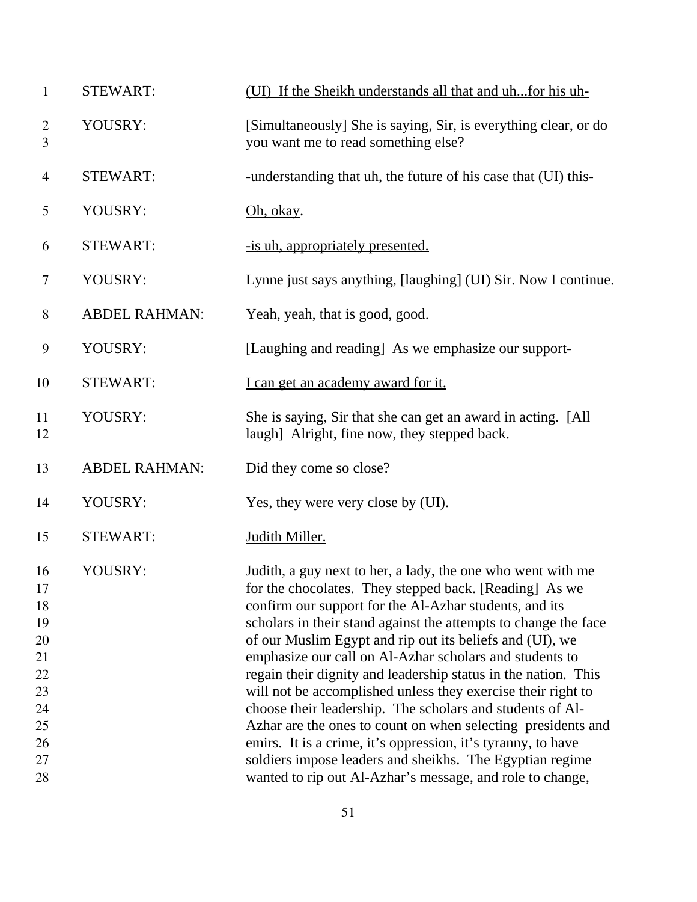| <b>STEWART:</b>      | (UI) If the Sheikh understands all that and uh for his uh-                                                                                                                                                                                                                                                                                                                                                                                                                                                                                                                                                                                                                                                                                                                                                                        |
|----------------------|-----------------------------------------------------------------------------------------------------------------------------------------------------------------------------------------------------------------------------------------------------------------------------------------------------------------------------------------------------------------------------------------------------------------------------------------------------------------------------------------------------------------------------------------------------------------------------------------------------------------------------------------------------------------------------------------------------------------------------------------------------------------------------------------------------------------------------------|
| YOUSRY:              | [Simultaneously] She is saying, Sir, is everything clear, or do<br>you want me to read something else?                                                                                                                                                                                                                                                                                                                                                                                                                                                                                                                                                                                                                                                                                                                            |
| <b>STEWART:</b>      | -understanding that uh, the future of his case that (UI) this-                                                                                                                                                                                                                                                                                                                                                                                                                                                                                                                                                                                                                                                                                                                                                                    |
| YOUSRY:              | Oh, okay.                                                                                                                                                                                                                                                                                                                                                                                                                                                                                                                                                                                                                                                                                                                                                                                                                         |
| <b>STEWART:</b>      | -is uh, appropriately presented.                                                                                                                                                                                                                                                                                                                                                                                                                                                                                                                                                                                                                                                                                                                                                                                                  |
| YOUSRY:              | Lynne just says anything, [laughing] (UI) Sir. Now I continue.                                                                                                                                                                                                                                                                                                                                                                                                                                                                                                                                                                                                                                                                                                                                                                    |
| <b>ABDEL RAHMAN:</b> | Yeah, yeah, that is good, good.                                                                                                                                                                                                                                                                                                                                                                                                                                                                                                                                                                                                                                                                                                                                                                                                   |
| YOUSRY:              | [Laughing and reading] As we emphasize our support-                                                                                                                                                                                                                                                                                                                                                                                                                                                                                                                                                                                                                                                                                                                                                                               |
| <b>STEWART:</b>      | I can get an academy award for it.                                                                                                                                                                                                                                                                                                                                                                                                                                                                                                                                                                                                                                                                                                                                                                                                |
| YOUSRY:              | She is saying, Sir that she can get an award in acting. [All]<br>laugh] Alright, fine now, they stepped back.                                                                                                                                                                                                                                                                                                                                                                                                                                                                                                                                                                                                                                                                                                                     |
| <b>ABDEL RAHMAN:</b> | Did they come so close?                                                                                                                                                                                                                                                                                                                                                                                                                                                                                                                                                                                                                                                                                                                                                                                                           |
| YOUSRY:              | Yes, they were very close by (UI).                                                                                                                                                                                                                                                                                                                                                                                                                                                                                                                                                                                                                                                                                                                                                                                                |
| <b>STEWART:</b>      | Judith Miller.                                                                                                                                                                                                                                                                                                                                                                                                                                                                                                                                                                                                                                                                                                                                                                                                                    |
| YOUSRY:              | Judith, a guy next to her, a lady, the one who went with me<br>for the chocolates. They stepped back. [Reading] As we<br>confirm our support for the Al-Azhar students, and its<br>scholars in their stand against the attempts to change the face<br>of our Muslim Egypt and rip out its beliefs and (UI), we<br>emphasize our call on Al-Azhar scholars and students to<br>regain their dignity and leadership status in the nation. This<br>will not be accomplished unless they exercise their right to<br>choose their leadership. The scholars and students of Al-<br>Azhar are the ones to count on when selecting presidents and<br>emirs. It is a crime, it's oppression, it's tyranny, to have<br>soldiers impose leaders and sheikhs. The Egyptian regime<br>wanted to rip out Al-Azhar's message, and role to change, |
|                      |                                                                                                                                                                                                                                                                                                                                                                                                                                                                                                                                                                                                                                                                                                                                                                                                                                   |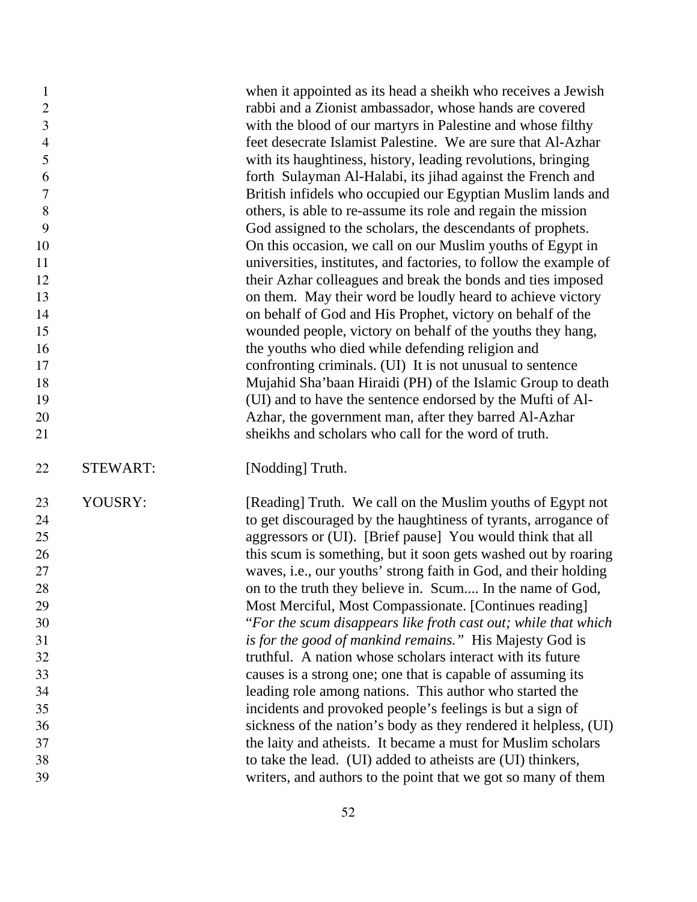| $\mathbf{1}$   |                 | when it appointed as its head a sheikh who receives a Jewish      |
|----------------|-----------------|-------------------------------------------------------------------|
| $\mathbf{2}$   |                 | rabbi and a Zionist ambassador, whose hands are covered           |
| $\mathfrak{Z}$ |                 | with the blood of our martyrs in Palestine and whose filthy       |
| $\overline{4}$ |                 | feet desecrate Islamist Palestine. We are sure that Al-Azhar      |
| 5              |                 | with its haughtiness, history, leading revolutions, bringing      |
| 6              |                 | forth Sulayman Al-Halabi, its jihad against the French and        |
| $\tau$         |                 | British infidels who occupied our Egyptian Muslim lands and       |
| 8              |                 | others, is able to re-assume its role and regain the mission      |
| 9              |                 | God assigned to the scholars, the descendants of prophets.        |
| 10             |                 | On this occasion, we call on our Muslim youths of Egypt in        |
| 11             |                 | universities, institutes, and factories, to follow the example of |
| 12             |                 | their Azhar colleagues and break the bonds and ties imposed       |
| 13             |                 | on them. May their word be loudly heard to achieve victory        |
| 14             |                 | on behalf of God and His Prophet, victory on behalf of the        |
| 15             |                 | wounded people, victory on behalf of the youths they hang,        |
| 16             |                 | the youths who died while defending religion and                  |
| 17             |                 | confronting criminals. (UI) It is not unusual to sentence         |
| 18             |                 | Mujahid Sha'baan Hiraidi (PH) of the Islamic Group to death       |
| 19             |                 | (UI) and to have the sentence endorsed by the Mufti of Al-        |
| 20             |                 | Azhar, the government man, after they barred Al-Azhar             |
| 21             |                 | sheikhs and scholars who call for the word of truth.              |
|                |                 |                                                                   |
| 22             | <b>STEWART:</b> | [Nodding] Truth.                                                  |
| 23             | YOUSRY:         | [Reading] Truth. We call on the Muslim youths of Egypt not        |
| 24             |                 | to get discouraged by the haughtiness of tyrants, arrogance of    |
| 25             |                 | aggressors or (UI). [Brief pause] You would think that all        |
| 26             |                 | this scum is something, but it soon gets washed out by roaring    |
| $27\,$         |                 | waves, i.e., our youths' strong faith in God, and their holding   |
| 28             |                 | on to the truth they believe in. Scum In the name of God,         |
| 29             |                 | Most Merciful, Most Compassionate. [Continues reading]            |
| 30             |                 | "For the scum disappears like froth cast out; while that which    |
| 31             |                 | is for the good of mankind remains." His Majesty God is           |
| 32             |                 | truthful. A nation whose scholars interact with its future        |
| 33             |                 | causes is a strong one; one that is capable of assuming its       |
| 34             |                 | leading role among nations. This author who started the           |
| 35             |                 | incidents and provoked people's feelings is but a sign of         |
| 36             |                 | sickness of the nation's body as they rendered it helpless, (UI)  |
| 37             |                 | the laity and atheists. It became a must for Muslim scholars      |
| 38             |                 | to take the lead. (UI) added to atheists are (UI) thinkers,       |
| 39             |                 | writers, and authors to the point that we got so many of them     |
|                |                 |                                                                   |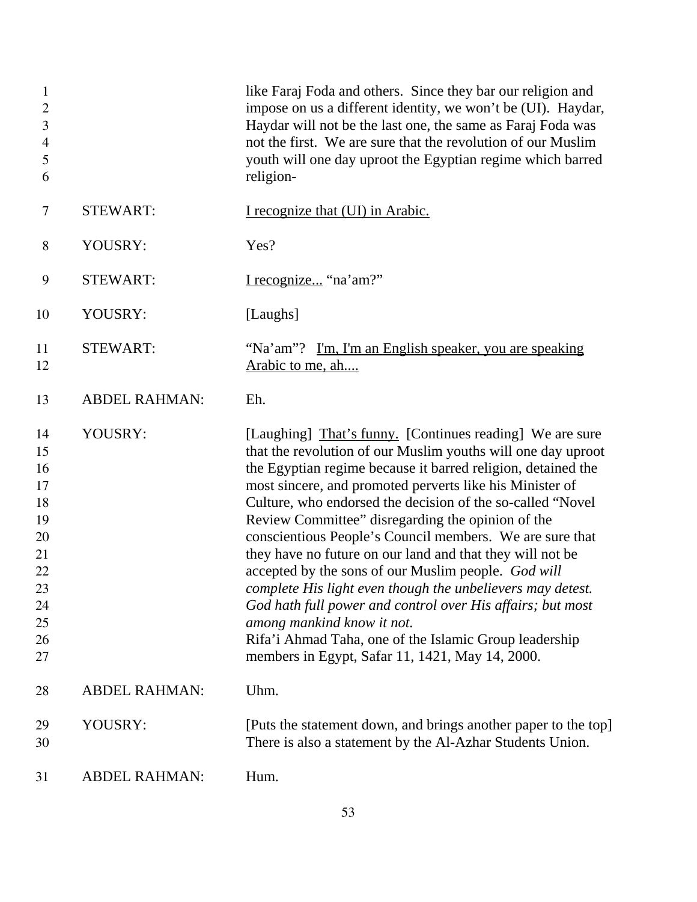| $\mathbf{1}$<br>$\overline{2}$<br>3<br>$\overline{4}$<br>5<br>6                  |                      | like Faraj Foda and others. Since they bar our religion and<br>impose on us a different identity, we won't be (UI). Haydar,<br>Haydar will not be the last one, the same as Faraj Foda was<br>not the first. We are sure that the revolution of our Muslim<br>youth will one day uproot the Egyptian regime which barred<br>religion-                                                                                                                                                                                                                                                                                                                                                                                                                                                                                           |
|----------------------------------------------------------------------------------|----------------------|---------------------------------------------------------------------------------------------------------------------------------------------------------------------------------------------------------------------------------------------------------------------------------------------------------------------------------------------------------------------------------------------------------------------------------------------------------------------------------------------------------------------------------------------------------------------------------------------------------------------------------------------------------------------------------------------------------------------------------------------------------------------------------------------------------------------------------|
| 7                                                                                | <b>STEWART:</b>      | I recognize that (UI) in Arabic.                                                                                                                                                                                                                                                                                                                                                                                                                                                                                                                                                                                                                                                                                                                                                                                                |
| 8                                                                                | YOUSRY:              | Yes?                                                                                                                                                                                                                                                                                                                                                                                                                                                                                                                                                                                                                                                                                                                                                                                                                            |
| 9                                                                                | <b>STEWART:</b>      | I recognize "na'am?"                                                                                                                                                                                                                                                                                                                                                                                                                                                                                                                                                                                                                                                                                                                                                                                                            |
| 10                                                                               | YOUSRY:              | [Laughs]                                                                                                                                                                                                                                                                                                                                                                                                                                                                                                                                                                                                                                                                                                                                                                                                                        |
| 11<br>12                                                                         | <b>STEWART:</b>      | "Na'am"? I'm, I'm an English speaker, you are speaking<br>Arabic to me, ah                                                                                                                                                                                                                                                                                                                                                                                                                                                                                                                                                                                                                                                                                                                                                      |
| 13                                                                               | <b>ABDEL RAHMAN:</b> | Eh.                                                                                                                                                                                                                                                                                                                                                                                                                                                                                                                                                                                                                                                                                                                                                                                                                             |
| 14<br>15<br>16<br>17<br>18<br>19<br>20<br>21<br>22<br>23<br>24<br>25<br>26<br>27 | YOUSRY:              | [Laughing] That's funny. [Continues reading] We are sure<br>that the revolution of our Muslim youths will one day uproot<br>the Egyptian regime because it barred religion, detained the<br>most sincere, and promoted perverts like his Minister of<br>Culture, who endorsed the decision of the so-called "Novel"<br>Review Committee" disregarding the opinion of the<br>conscientious People's Council members. We are sure that<br>they have no future on our land and that they will not be<br>accepted by the sons of our Muslim people. God will<br>complete His light even though the unbelievers may detest.<br>God hath full power and control over His affairs; but most<br>among mankind know it not.<br>Rifa'i Ahmad Taha, one of the Islamic Group leadership<br>members in Egypt, Safar 11, 1421, May 14, 2000. |
| 28                                                                               | <b>ABDEL RAHMAN:</b> | Uhm.                                                                                                                                                                                                                                                                                                                                                                                                                                                                                                                                                                                                                                                                                                                                                                                                                            |
| 29<br>30                                                                         | YOUSRY:              | [Puts the statement down, and brings another paper to the top]<br>There is also a statement by the Al-Azhar Students Union.                                                                                                                                                                                                                                                                                                                                                                                                                                                                                                                                                                                                                                                                                                     |
| 31                                                                               | <b>ABDEL RAHMAN:</b> | Hum.                                                                                                                                                                                                                                                                                                                                                                                                                                                                                                                                                                                                                                                                                                                                                                                                                            |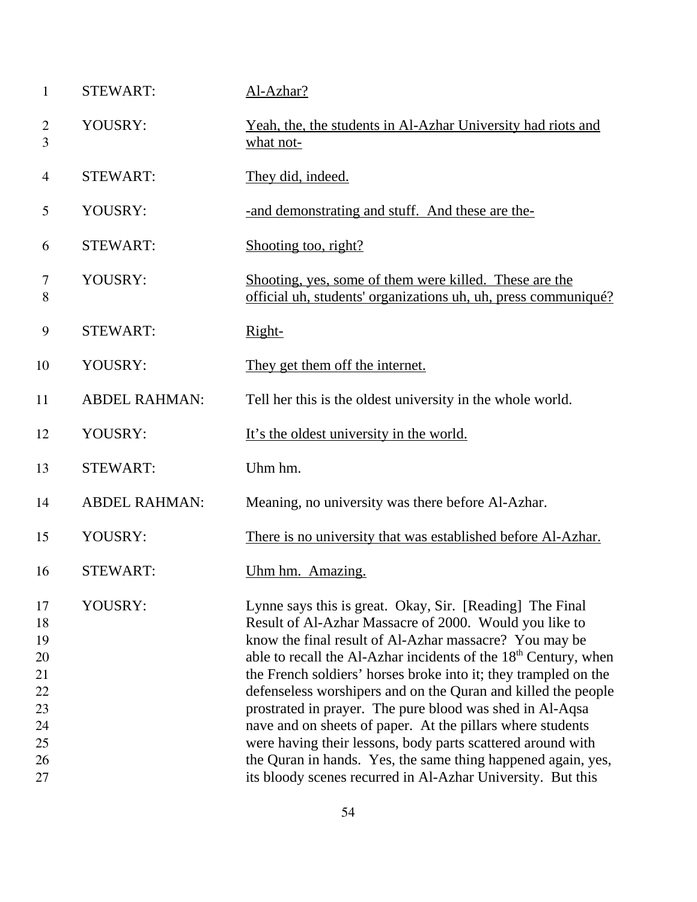| <b>STEWART:</b>      | Al-Azhar?                                                                                                                                                                                                                                                                                                                                                                                                                                                                                                                                                                                                                                                                                                               |
|----------------------|-------------------------------------------------------------------------------------------------------------------------------------------------------------------------------------------------------------------------------------------------------------------------------------------------------------------------------------------------------------------------------------------------------------------------------------------------------------------------------------------------------------------------------------------------------------------------------------------------------------------------------------------------------------------------------------------------------------------------|
| YOUSRY:              | Yeah, the, the students in Al-Azhar University had riots and<br>what not-                                                                                                                                                                                                                                                                                                                                                                                                                                                                                                                                                                                                                                               |
| <b>STEWART:</b>      | They did, indeed.                                                                                                                                                                                                                                                                                                                                                                                                                                                                                                                                                                                                                                                                                                       |
| YOUSRY:              | -and demonstrating and stuff. And these are the-                                                                                                                                                                                                                                                                                                                                                                                                                                                                                                                                                                                                                                                                        |
| <b>STEWART:</b>      | Shooting too, right?                                                                                                                                                                                                                                                                                                                                                                                                                                                                                                                                                                                                                                                                                                    |
| YOUSRY:              | Shooting, yes, some of them were killed. These are the<br>official uh, students' organizations uh, uh, press communiqué?                                                                                                                                                                                                                                                                                                                                                                                                                                                                                                                                                                                                |
| <b>STEWART:</b>      | Right-                                                                                                                                                                                                                                                                                                                                                                                                                                                                                                                                                                                                                                                                                                                  |
| YOUSRY:              | They get them off the internet.                                                                                                                                                                                                                                                                                                                                                                                                                                                                                                                                                                                                                                                                                         |
| <b>ABDEL RAHMAN:</b> | Tell her this is the oldest university in the whole world.                                                                                                                                                                                                                                                                                                                                                                                                                                                                                                                                                                                                                                                              |
| YOUSRY:              | It's the oldest university in the world.                                                                                                                                                                                                                                                                                                                                                                                                                                                                                                                                                                                                                                                                                |
| <b>STEWART:</b>      | Uhm hm.                                                                                                                                                                                                                                                                                                                                                                                                                                                                                                                                                                                                                                                                                                                 |
| <b>ABDEL RAHMAN:</b> | Meaning, no university was there before Al-Azhar.                                                                                                                                                                                                                                                                                                                                                                                                                                                                                                                                                                                                                                                                       |
| YOUSRY:              | There is no university that was established before Al-Azhar.                                                                                                                                                                                                                                                                                                                                                                                                                                                                                                                                                                                                                                                            |
| <b>STEWART:</b>      | Uhm hm. Amazing.                                                                                                                                                                                                                                                                                                                                                                                                                                                                                                                                                                                                                                                                                                        |
| YOUSRY:              | Lynne says this is great. Okay, Sir. [Reading] The Final<br>Result of Al-Azhar Massacre of 2000. Would you like to<br>know the final result of Al-Azhar massacre? You may be<br>able to recall the Al-Azhar incidents of the 18 <sup>th</sup> Century, when<br>the French soldiers' horses broke into it; they trampled on the<br>defenseless worshipers and on the Quran and killed the people<br>prostrated in prayer. The pure blood was shed in Al-Aqsa<br>nave and on sheets of paper. At the pillars where students<br>were having their lessons, body parts scattered around with<br>the Quran in hands. Yes, the same thing happened again, yes,<br>its bloody scenes recurred in Al-Azhar University. But this |
|                      |                                                                                                                                                                                                                                                                                                                                                                                                                                                                                                                                                                                                                                                                                                                         |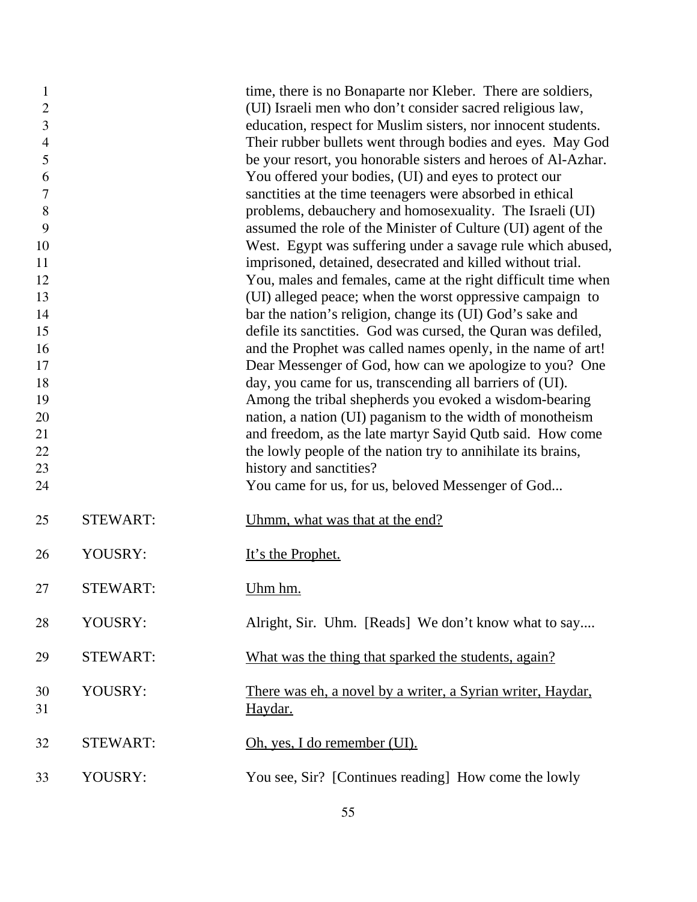| $\mathbf{1}$<br>$\overline{2}$ |                 | time, there is no Bonaparte nor Kleber. There are soldiers,<br>(UI) Israeli men who don't consider sacred religious law, |
|--------------------------------|-----------------|--------------------------------------------------------------------------------------------------------------------------|
| 3                              |                 | education, respect for Muslim sisters, nor innocent students.                                                            |
| $\overline{4}$                 |                 | Their rubber bullets went through bodies and eyes. May God                                                               |
| 5                              |                 | be your resort, you honorable sisters and heroes of Al-Azhar.                                                            |
| 6                              |                 | You offered your bodies, (UI) and eyes to protect our                                                                    |
| 7                              |                 | sanctities at the time teenagers were absorbed in ethical                                                                |
| 8                              |                 | problems, debauchery and homosexuality. The Israeli (UI)                                                                 |
| 9                              |                 | assumed the role of the Minister of Culture (UI) agent of the                                                            |
| 10                             |                 | West. Egypt was suffering under a savage rule which abused,                                                              |
| 11                             |                 | imprisoned, detained, desecrated and killed without trial.                                                               |
| 12                             |                 | You, males and females, came at the right difficult time when                                                            |
| 13                             |                 | (UI) alleged peace; when the worst oppressive campaign to                                                                |
| 14                             |                 | bar the nation's religion, change its (UI) God's sake and                                                                |
| 15                             |                 | defile its sanctities. God was cursed, the Quran was defiled,                                                            |
| 16                             |                 | and the Prophet was called names openly, in the name of art!                                                             |
| 17                             |                 | Dear Messenger of God, how can we apologize to you? One                                                                  |
| 18                             |                 | day, you came for us, transcending all barriers of (UI).                                                                 |
| 19                             |                 | Among the tribal shepherds you evoked a wisdom-bearing                                                                   |
| 20                             |                 | nation, a nation (UI) paganism to the width of monotheism                                                                |
| 21                             |                 | and freedom, as the late martyr Sayid Qutb said. How come                                                                |
| 22                             |                 | the lowly people of the nation try to annihilate its brains,                                                             |
| 23                             |                 | history and sanctities?                                                                                                  |
| 24                             |                 | You came for us, for us, beloved Messenger of God                                                                        |
| 25                             | <b>STEWART:</b> | Uhmm, what was that at the end?                                                                                          |
| 26                             | YOUSRY:         | It's the Prophet.                                                                                                        |
| 27                             | <b>STEWART:</b> | Uhm hm.                                                                                                                  |
| 28                             | YOUSRY:         | Alright, Sir. Uhm. [Reads] We don't know what to say                                                                     |
| 29                             | <b>STEWART:</b> | What was the thing that sparked the students, again?                                                                     |
| 30<br>31                       | YOUSRY:         | There was eh, a novel by a writer, a Syrian writer, Haydar,<br>Haydar.                                                   |
| 32                             | <b>STEWART:</b> | Oh, yes, I do remember (UI).                                                                                             |
| 33                             | YOUSRY:         | You see, Sir? [Continues reading] How come the lowly                                                                     |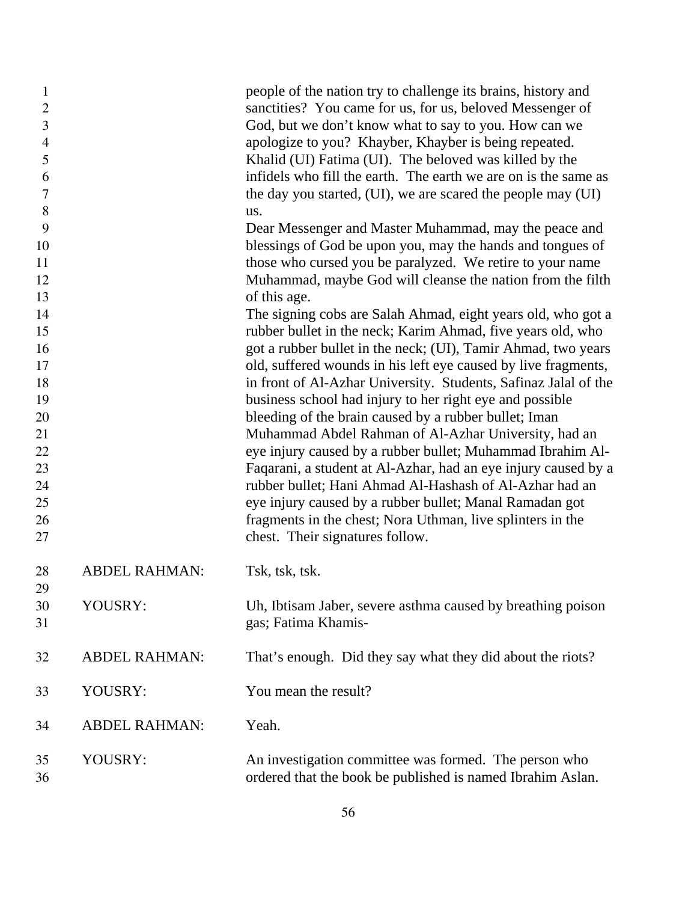| $\mathbf{1}$<br>$\overline{c}$<br>3<br>$\overline{4}$<br>5<br>6<br>7<br>8 |                      | people of the nation try to challenge its brains, history and<br>sanctities? You came for us, for us, beloved Messenger of<br>God, but we don't know what to say to you. How can we<br>apologize to you? Khayber, Khayber is being repeated.<br>Khalid (UI) Fatima (UI). The beloved was killed by the<br>infidels who fill the earth. The earth we are on is the same as<br>the day you started, (UI), we are scared the people may (UI)<br>us. |
|---------------------------------------------------------------------------|----------------------|--------------------------------------------------------------------------------------------------------------------------------------------------------------------------------------------------------------------------------------------------------------------------------------------------------------------------------------------------------------------------------------------------------------------------------------------------|
| 9                                                                         |                      | Dear Messenger and Master Muhammad, may the peace and                                                                                                                                                                                                                                                                                                                                                                                            |
| 10                                                                        |                      | blessings of God be upon you, may the hands and tongues of                                                                                                                                                                                                                                                                                                                                                                                       |
| 11                                                                        |                      | those who cursed you be paralyzed. We retire to your name                                                                                                                                                                                                                                                                                                                                                                                        |
| 12                                                                        |                      | Muhammad, maybe God will cleanse the nation from the filth                                                                                                                                                                                                                                                                                                                                                                                       |
| 13                                                                        |                      | of this age.                                                                                                                                                                                                                                                                                                                                                                                                                                     |
| 14                                                                        |                      | The signing cobs are Salah Ahmad, eight years old, who got a                                                                                                                                                                                                                                                                                                                                                                                     |
| 15                                                                        |                      | rubber bullet in the neck; Karim Ahmad, five years old, who                                                                                                                                                                                                                                                                                                                                                                                      |
| 16                                                                        |                      | got a rubber bullet in the neck; (UI), Tamir Ahmad, two years                                                                                                                                                                                                                                                                                                                                                                                    |
| 17                                                                        |                      | old, suffered wounds in his left eye caused by live fragments,                                                                                                                                                                                                                                                                                                                                                                                   |
| 18                                                                        |                      | in front of Al-Azhar University. Students, Safinaz Jalal of the                                                                                                                                                                                                                                                                                                                                                                                  |
| 19<br>20                                                                  |                      | business school had injury to her right eye and possible<br>bleeding of the brain caused by a rubber bullet; Iman                                                                                                                                                                                                                                                                                                                                |
| 21                                                                        |                      | Muhammad Abdel Rahman of Al-Azhar University, had an                                                                                                                                                                                                                                                                                                                                                                                             |
| 22                                                                        |                      | eye injury caused by a rubber bullet; Muhammad Ibrahim Al-                                                                                                                                                                                                                                                                                                                                                                                       |
| 23                                                                        |                      | Faqarani, a student at Al-Azhar, had an eye injury caused by a                                                                                                                                                                                                                                                                                                                                                                                   |
| 24                                                                        |                      | rubber bullet; Hani Ahmad Al-Hashash of Al-Azhar had an                                                                                                                                                                                                                                                                                                                                                                                          |
| 25                                                                        |                      | eye injury caused by a rubber bullet; Manal Ramadan got                                                                                                                                                                                                                                                                                                                                                                                          |
| 26                                                                        |                      | fragments in the chest; Nora Uthman, live splinters in the                                                                                                                                                                                                                                                                                                                                                                                       |
| 27                                                                        |                      | chest. Their signatures follow.                                                                                                                                                                                                                                                                                                                                                                                                                  |
| 28<br>29                                                                  | <b>ABDEL RAHMAN:</b> | Tsk, tsk, tsk.                                                                                                                                                                                                                                                                                                                                                                                                                                   |
| 30                                                                        | YOUSRY:              | Uh, Ibtisam Jaber, severe asthma caused by breathing poison                                                                                                                                                                                                                                                                                                                                                                                      |
| 31                                                                        |                      | gas; Fatima Khamis-                                                                                                                                                                                                                                                                                                                                                                                                                              |
| 32                                                                        | <b>ABDEL RAHMAN:</b> | That's enough. Did they say what they did about the riots?                                                                                                                                                                                                                                                                                                                                                                                       |
| 33                                                                        | YOUSRY:              | You mean the result?                                                                                                                                                                                                                                                                                                                                                                                                                             |
| 34                                                                        | <b>ABDEL RAHMAN:</b> | Yeah.                                                                                                                                                                                                                                                                                                                                                                                                                                            |
| 35<br>36                                                                  | YOUSRY:              | An investigation committee was formed. The person who<br>ordered that the book be published is named Ibrahim Aslan.                                                                                                                                                                                                                                                                                                                              |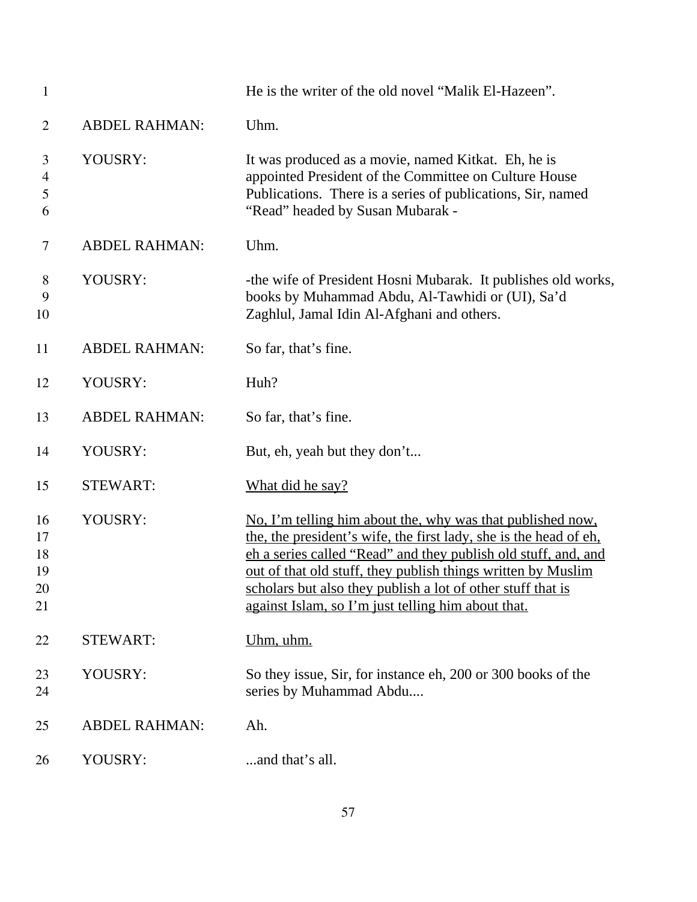| $\mathbf{1}$                     |                      | He is the writer of the old novel "Malik El-Hazeen".                                                                                                                                                                                                                                                                                                                                   |
|----------------------------------|----------------------|----------------------------------------------------------------------------------------------------------------------------------------------------------------------------------------------------------------------------------------------------------------------------------------------------------------------------------------------------------------------------------------|
| $\overline{2}$                   | <b>ABDEL RAHMAN:</b> | Uhm.                                                                                                                                                                                                                                                                                                                                                                                   |
| 3<br>4<br>5<br>6                 | YOUSRY:              | It was produced as a movie, named Kitkat. Eh, he is<br>appointed President of the Committee on Culture House<br>Publications. There is a series of publications, Sir, named<br>"Read" headed by Susan Mubarak -                                                                                                                                                                        |
| 7                                | <b>ABDEL RAHMAN:</b> | Uhm.                                                                                                                                                                                                                                                                                                                                                                                   |
| 8<br>9<br>10                     | YOUSRY:              | -the wife of President Hosni Mubarak. It publishes old works,<br>books by Muhammad Abdu, Al-Tawhidi or (UI), Sa'd<br>Zaghlul, Jamal Idin Al-Afghani and others.                                                                                                                                                                                                                        |
| 11                               | <b>ABDEL RAHMAN:</b> | So far, that's fine.                                                                                                                                                                                                                                                                                                                                                                   |
| 12                               | YOUSRY:              | Huh?                                                                                                                                                                                                                                                                                                                                                                                   |
| 13                               | <b>ABDEL RAHMAN:</b> | So far, that's fine.                                                                                                                                                                                                                                                                                                                                                                   |
| 14                               | YOUSRY:              | But, eh, yeah but they don't                                                                                                                                                                                                                                                                                                                                                           |
| 15                               | <b>STEWART:</b>      | What did he say?                                                                                                                                                                                                                                                                                                                                                                       |
| 16<br>17<br>18<br>19<br>20<br>21 | YOUSRY:              | No, I'm telling him about the, why was that published now,<br>the, the president's wife, the first lady, she is the head of eh.<br>ch a series called "Read" and they publish old stuff, and, and<br>out of that old stuff, they publish things written by Muslim<br>scholars but also they publish a lot of other stuff that is<br>against Islam, so I'm just telling him about that. |
| 22                               | <b>STEWART:</b>      | <u>Uhm, uhm.</u>                                                                                                                                                                                                                                                                                                                                                                       |
| 23<br>24                         | YOUSRY:              | So they issue, Sir, for instance eh, 200 or 300 books of the<br>series by Muhammad Abdu                                                                                                                                                                                                                                                                                                |
| 25                               | <b>ABDEL RAHMAN:</b> | Ah.                                                                                                                                                                                                                                                                                                                                                                                    |
| 26                               | YOUSRY:              | and that's all.                                                                                                                                                                                                                                                                                                                                                                        |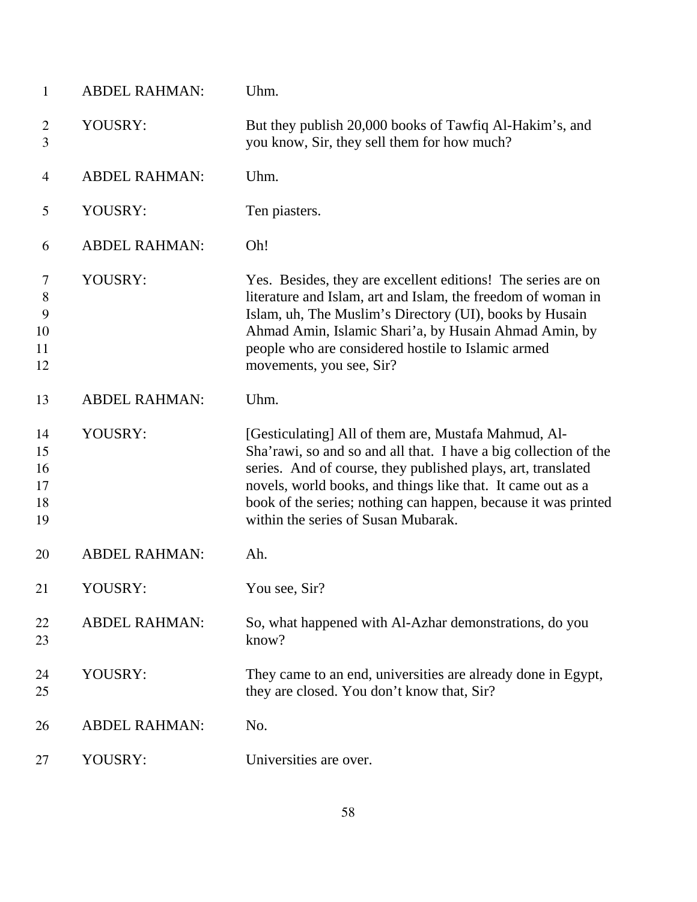| $\mathbf{1}$                     | <b>ABDEL RAHMAN:</b> | Uhm.                                                                                                                                                                                                                                                                                                                                                             |
|----------------------------------|----------------------|------------------------------------------------------------------------------------------------------------------------------------------------------------------------------------------------------------------------------------------------------------------------------------------------------------------------------------------------------------------|
| $\overline{2}$<br>3              | YOUSRY:              | But they publish 20,000 books of Tawfiq Al-Hakim's, and<br>you know, Sir, they sell them for how much?                                                                                                                                                                                                                                                           |
| 4                                | <b>ABDEL RAHMAN:</b> | Uhm.                                                                                                                                                                                                                                                                                                                                                             |
| 5                                | YOUSRY:              | Ten piasters.                                                                                                                                                                                                                                                                                                                                                    |
| 6                                | <b>ABDEL RAHMAN:</b> | Oh!                                                                                                                                                                                                                                                                                                                                                              |
| 7<br>8<br>9<br>10<br>11<br>12    | YOUSRY:              | Yes. Besides, they are excellent editions! The series are on<br>literature and Islam, art and Islam, the freedom of woman in<br>Islam, uh, The Muslim's Directory (UI), books by Husain<br>Ahmad Amin, Islamic Shari'a, by Husain Ahmad Amin, by<br>people who are considered hostile to Islamic armed<br>movements, you see, Sir?                               |
| 13                               | <b>ABDEL RAHMAN:</b> | Uhm.                                                                                                                                                                                                                                                                                                                                                             |
| 14<br>15<br>16<br>17<br>18<br>19 | YOUSRY:              | [Gesticulating] All of them are, Mustafa Mahmud, Al-<br>Sha'rawi, so and so and all that. I have a big collection of the<br>series. And of course, they published plays, art, translated<br>novels, world books, and things like that. It came out as a<br>book of the series; nothing can happen, because it was printed<br>within the series of Susan Mubarak. |
| 20                               | <b>ABDEL RAHMAN:</b> | Ah.                                                                                                                                                                                                                                                                                                                                                              |
| 21                               | YOUSRY:              | You see, Sir?                                                                                                                                                                                                                                                                                                                                                    |
| 22<br>23                         | <b>ABDEL RAHMAN:</b> | So, what happened with Al-Azhar demonstrations, do you<br>know?                                                                                                                                                                                                                                                                                                  |
| 24<br>25                         | YOUSRY:              | They came to an end, universities are already done in Egypt,<br>they are closed. You don't know that, Sir?                                                                                                                                                                                                                                                       |
| 26                               | <b>ABDEL RAHMAN:</b> | No.                                                                                                                                                                                                                                                                                                                                                              |
| 27                               | YOUSRY:              | Universities are over.                                                                                                                                                                                                                                                                                                                                           |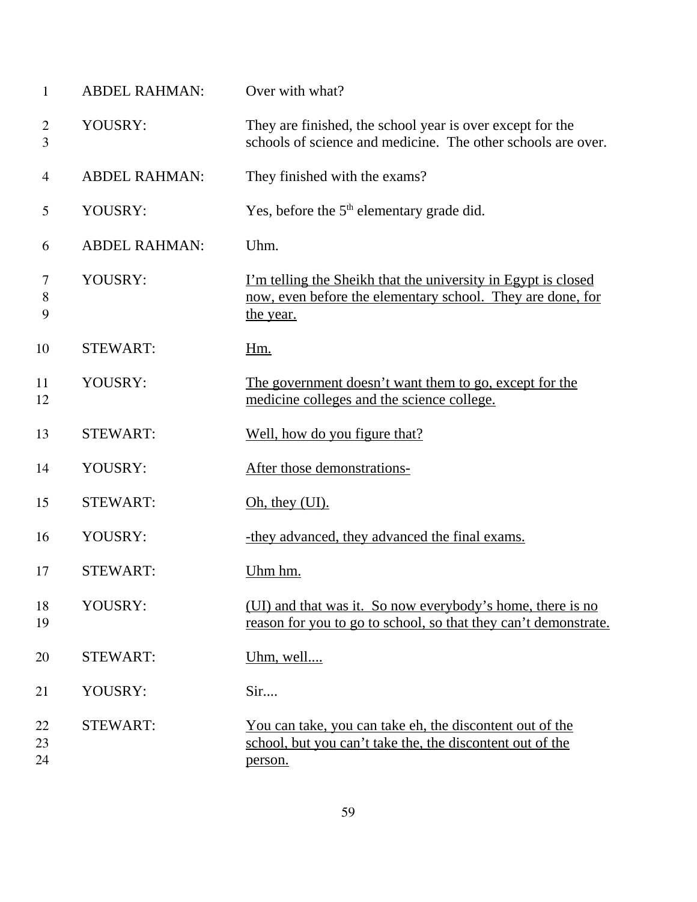| $\mathbf{1}$        | <b>ABDEL RAHMAN:</b> | Over with what?                                                                                                                                 |
|---------------------|----------------------|-------------------------------------------------------------------------------------------------------------------------------------------------|
| $\overline{2}$<br>3 | YOUSRY:              | They are finished, the school year is over except for the<br>schools of science and medicine. The other schools are over.                       |
| $\overline{4}$      | <b>ABDEL RAHMAN:</b> | They finished with the exams?                                                                                                                   |
| 5                   | YOUSRY:              | Yes, before the $5th$ elementary grade did.                                                                                                     |
| 6                   | <b>ABDEL RAHMAN:</b> | Uhm.                                                                                                                                            |
| 7<br>$8\,$<br>9     | YOUSRY:              | <u>I'm telling the Sheikh that the university in Egypt is closed</u><br>now, even before the elementary school. They are done, for<br>the year. |
| 10                  | <b>STEWART:</b>      | <u>Hm.</u>                                                                                                                                      |
| 11<br>12            | YOUSRY:              | The government doesn't want them to go, except for the<br>medicine colleges and the science college.                                            |
| 13                  | <b>STEWART:</b>      | Well, how do you figure that?                                                                                                                   |
| 14                  | YOUSRY:              | After those demonstrations-                                                                                                                     |
| 15                  | <b>STEWART:</b>      | Oh, they (UI).                                                                                                                                  |
| 16                  | YOUSRY:              | -they advanced, they advanced the final exams.                                                                                                  |
| 17                  | <b>STEWART:</b>      | Uhm hm.                                                                                                                                         |
| 18<br>19            | YOUSRY:              | (UI) and that was it. So now everybody's home, there is no<br>reason for you to go to school, so that they can't demonstrate.                   |
| 20                  | <b>STEWART:</b>      | Uhm, well                                                                                                                                       |
| 21                  | YOUSRY:              | Sir                                                                                                                                             |
| 22<br>23<br>24      | <b>STEWART:</b>      | <u>You can take, you can take eh, the discontent out of the</u><br>school, but you can't take the, the discontent out of the<br>person.         |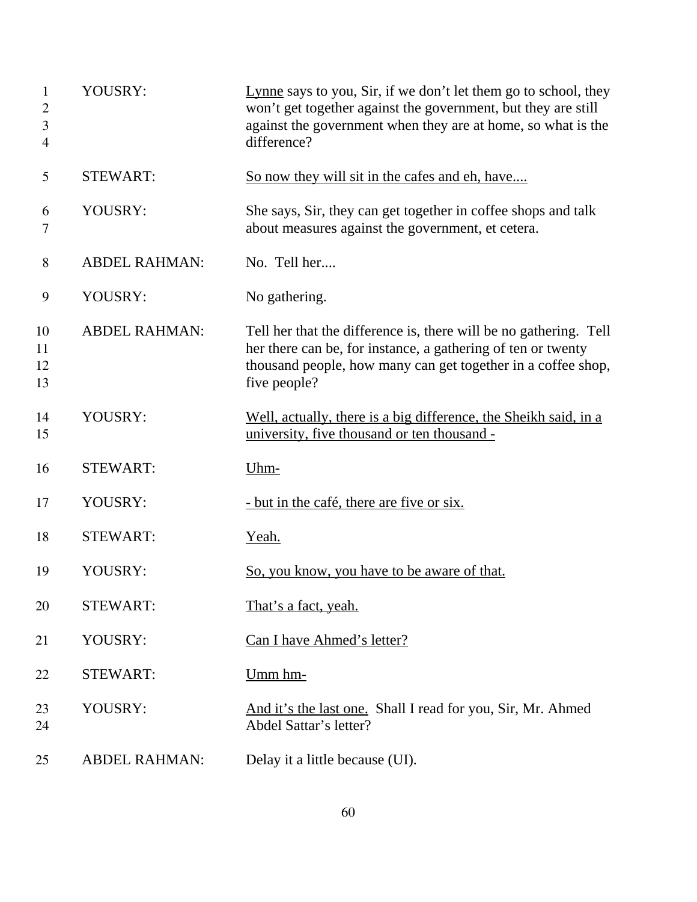| $\mathbf{1}$<br>$\mathbf{2}$<br>3<br>$\overline{4}$ | YOUSRY:              | Lynne says to you, Sir, if we don't let them go to school, they<br>won't get together against the government, but they are still<br>against the government when they are at home, so what is the<br>difference?   |
|-----------------------------------------------------|----------------------|-------------------------------------------------------------------------------------------------------------------------------------------------------------------------------------------------------------------|
| 5                                                   | <b>STEWART:</b>      | So now they will sit in the cafes and eh, have                                                                                                                                                                    |
| 6<br>7                                              | YOUSRY:              | She says, Sir, they can get together in coffee shops and talk<br>about measures against the government, et cetera.                                                                                                |
| 8                                                   | <b>ABDEL RAHMAN:</b> | No. Tell her                                                                                                                                                                                                      |
| 9                                                   | YOUSRY:              | No gathering.                                                                                                                                                                                                     |
| 10<br>11<br>12<br>13                                | <b>ABDEL RAHMAN:</b> | Tell her that the difference is, there will be no gathering. Tell<br>her there can be, for instance, a gathering of ten or twenty<br>thousand people, how many can get together in a coffee shop,<br>five people? |
| 14<br>15                                            | YOUSRY:              | Well, actually, there is a big difference, the Sheikh said, in a<br>university, five thousand or ten thousand -                                                                                                   |
| 16                                                  | <b>STEWART:</b>      | Uhm-                                                                                                                                                                                                              |
| 17                                                  | YOUSRY:              | - but in the café, there are five or six.                                                                                                                                                                         |
| 18                                                  | <b>STEWART:</b>      | <u>Yeah.</u>                                                                                                                                                                                                      |
| 19                                                  | YOUSRY:              | <u>So, you know, you have to be aware of that.</u>                                                                                                                                                                |
| 20                                                  | <b>STEWART:</b>      | That's a fact, yeah.                                                                                                                                                                                              |
| 21                                                  | YOUSRY:              | Can I have Ahmed's letter?                                                                                                                                                                                        |
| 22                                                  | <b>STEWART:</b>      | Umm hm-                                                                                                                                                                                                           |
| 23<br>24                                            | YOUSRY:              | And it's the last one. Shall I read for you, Sir, Mr. Ahmed<br>Abdel Sattar's letter?                                                                                                                             |
| 25                                                  | <b>ABDEL RAHMAN:</b> | Delay it a little because (UI).                                                                                                                                                                                   |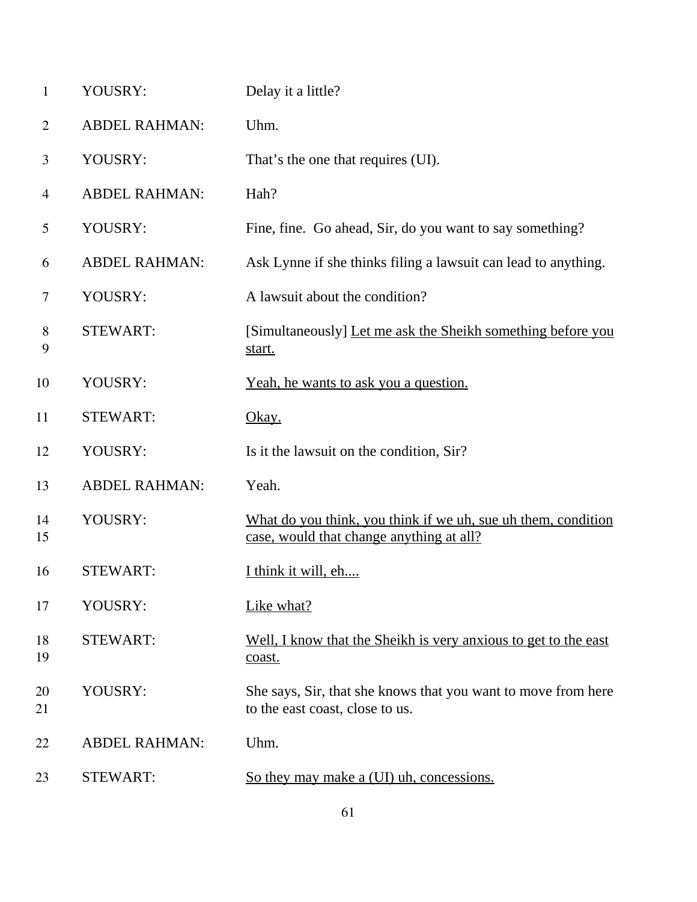| $\mathbf{1}$   | YOUSRY:              | Delay it a little?                                                                                        |
|----------------|----------------------|-----------------------------------------------------------------------------------------------------------|
| $\overline{2}$ | <b>ABDEL RAHMAN:</b> | Uhm.                                                                                                      |
| 3              | YOUSRY:              | That's the one that requires (UI).                                                                        |
| 4              | <b>ABDEL RAHMAN:</b> | Hah?                                                                                                      |
| 5              | YOUSRY:              | Fine, fine. Go ahead, Sir, do you want to say something?                                                  |
| 6              | <b>ABDEL RAHMAN:</b> | Ask Lynne if she thinks filing a lawsuit can lead to anything.                                            |
| 7              | YOUSRY:              | A lawsuit about the condition?                                                                            |
| 8<br>9         | <b>STEWART:</b>      | [Simultaneously] Let me ask the Sheikh something before you<br>start.                                     |
| 10             | YOUSRY:              | Yeah, he wants to ask you a question.                                                                     |
| 11             | <b>STEWART:</b>      | <u>Okay.</u>                                                                                              |
| 12             | YOUSRY:              | Is it the lawsuit on the condition, Sir?                                                                  |
| 13             | <b>ABDEL RAHMAN:</b> | Yeah.                                                                                                     |
| 14<br>15       | YOUSRY:              | What do you think, you think if we uh, sue uh them, condition<br>case, would that change anything at all? |
| 16             | <b>STEWART:</b>      | I think it will, eh                                                                                       |
| 17             | YOUSRY:              | Like what?                                                                                                |
| 18<br>19       | <b>STEWART:</b>      | Well, I know that the Sheikh is very anxious to get to the east<br>coast.                                 |
| 20<br>21       | YOUSRY:              | She says, Sir, that she knows that you want to move from here<br>to the east coast, close to us.          |
| 22             | <b>ABDEL RAHMAN:</b> | Uhm.                                                                                                      |
| 23             | <b>STEWART:</b>      | So they may make a (UI) uh, concessions.                                                                  |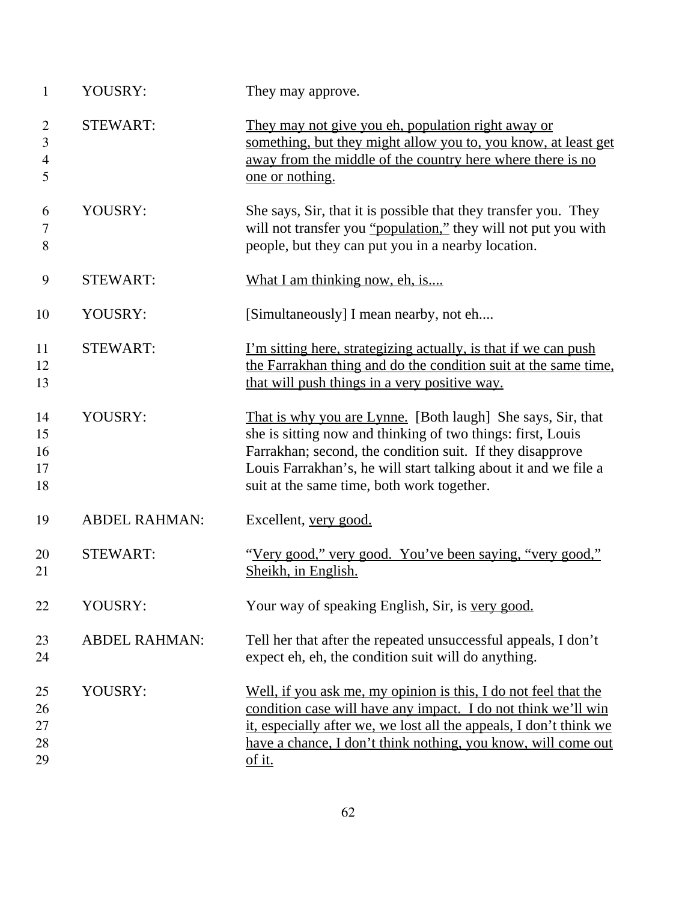| 1                             | YOUSRY:              | They may approve.                                                                                                                                                                                                                                                                                        |
|-------------------------------|----------------------|----------------------------------------------------------------------------------------------------------------------------------------------------------------------------------------------------------------------------------------------------------------------------------------------------------|
| $\overline{2}$<br>3<br>4<br>5 | <b>STEWART:</b>      | They may not give you eh, population right away or<br>something, but they might allow you to, you know, at least get<br>away from the middle of the country here where there is no<br>one or nothing.                                                                                                    |
| 6<br>7<br>8                   | YOUSRY:              | She says, Sir, that it is possible that they transfer you. They<br>will not transfer you "population," they will not put you with<br>people, but they can put you in a nearby location.                                                                                                                  |
| 9                             | <b>STEWART:</b>      | What I am thinking now, eh, is                                                                                                                                                                                                                                                                           |
| 10                            | YOUSRY:              | [Simultaneously] I mean nearby, not eh                                                                                                                                                                                                                                                                   |
| 11<br>12<br>13                | <b>STEWART:</b>      | I'm sitting here, strategizing actually, is that if we can push<br>the Farrakhan thing and do the condition suit at the same time,<br>that will push things in a very positive way.                                                                                                                      |
| 14<br>15<br>16<br>17<br>18    | YOUSRY:              | That is why you are Lynne. [Both laugh] She says, Sir, that<br>she is sitting now and thinking of two things: first, Louis<br>Farrakhan; second, the condition suit. If they disapprove<br>Louis Farrakhan's, he will start talking about it and we file a<br>suit at the same time, both work together. |
| 19                            | <b>ABDEL RAHMAN:</b> | Excellent, very good.                                                                                                                                                                                                                                                                                    |
| 20<br>21                      | <b>STEWART:</b>      | "Very good," very good. You've been saying, "very good,"<br>Sheikh, in English.                                                                                                                                                                                                                          |
| 22                            | YOUSRY:              | Your way of speaking English, Sir, is very good.                                                                                                                                                                                                                                                         |
| 23<br>24                      | <b>ABDEL RAHMAN:</b> | Tell her that after the repeated unsuccessful appeals, I don't<br>expect eh, eh, the condition suit will do anything.                                                                                                                                                                                    |
| 25<br>26<br>27<br>28<br>29    | YOUSRY:              | Well, if you ask me, my opinion is this, I do not feel that the<br>condition case will have any impact. I do not think we'll win<br>it, especially after we, we lost all the appeals, I don't think we<br>have a chance, I don't think nothing, you know, will come out<br>of it.                        |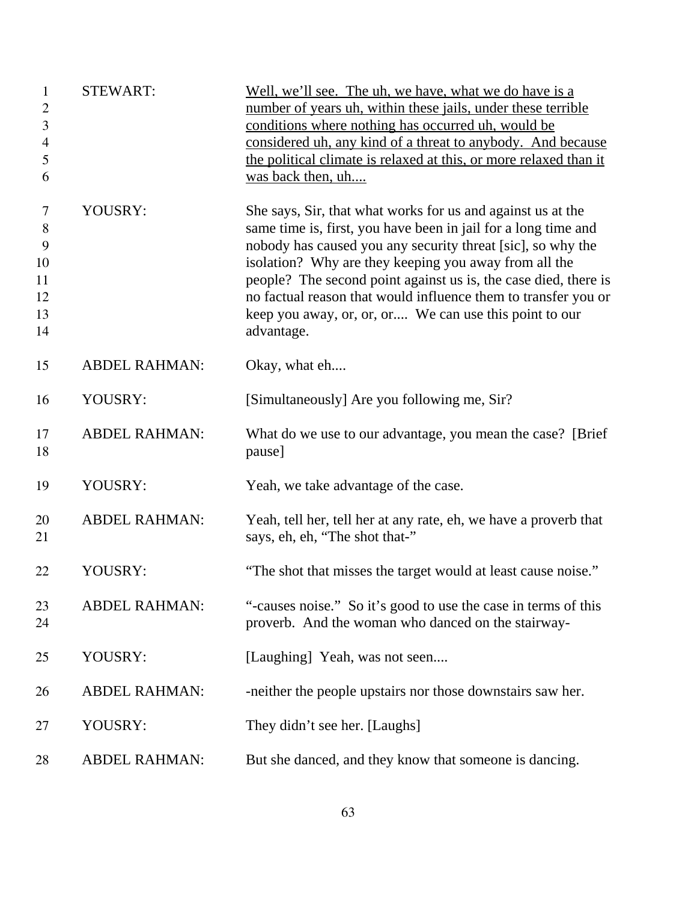| 1<br>$\mathbf{2}$<br>3<br>$\overline{\mathbf{4}}$<br>5<br>6 | <b>STEWART:</b>      | Well, we'll see. The uh, we have, what we do have is a<br>number of years uh, within these jails, under these terrible<br>conditions where nothing has occurred uh, would be<br>considered uh, any kind of a threat to anybody. And because<br>the political climate is relaxed at this, or more relaxed than it<br>was back then, uh                                                                                                                              |
|-------------------------------------------------------------|----------------------|--------------------------------------------------------------------------------------------------------------------------------------------------------------------------------------------------------------------------------------------------------------------------------------------------------------------------------------------------------------------------------------------------------------------------------------------------------------------|
| 7<br>$8\,$<br>9<br>10<br>11<br>12<br>13<br>14               | YOUSRY:              | She says, Sir, that what works for us and against us at the<br>same time is, first, you have been in jail for a long time and<br>nobody has caused you any security threat [sic], so why the<br>isolation? Why are they keeping you away from all the<br>people? The second point against us is, the case died, there is<br>no factual reason that would influence them to transfer you or<br>keep you away, or, or, or We can use this point to our<br>advantage. |
| 15                                                          | <b>ABDEL RAHMAN:</b> | Okay, what eh                                                                                                                                                                                                                                                                                                                                                                                                                                                      |
| 16                                                          | YOUSRY:              | [Simultaneously] Are you following me, Sir?                                                                                                                                                                                                                                                                                                                                                                                                                        |
| 17<br>18                                                    | <b>ABDEL RAHMAN:</b> | What do we use to our advantage, you mean the case? [Brief]<br>pause]                                                                                                                                                                                                                                                                                                                                                                                              |
| 19                                                          | YOUSRY:              | Yeah, we take advantage of the case.                                                                                                                                                                                                                                                                                                                                                                                                                               |
| 20<br>21                                                    | <b>ABDEL RAHMAN:</b> | Yeah, tell her, tell her at any rate, eh, we have a proverb that<br>says, eh, eh, "The shot that-"                                                                                                                                                                                                                                                                                                                                                                 |
| 22                                                          | YOUSRY:              | "The shot that misses the target would at least cause noise."                                                                                                                                                                                                                                                                                                                                                                                                      |
| 23<br>24                                                    | <b>ABDEL RAHMAN:</b> | "-causes noise." So it's good to use the case in terms of this<br>proverb. And the woman who danced on the stairway-                                                                                                                                                                                                                                                                                                                                               |
| 25                                                          | YOUSRY:              | [Laughing] Yeah, was not seen                                                                                                                                                                                                                                                                                                                                                                                                                                      |
| 26                                                          | <b>ABDEL RAHMAN:</b> | -neither the people upstairs nor those downstairs saw her.                                                                                                                                                                                                                                                                                                                                                                                                         |
| 27                                                          | YOUSRY:              | They didn't see her. [Laughs]                                                                                                                                                                                                                                                                                                                                                                                                                                      |
| 28                                                          | <b>ABDEL RAHMAN:</b> | But she danced, and they know that someone is dancing.                                                                                                                                                                                                                                                                                                                                                                                                             |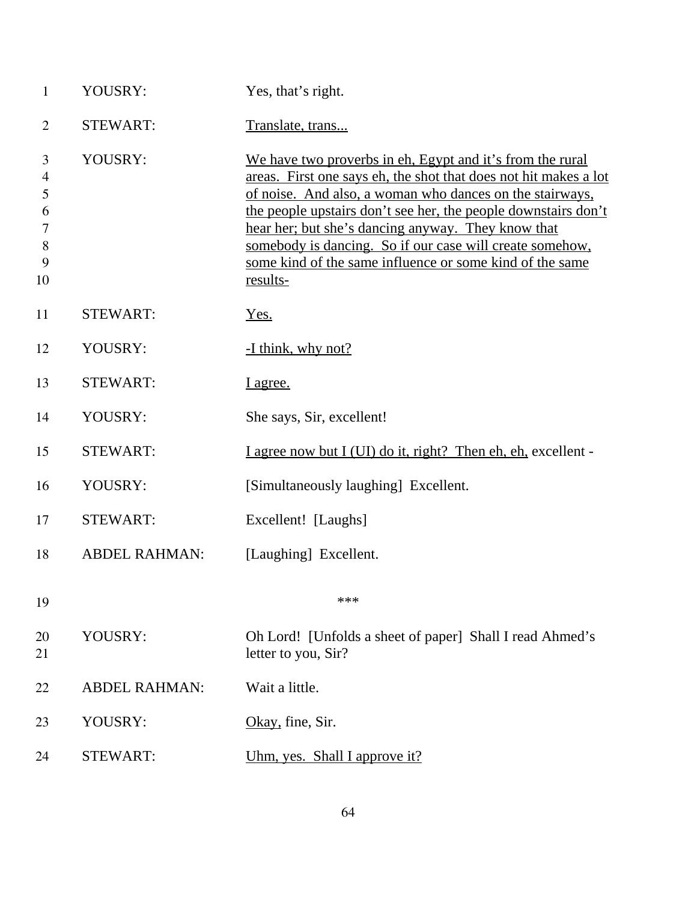| $\mathbf{1}$                                                | YOUSRY:              | Yes, that's right.                                                                                                                                                                                                                                                                                                                                                                                                                                           |
|-------------------------------------------------------------|----------------------|--------------------------------------------------------------------------------------------------------------------------------------------------------------------------------------------------------------------------------------------------------------------------------------------------------------------------------------------------------------------------------------------------------------------------------------------------------------|
| $\overline{2}$                                              | <b>STEWART:</b>      | Translate, trans                                                                                                                                                                                                                                                                                                                                                                                                                                             |
| 3<br>$\overline{4}$<br>5<br>6<br>$\tau$<br>$8\,$<br>9<br>10 | YOUSRY:              | We have two proverbs in eh, Egypt and it's from the rural<br>areas. First one says eh, the shot that does not hit makes a lot<br>of noise. And also, a woman who dances on the stairways,<br><u>the people upstairs don't see her, the people downstairs don't</u><br>hear her; but she's dancing anyway. They know that<br>somebody is dancing. So if our case will create somehow,<br>some kind of the same influence or some kind of the same<br>results- |
| 11                                                          | <b>STEWART:</b>      | Yes.                                                                                                                                                                                                                                                                                                                                                                                                                                                         |
| 12                                                          | YOUSRY:              | -I think, why not?                                                                                                                                                                                                                                                                                                                                                                                                                                           |
| 13                                                          | <b>STEWART:</b>      | I agree.                                                                                                                                                                                                                                                                                                                                                                                                                                                     |
| 14                                                          | YOUSRY:              | She says, Sir, excellent!                                                                                                                                                                                                                                                                                                                                                                                                                                    |
| 15                                                          | <b>STEWART:</b>      | I agree now but I (UI) do it, right? Then eh, eh, excellent -                                                                                                                                                                                                                                                                                                                                                                                                |
| 16                                                          | YOUSRY:              | [Simultaneously laughing] Excellent.                                                                                                                                                                                                                                                                                                                                                                                                                         |
| 17                                                          | <b>STEWART:</b>      | Excellent! [Laughs]                                                                                                                                                                                                                                                                                                                                                                                                                                          |
| 18                                                          | <b>ABDEL RAHMAN:</b> | [Laughing] Excellent.                                                                                                                                                                                                                                                                                                                                                                                                                                        |
| 19                                                          |                      | ***                                                                                                                                                                                                                                                                                                                                                                                                                                                          |
| 20<br>21                                                    | YOUSRY:              | Oh Lord! [Unfolds a sheet of paper] Shall I read Ahmed's<br>letter to you, Sir?                                                                                                                                                                                                                                                                                                                                                                              |
| 22                                                          | <b>ABDEL RAHMAN:</b> | Wait a little.                                                                                                                                                                                                                                                                                                                                                                                                                                               |
| 23                                                          | YOUSRY:              | Okay, fine, Sir.                                                                                                                                                                                                                                                                                                                                                                                                                                             |
| 24                                                          | <b>STEWART:</b>      | <u>Uhm, yes. Shall I approve it?</u>                                                                                                                                                                                                                                                                                                                                                                                                                         |